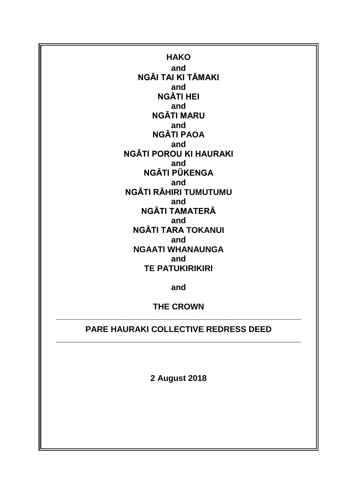**HAKO and NGĀI TAI KI TĀMAKI and NGĀTI HEI and NGĀTI MARU and NGĀTI PAOA and NGĀTI POROU KI HAURAKI and NGĀTI PŪKENGA and NGĀTI RĀHIRI TUMUTUMU and NGĀTI TAMATERĀ and NGĀTI TARA TOKANUI and NGAATI WHANAUNGA and TE PATUKIRIKIRI**

**and**

**THE CROWN \_\_\_\_\_\_\_\_\_\_\_\_\_\_\_\_\_\_\_\_\_\_\_\_\_\_\_\_\_\_\_\_\_\_\_\_\_\_\_\_\_\_\_\_\_\_\_\_\_\_\_\_\_**

# **PARE HAURAKI COLLECTIVE REDRESS DEED \_\_\_\_\_\_\_\_\_\_\_\_\_\_\_\_\_\_\_\_\_\_\_\_\_\_\_\_\_\_\_\_\_\_\_\_\_\_\_\_\_\_\_\_\_\_\_\_\_\_\_\_\_**

**2 August 2018**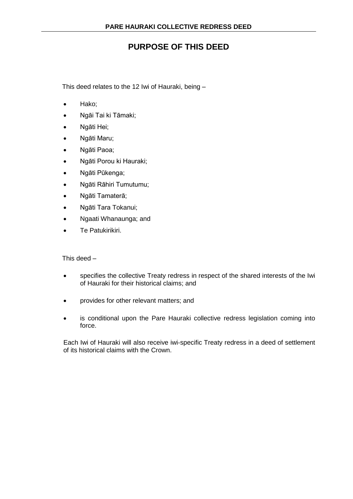# **PURPOSE OF THIS DEED**

This deed relates to the 12 Iwi of Hauraki, being –

- Hako;
- Ngāi Tai ki Tāmaki;
- Ngāti Hei;
- Ngāti Maru;
- Ngāti Paoa;
- Ngāti Porou ki Hauraki;
- Ngāti Pūkenga;
- Ngāti Rāhiri Tumutumu;
- Ngāti Tamaterā;
- Ngāti Tara Tokanui;
- Ngaati Whanaunga; and
- Te Patukirikiri.

This deed –

- specifies the collective Treaty redress in respect of the shared interests of the Iwi of Hauraki for their historical claims; and
- provides for other relevant matters; and
- is conditional upon the Pare Hauraki collective redress legislation coming into force.

Each Iwi of Hauraki will also receive iwi-specific Treaty redress in a deed of settlement of its historical claims with the Crown.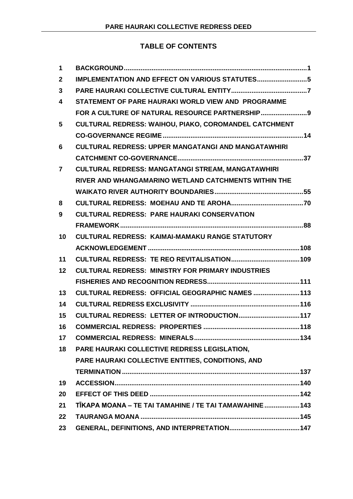## **TABLE OF CONTENTS**

| $\mathbf 1$             |                                                              |  |  |
|-------------------------|--------------------------------------------------------------|--|--|
| $\mathbf{2}$            |                                                              |  |  |
| 3                       |                                                              |  |  |
| $\overline{\mathbf{4}}$ | STATEMENT OF PARE HAURAKI WORLD VIEW AND PROGRAMME           |  |  |
|                         | FOR A CULTURE OF NATURAL RESOURCE PARTNERSHIP9               |  |  |
| 5                       | <b>CULTURAL REDRESS: WAIHOU, PIAKO, COROMANDEL CATCHMENT</b> |  |  |
|                         |                                                              |  |  |
| 6                       | <b>CULTURAL REDRESS: UPPER MANGATANGI AND MANGATAWHIRI</b>   |  |  |
|                         |                                                              |  |  |
| $\overline{7}$          | <b>CULTURAL REDRESS: MANGATANGI STREAM, MANGATAWHIRI</b>     |  |  |
|                         | RIVER AND WHANGAMARINO WETLAND CATCHMENTS WITHIN THE         |  |  |
|                         |                                                              |  |  |
| 8                       |                                                              |  |  |
| 9                       | <b>CULTURAL REDRESS: PARE HAURAKI CONSERVATION</b>           |  |  |
|                         |                                                              |  |  |
| 10                      | <b>CULTURAL REDRESS: KAIMAI-MAMAKU RANGE STATUTORY</b>       |  |  |
|                         |                                                              |  |  |
| 11                      |                                                              |  |  |
| 12                      | <b>CULTURAL REDRESS: MINISTRY FOR PRIMARY INDUSTRIES</b>     |  |  |
|                         |                                                              |  |  |
| 13                      | CULTURAL REDRESS: OFFICIAL GEOGRAPHIC NAMES  113             |  |  |
| 14                      |                                                              |  |  |
| 15                      | CULTURAL REDRESS: LETTER OF INTRODUCTION 117                 |  |  |
| 16                      |                                                              |  |  |
| 17                      |                                                              |  |  |
| 18                      | PARE HAURAKI COLLECTIVE REDRESS LEGISLATION,                 |  |  |
|                         | PARE HAURAKI COLLECTIVE ENTITIES, CONDITIONS, AND            |  |  |
|                         |                                                              |  |  |
| 19                      |                                                              |  |  |
| 20                      |                                                              |  |  |
| 21                      | TIKAPA MOANA - TE TAI TAMAHINE / TE TAI TAMAWAHINE  143      |  |  |
| 22                      |                                                              |  |  |
| 23                      |                                                              |  |  |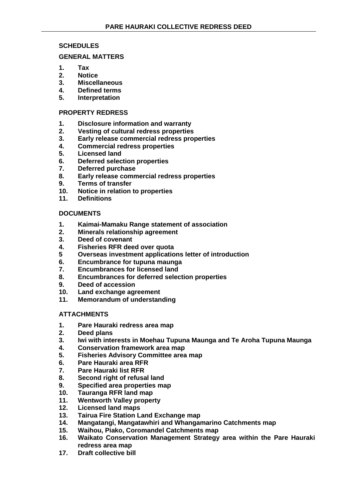## **SCHEDULES**

#### **GENERAL MATTERS**

- **1. Tax**
- **2. Notice**
- **3. Miscellaneous**
- **4. Defined terms**
- **5. Interpretation**

## **PROPERTY REDRESS**

- **1. Disclosure information and warranty**
- **2. Vesting of cultural redress properties**
- **3. Early release commercial redress properties**
- **4. Commercial redress properties**
- **5. Licensed land**
- **6. Deferred selection properties**
- **7. Deferred purchase**
- **8. Early release commercial redress properties**
- **9. Terms of transfer**
- **10. Notice in relation to properties**
- **11. Definitions**

## **DOCUMENTS**

- **1. Kaimai-Mamaku Range statement of association**
- **2. Minerals relationship agreement**
- **3. Deed of covenant**
- **4. Fisheries RFR deed over quota**
- **5 Overseas investment applications letter of introduction**
- **6. Encumbrance for tupuna maunga**
- **7. Encumbrances for licensed land**
- **8. Encumbrances for deferred selection properties**
- **9. Deed of accession**
- **10. Land exchange agreement**
- **11. Memorandum of understanding**

#### **ATTACHMENTS**

- **1. Pare Hauraki redress area map**
- **2. Deed plans**
- **3. Iwi with interests in Moehau Tupuna Maunga and Te Aroha Tupuna Maunga**
- **4. Conservation framework area map**
- **5. Fisheries Advisory Committee area map**
- **6. Pare Hauraki area RFR**
- **7. Pare Hauraki list RFR**
- **8. Second right of refusal land**
- **9. Specified area properties map**
- **10. Tauranga RFR land map**
- **11. Wentworth Valley property**
- **12. Licensed land maps**
- **13. Tairua Fire Station Land Exchange map**
- **14. Mangatangi, Mangatawhiri and Whangamarino Catchments map**
- **15. Waihou, Piako, Coromandel Catchments map**
- **16. Waikato Conservation Management Strategy area within the Pare Hauraki redress area map**
- **17. Draft collective bill**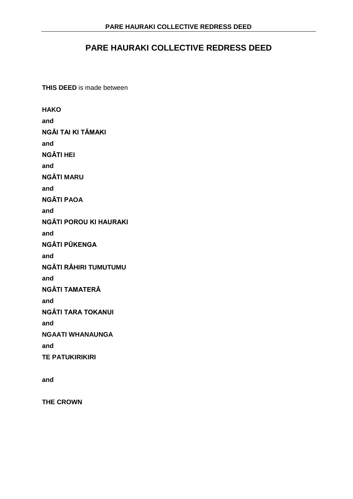# **PARE HAURAKI COLLECTIVE REDRESS DEED**

**THIS DEED** is made between

**HAKO and NGĀI TAI KI TĀMAKI and NGĀTI HEI and NGĀTI MARU and NGĀTI PAOA and NGĀTI POROU KI HAURAKI and NGĀTI PŪKENGA and NGĀTI RĀHIRI TUMUTUMU and NGĀTI TAMATERĀ and NGĀTI TARA TOKANUI and NGAATI WHANAUNGA and TE PATUKIRIKIRI**

**and**

**THE CROWN**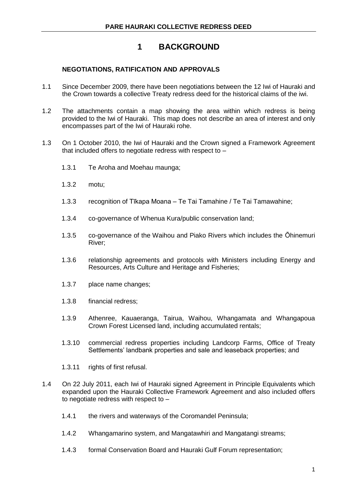# **1 BACKGROUND**

## **NEGOTIATIONS, RATIFICATION AND APPROVALS**

- 1.1 Since December 2009, there have been negotiations between the 12 Iwi of Hauraki and the Crown towards a collective Treaty redress deed for the historical claims of the iwi.
- 1.2 The attachments contain a map showing the area within which redress is being provided to the Iwi of Hauraki. This map does not describe an area of interest and only encompasses part of the Iwi of Hauraki rohe.
- 1.3 On 1 October 2010, the Iwi of Hauraki and the Crown signed a Framework Agreement that included offers to negotiate redress with respect to –
	- 1.3.1 Te Aroha and Moehau maunga;
	- 1.3.2 motu;
	- 1.3.3 recognition of Tīkapa Moana Te Tai Tamahine / Te Tai Tamawahine;
	- 1.3.4 co-governance of Whenua Kura/public conservation land;
	- 1.3.5 co-governance of the Waihou and Piako Rivers which includes the Ōhinemuri River;
	- 1.3.6 relationship agreements and protocols with Ministers including Energy and Resources, Arts Culture and Heritage and Fisheries;
	- 1.3.7 place name changes;
	- 1.3.8 financial redress;
	- 1.3.9 Athenree, Kauaeranga, Tairua, Waihou, Whangamata and Whangapoua Crown Forest Licensed land, including accumulated rentals;
	- 1.3.10 commercial redress properties including Landcorp Farms, Office of Treaty Settlements' landbank properties and sale and leaseback properties; and
	- 1.3.11 rights of first refusal.
- 1.4 On 22 July 2011, each Iwi of Hauraki signed Agreement in Principle Equivalents which expanded upon the Hauraki Collective Framework Agreement and also included offers to negotiate redress with respect to –
	- 1.4.1 the rivers and waterways of the Coromandel Peninsula;
	- 1.4.2 Whangamarino system, and Mangatawhiri and Mangatangi streams;
	- 1.4.3 formal Conservation Board and Hauraki Gulf Forum representation;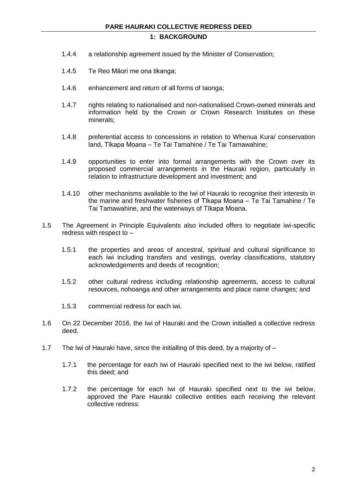## **1: BACKGROUND**

- 1.4.4 a relationship agreement issued by the Minister of Conservation;
- 1.4.5 Te Reo Māori me ona tikanga;
- 1.4.6 enhancement and return of all forms of taonga;
- 1.4.7 rights relating to nationalised and non-nationalised Crown-owned minerals and information held by the Crown or Crown Research Institutes on these minerals;
- 1.4.8 preferential access to concessions in relation to Whenua Kura/ conservation land, Tīkapa Moana – Te Tai Tamahine / Te Tai Tamawahine;
- 1.4.9 opportunities to enter into formal arrangements with the Crown over its proposed commercial arrangements in the Hauraki region, particularly in relation to infrastructure development and investment; and
- 1.4.10 other mechanisms available to the Iwi of Hauraki to recognise their interests in the marine and freshwater fisheries of Tīkapa Moana – Te Tai Tamahine / Te Tai Tamawahine, and the waterways of Tīkapa Moana.
- 1.5 The Agreement in Principle Equivalents also included offers to negotiate iwi-specific redress with respect to –
	- 1.5.1 the properties and areas of ancestral, spiritual and cultural significance to each iwi including transfers and vestings, overlay classifications, statutory acknowledgements and deeds of recognition;
	- 1.5.2 other cultural redress including relationship agreements, access to cultural resources, nohoanga and other arrangements and place name changes; and
	- 1.5.3 commercial redress for each iwi.
- 1.6 On 22 December 2016, the Iwi of Hauraki and the Crown initialled a collective redress deed.
- 1.7 The Iwi of Hauraki have, since the initialling of this deed, by a majority of
	- 1.7.1 the percentage for each Iwi of Hauraki specified next to the iwi below, ratified this deed; and
	- 1.7.2 the percentage for each Iwi of Hauraki specified next to the iwi below, approved the Pare Hauraki collective entities each receiving the relevant collective redress: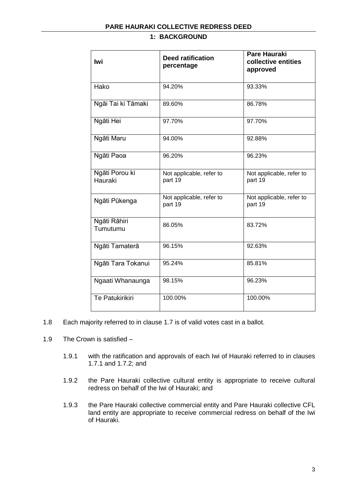## **1: BACKGROUND**

| Iwi                       | <b>Deed ratification</b><br>percentage | <b>Pare Hauraki</b><br>collective entities<br>approved |
|---------------------------|----------------------------------------|--------------------------------------------------------|
| Hako                      | 94.20%                                 | 93.33%                                                 |
| Ngāi Tai ki Tāmaki        | 89.60%                                 | 86.78%                                                 |
| Ngāti Hei                 | 97.70%                                 | 97.70%                                                 |
| Ngāti Maru                | 94.00%                                 | 92.88%                                                 |
| Ngāti Paoa                | 96.20%                                 | 96.23%                                                 |
| Ngāti Porou ki<br>Hauraki | Not applicable, refer to<br>part 19    | Not applicable, refer to<br>part 19                    |
| Ngāti Pūkenga             | Not applicable, refer to<br>part 19    | Not applicable, refer to<br>part 19                    |
| Ngāti Rāhiri<br>Tumutumu  | 86.05%                                 | 83.72%                                                 |
| Ngāti Tamaterā            | 96.15%                                 | 92.63%                                                 |
| Ngāti Tara Tokanui        | 95.24%                                 | 85.81%                                                 |
| Ngaati Whanaunga          | 98.15%                                 | 96.23%                                                 |
| <b>Te Patukirikiri</b>    | 100.00%                                | 100.00%                                                |

- 1.8 Each majority referred to in clause 1.7 is of valid votes cast in a ballot.
- 1.9 The Crown is satisfied
	- 1.9.1 with the ratification and approvals of each Iwi of Hauraki referred to in clauses 1.7.1 and 1.7.2; and
	- 1.9.2 the Pare Hauraki collective cultural entity is appropriate to receive cultural redress on behalf of the Iwi of Hauraki; and
	- 1.9.3 the Pare Hauraki collective commercial entity and Pare Hauraki collective CFL land entity are appropriate to receive commercial redress on behalf of the Iwi of Hauraki.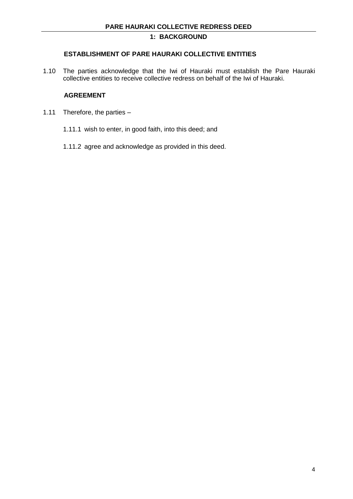## **1: BACKGROUND**

## **ESTABLISHMENT OF PARE HAURAKI COLLECTIVE ENTITIES**

1.10 The parties acknowledge that the Iwi of Hauraki must establish the Pare Hauraki collective entities to receive collective redress on behalf of the Iwi of Hauraki.

## **AGREEMENT**

- 1.11 Therefore, the parties
	- 1.11.1 wish to enter, in good faith, into this deed; and
	- 1.11.2 agree and acknowledge as provided in this deed.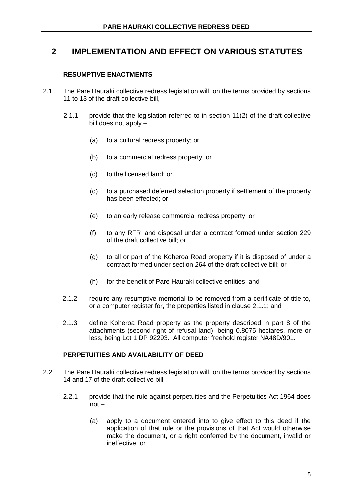# **2 IMPLEMENTATION AND EFFECT ON VARIOUS STATUTES**

## **RESUMPTIVE ENACTMENTS**

- 2.1 The Pare Hauraki collective redress legislation will, on the terms provided by sections 11 to 13 of the draft collective bill, –
	- 2.1.1 provide that the legislation referred to in section 11(2) of the draft collective bill does not apply –
		- (a) to a cultural redress property; or
		- (b) to a commercial redress property; or
		- (c) to the licensed land; or
		- (d) to a purchased deferred selection property if settlement of the property has been effected; or
		- (e) to an early release commercial redress property; or
		- (f) to any RFR land disposal under a contract formed under section 229 of the draft collective bill; or
		- (g) to all or part of the Koheroa Road property if it is disposed of under a contract formed under section 264 of the draft collective bill; or
		- (h) for the benefit of Pare Hauraki collective entities; and
	- 2.1.2 require any resumptive memorial to be removed from a certificate of title to, or a computer register for, the properties listed in clause 2.1.1; and
	- 2.1.3 define Koheroa Road property as the property described in part 8 of the attachments (second right of refusal land), being 0.8075 hectares, more or less, being Lot 1 DP 92293. All computer freehold register NA48D/901.

#### **PERPETUITIES AND AVAILABILITY OF DEED**

- 2.2 The Pare Hauraki collective redress legislation will, on the terms provided by sections 14 and 17 of the draft collective bill –
	- 2.2.1 provide that the rule against perpetuities and the Perpetuities Act 1964 does not –
		- (a) apply to a document entered into to give effect to this deed if the application of that rule or the provisions of that Act would otherwise make the document, or a right conferred by the document, invalid or ineffective; or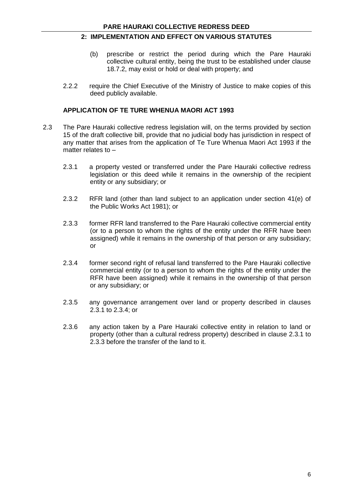## **2: IMPLEMENTATION AND EFFECT ON VARIOUS STATUTES**

- (b) prescribe or restrict the period during which the Pare Hauraki collective cultural entity, being the trust to be established under clause 18.7.2, may exist or hold or deal with property; and
- 2.2.2 require the Chief Executive of the Ministry of Justice to make copies of this deed publicly available.

#### **APPLICATION OF TE TURE WHENUA MAORI ACT 1993**

- 2.3 The Pare Hauraki collective redress legislation will, on the terms provided by section 15 of the draft collective bill, provide that no judicial body has jurisdiction in respect of any matter that arises from the application of Te Ture Whenua Maori Act 1993 if the matter relates to –
	- 2.3.1 a property vested or transferred under the Pare Hauraki collective redress legislation or this deed while it remains in the ownership of the recipient entity or any subsidiary; or
	- 2.3.2 RFR land (other than land subject to an application under section 41(e) of the Public Works Act 1981); or
	- 2.3.3 former RFR land transferred to the Pare Hauraki collective commercial entity (or to a person to whom the rights of the entity under the RFR have been assigned) while it remains in the ownership of that person or any subsidiary; or
	- 2.3.4 former second right of refusal land transferred to the Pare Hauraki collective commercial entity (or to a person to whom the rights of the entity under the RFR have been assigned) while it remains in the ownership of that person or any subsidiary; or
	- 2.3.5 any governance arrangement over land or property described in clauses 2.3.1 to 2.3.4; or
	- 2.3.6 any action taken by a Pare Hauraki collective entity in relation to land or property (other than a cultural redress property) described in clause 2.3.1 to 2.3.3 before the transfer of the land to it.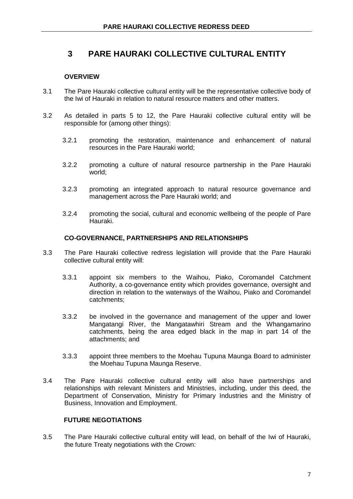# **3 PARE HAURAKI COLLECTIVE CULTURAL ENTITY**

## **OVERVIEW**

- 3.1 The Pare Hauraki collective cultural entity will be the representative collective body of the Iwi of Hauraki in relation to natural resource matters and other matters.
- 3.2 As detailed in parts 5 to 12, the Pare Hauraki collective cultural entity will be responsible for (among other things):
	- 3.2.1 promoting the restoration, maintenance and enhancement of natural resources in the Pare Hauraki world;
	- 3.2.2 promoting a culture of natural resource partnership in the Pare Hauraki world;
	- 3.2.3 promoting an integrated approach to natural resource governance and management across the Pare Hauraki world; and
	- 3.2.4 promoting the social, cultural and economic wellbeing of the people of Pare Hauraki.

#### **CO-GOVERNANCE, PARTNERSHIPS AND RELATIONSHIPS**

- 3.3 The Pare Hauraki collective redress legislation will provide that the Pare Hauraki collective cultural entity will:
	- 3.3.1 appoint six members to the Waihou, Piako, Coromandel Catchment Authority, a co-governance entity which provides governance, oversight and direction in relation to the waterways of the Waihou, Piako and Coromandel catchments;
	- 3.3.2 be involved in the governance and management of the upper and lower Mangatangi River, the Mangatawhiri Stream and the Whangamarino catchments, being the area edged black in the map in part 14 of the attachments; and
	- 3.3.3 appoint three members to the Moehau Tupuna Maunga Board to administer the Moehau Tupuna Maunga Reserve.
- 3.4 The Pare Hauraki collective cultural entity will also have partnerships and relationships with relevant Ministers and Ministries, including, under this deed, the Department of Conservation, Ministry for Primary Industries and the Ministry of Business, Innovation and Employment.

#### **FUTURE NEGOTIATIONS**

3.5 The Pare Hauraki collective cultural entity will lead, on behalf of the Iwi of Hauraki, the future Treaty negotiations with the Crown: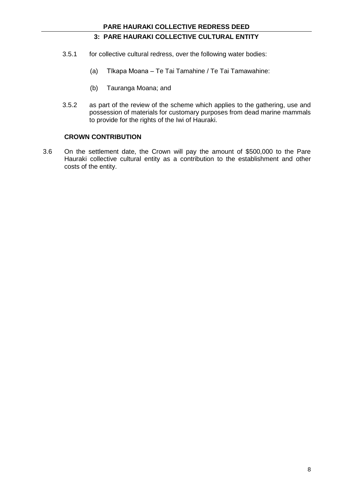## **3: PARE HAURAKI COLLECTIVE CULTURAL ENTITY**

- 3.5.1 for collective cultural redress, over the following water bodies:
	- (a) Tīkapa Moana Te Tai Tamahine / Te Tai Tamawahine:
	- (b) Tauranga Moana; and
- 3.5.2 as part of the review of the scheme which applies to the gathering, use and possession of materials for customary purposes from dead marine mammals to provide for the rights of the Iwi of Hauraki.

#### **CROWN CONTRIBUTION**

3.6 On the settlement date, the Crown will pay the amount of \$500,000 to the Pare Hauraki collective cultural entity as a contribution to the establishment and other costs of the entity.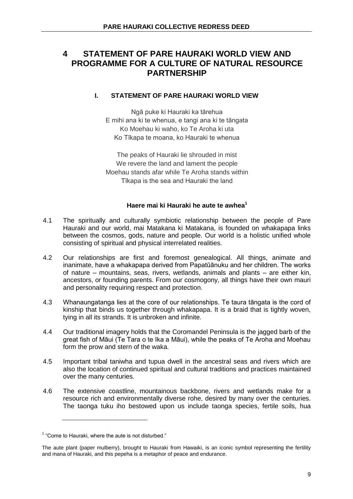## **I. STATEMENT OF PARE HAURAKI WORLD VIEW**

Ngā puke ki Hauraki ka tārehua E mihi ana ki te whenua, e tangi ana ki te tāngata Ko Moehau ki waho, ko Te Aroha ki uta Ko Tīkapa te moana, ko Hauraki te whenua

The peaks of Hauraki lie shrouded in mist We revere the land and lament the people Moehau stands afar while Te Aroha stands within Tīkapa is the sea and Hauraki the land

## **Haere mai ki Hauraki he aute te awhea<sup>1</sup>**

- 4.1 The spiritually and culturally symbiotic relationship between the people of Pare Hauraki and our world, mai Matakana ki Matakana, is founded on whakapapa links between the cosmos, gods, nature and people. Our world is a holistic unified whole consisting of spiritual and physical interrelated realities.
- 4.2 Our relationships are first and foremost genealogical. All things, animate and inanimate, have a whakapapa derived from Papatūānuku and her children. The works of nature – mountains, seas, rivers, wetlands, animals and plants – are either kin, ancestors, or founding parents. From our cosmogony, all things have their own mauri and personality requiring respect and protection.
- 4.3 Whanaungatanga lies at the core of our relationships. Te taura tāngata is the cord of kinship that binds us together through whakapapa. It is a braid that is tightly woven, tying in all its strands. It is unbroken and infinite.
- 4.4 Our traditional imagery holds that the Coromandel Peninsula is the jagged barb of the great fish of Māui (Te Tara o te Ika a Māui), while the peaks of Te Aroha and Moehau form the prow and stern of the waka.
- 4.5 Important tribal taniwha and tupua dwell in the ancestral seas and rivers which are also the location of continued spiritual and cultural traditions and practices maintained over the many centuries.
- 4.6 The extensive coastline, mountainous backbone, rivers and wetlands make for a resource rich and environmentally diverse rohe, desired by many over the centuries. The taonga tuku iho bestowed upon us include taonga species, fertile soils, hua

 $\overline{a}$ 

<sup>&</sup>lt;sup>1</sup> "Come to Hauraki, where the aute is not disturbed."

The aute plant (paper mulberry), brought to Hauraki from Hawaiki, is an iconic symbol representing the fertility and mana of Hauraki, and this pepeha is a metaphor of peace and endurance.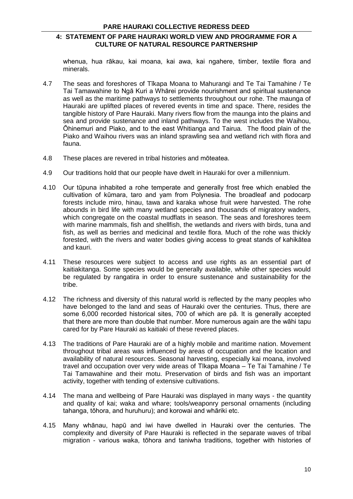whenua, hua rākau, kai moana, kai awa, kai ngahere, timber, textile flora and minerals.

- 4.7 The seas and foreshores of Tīkapa Moana to Mahurangi and Te Tai Tamahine / Te Tai Tamawahine to Ngā Kuri a Whārei provide nourishment and spiritual sustenance as well as the maritime pathways to settlements throughout our rohe. The maunga of Hauraki are uplifted places of revered events in time and space. There, resides the tangible history of Pare Hauraki. Many rivers flow from the maunga into the plains and sea and provide sustenance and inland pathways. To the west includes the Waihou, Ōhinemuri and Piako, and to the east Whitianga and Tairua. The flood plain of the Piako and Waihou rivers was an inland sprawling sea and wetland rich with flora and fauna.
- 4.8 These places are revered in tribal histories and mōteatea.
- 4.9 Our traditions hold that our people have dwelt in Hauraki for over a millennium.
- 4.10 Our tūpuna inhabited a rohe temperate and generally frost free which enabled the cultivation of kūmara, taro and yam from Polynesia. The broadleaf and podocarp forests include miro, hinau, tawa and karaka whose fruit were harvested. The rohe abounds in bird life with many wetland species and thousands of migratory waders, which congregate on the coastal mudflats in season. The seas and foreshores teem with marine mammals, fish and shellfish, the wetlands and rivers with birds, tuna and fish, as well as berries and medicinal and textile flora. Much of the rohe was thickly forested, with the rivers and water bodies giving access to great stands of kahikātea and kauri.
- 4.11 These resources were subject to access and use rights as an essential part of kaitiakitanga. Some species would be generally available, while other species would be regulated by rangatira in order to ensure sustenance and sustainability for the tribe.
- 4.12 The richness and diversity of this natural world is reflected by the many peoples who have belonged to the land and seas of Hauraki over the centuries. Thus, there are some 6,000 recorded historical sites, 700 of which are pā. It is generally accepted that there are more than double that number. More numerous again are the wāhi tapu cared for by Pare Hauraki as kaitiaki of these revered places.
- 4.13 The traditions of Pare Hauraki are of a highly mobile and maritime nation. Movement throughout tribal areas was influenced by areas of occupation and the location and availability of natural resources. Seasonal harvesting, especially kai moana, involved travel and occupation over very wide areas of Tīkapa Moana – Te Tai Tamahine / Te Tai Tamawahine and their motu. Preservation of birds and fish was an important activity, together with tending of extensive cultivations.
- 4.14 The mana and wellbeing of Pare Hauraki was displayed in many ways the quantity and quality of kai; waka and whare; tools/weaponry personal ornaments (including tahanga, tōhora, and huruhuru); and korowai and whāriki etc.
- 4.15 Many whānau, hapū and iwi have dwelled in Hauraki over the centuries. The complexity and diversity of Pare Hauraki is reflected in the separate waves of tribal migration - various waka, tōhora and taniwha traditions, together with histories of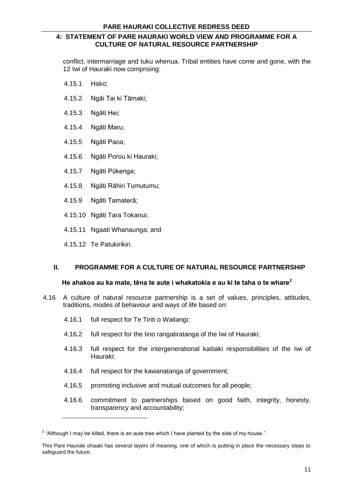conflict, intermarriage and tuku whenua. Tribal entities have come and gone, with the 12 Iwi of Hauraki now comprising:

- 4.15.1 Hako;
- 4.15.2 Ngāi Tai ki Tāmaki;
- 4.15.3 Ngāti Hei;
- 4.15.4 Ngāti Maru;
- 4.15.5 Ngāti Paoa;
- 4.15.6 Ngāti Porou ki Hauraki;
- 4.15.7 Ngāti Pūkenga;
- 4.15.8 Ngāti Rāhiri Tumutumu;
- 4.15.9 Ngāti Tamaterā;
- 4.15.10 Ngāti Tara Tokanui;
- 4.15.11 Ngaati Whanaunga; and
- 4.15.12 Te Patukirikiri.

#### **II. PROGRAMME FOR A CULTURE OF NATURAL RESOURCE PARTNERSHIP**

#### **He ahakoa au ka mate, tēna te aute i whakatokia e au ki te taha o te whare<sup>2</sup>**

- 4.16 A culture of natural resource partnership is a set of values, principles, attitudes, traditions, modes of behaviour and ways of life based on:
	- 4.16.1 full respect for Te Tiriti o Waitangi;
	- 4.16.2 full respect for the tino rangatiratanga of the Iwi of Hauraki;
	- 4.16.3 full respect for the intergenerational kaitiaki responsibilities of the Iwi of Hauraki;
	- 4.16.4 full respect for the kawanatanga of government;
	- 4.16.5 promoting inclusive and mutual outcomes for all people;
	- 4.16.6 commitment to partnerships based on good faith, integrity, honesty, transparency and accountability;

 $2$  "Although I may be killed, there is an aute tree which I have planted by the side of my house."

This Pare Hauraki ohaaki has several layers of meaning, one of which is putting in place the necessary steps to safeguard the future.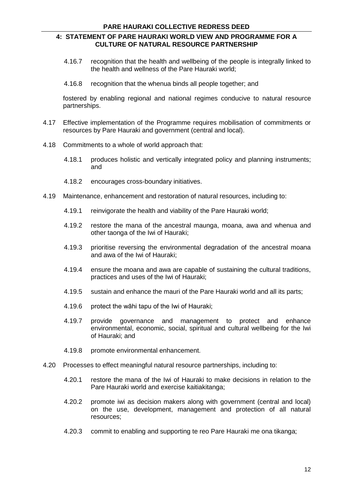- 4.16.7 recognition that the health and wellbeing of the people is integrally linked to the health and wellness of the Pare Hauraki world;
- 4.16.8 recognition that the whenua binds all people together; and

fostered by enabling regional and national regimes conducive to natural resource partnerships.

- 4.17 Effective implementation of the Programme requires mobilisation of commitments or resources by Pare Hauraki and government (central and local).
- 4.18 Commitments to a whole of world approach that:
	- 4.18.1 produces holistic and vertically integrated policy and planning instruments; and
	- 4.18.2 encourages cross-boundary initiatives.
- 4.19 Maintenance, enhancement and restoration of natural resources, including to:
	- 4.19.1 reinvigorate the health and viability of the Pare Hauraki world;
	- 4.19.2 restore the mana of the ancestral maunga, moana, awa and whenua and other taonga of the Iwi of Hauraki;
	- 4.19.3 prioritise reversing the environmental degradation of the ancestral moana and awa of the Iwi of Hauraki;
	- 4.19.4 ensure the moana and awa are capable of sustaining the cultural traditions, practices and uses of the Iwi of Hauraki;
	- 4.19.5 sustain and enhance the mauri of the Pare Hauraki world and all its parts;
	- 4.19.6 protect the wāhi tapu of the Iwi of Hauraki;
	- 4.19.7 provide governance and management to protect and enhance environmental, economic, social, spiritual and cultural wellbeing for the Iwi of Hauraki; and
	- 4.19.8 promote environmental enhancement.
- 4.20 Processes to effect meaningful natural resource partnerships, including to:
	- 4.20.1 restore the mana of the Iwi of Hauraki to make decisions in relation to the Pare Hauraki world and exercise kaitiakitanga;
	- 4.20.2 promote iwi as decision makers along with government (central and local) on the use, development, management and protection of all natural resources;
	- 4.20.3 commit to enabling and supporting te reo Pare Hauraki me ona tikanga;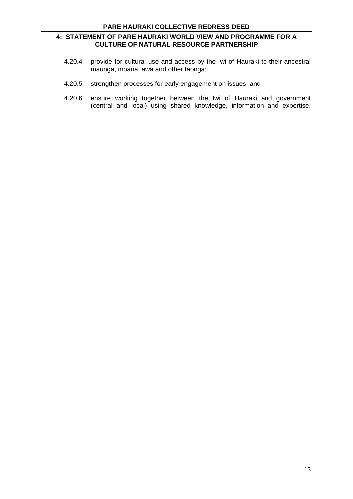- 4.20.4 provide for cultural use and access by the Iwi of Hauraki to their ancestral maunga, moana, awa and other taonga;
- 4.20.5 strengthen processes for early engagement on issues; and
- 4.20.6 ensure working together between the Iwi of Hauraki and government (central and local) using shared knowledge, information and expertise.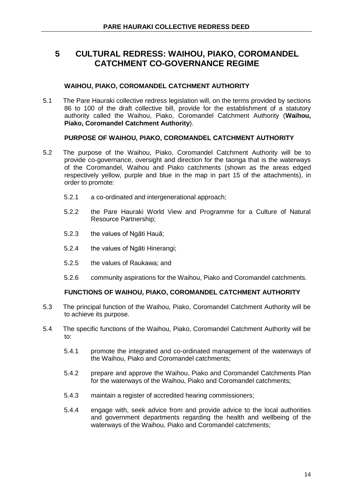## **WAIHOU, PIAKO, COROMANDEL CATCHMENT AUTHORITY**

5.1 The Pare Hauraki collective redress legislation will, on the terms provided by sections 86 to 100 of the draft collective bill, provide for the establishment of a statutory authority called the Waihou, Piako, Coromandel Catchment Authority (**Waihou, Piako, Coromandel Catchment Authority**).

## **PURPOSE OF WAIHOU, PIAKO, COROMANDEL CATCHMENT AUTHORITY**

- 5.2 The purpose of the Waihou, Piako, Coromandel Catchment Authority will be to provide co-governance, oversight and direction for the taonga that is the waterways of the Coromandel, Waihou and Piako catchments (shown as the areas edged respectively yellow, purple and blue in the map in part 15 of the attachments), in order to promote:
	- 5.2.1 a co-ordinated and intergenerational approach;
	- 5.2.2 the Pare Hauraki World View and Programme for a Culture of Natural Resource Partnership;
	- 5.2.3 the values of Ngāti Hauā;
	- 5.2.4 the values of Ngāti Hinerangi;
	- 5.2.5 the values of Raukawa; and
	- 5.2.6 community aspirations for the Waihou, Piako and Coromandel catchments.

## **FUNCTIONS OF WAIHOU, PIAKO, COROMANDEL CATCHMENT AUTHORITY**

- 5.3 The principal function of the Waihou, Piako, Coromandel Catchment Authority will be to achieve its purpose.
- 5.4 The specific functions of the Waihou, Piako, Coromandel Catchment Authority will be to:
	- 5.4.1 promote the integrated and co-ordinated management of the waterways of the Waihou, Piako and Coromandel catchments;
	- 5.4.2 prepare and approve the Waihou, Piako and Coromandel Catchments Plan for the waterways of the Waihou, Piako and Coromandel catchments;
	- 5.4.3 maintain a register of accredited hearing commissioners;
	- 5.4.4 engage with, seek advice from and provide advice to the local authorities and government departments regarding the health and wellbeing of the waterways of the Waihou, Piako and Coromandel catchments;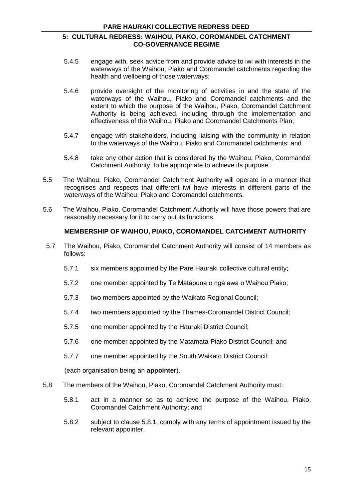- 5.4.5 engage with, seek advice from and provide advice to iwi with interests in the waterways of the Waihou, Piako and Coromandel catchments regarding the health and wellbeing of those waterways;
- 5.4.6 provide oversight of the monitoring of activities in and the state of the waterways of the Waihou, Piako and Coromandel catchments and the extent to which the purpose of the Waihou, Piako, Coromandel Catchment Authority is being achieved, including through the implementation and effectiveness of the Waihou, Piako and Coromandel Catchments Plan;
- 5.4.7 engage with stakeholders, including liaising with the community in relation to the waterways of the Waihou, Piako and Coromandel catchments; and
- 5.4.8 take any other action that is considered by the Waihou, Piako, Coromandel Catchment Authority to be appropriate to achieve its purpose.
- 5.5 The Waihou, Piako, Coromandel Catchment Authority will operate in a manner that recognises and respects that different iwi have interests in different parts of the waterways of the Waihou, Piako and Coromandel catchments.
- 5.6 The Waihou, Piako, Coromandel Catchment Authority will have those powers that are reasonably necessary for it to carry out its functions.

## **MEMBERSHIP OF WAIHOU, PIAKO, COROMANDEL CATCHMENT AUTHORITY**

- 5.7 The Waihou, Piako, Coromandel Catchment Authority will consist of 14 members as follows:
	- 5.7.1 six members appointed by the Pare Hauraki collective cultural entity;
	- 5.7.2 one member appointed by Te Mātāpuna o ngā awa o Waihou Piako;
	- 5.7.3 two members appointed by the Waikato Regional Council;
	- 5.7.4 two members appointed by the Thames-Coromandel District Council;
	- 5.7.5 one member appointed by the Hauraki District Council;
	- 5.7.6 one member appointed by the Matamata-Piako District Council; and
	- 5.7.7 one member appointed by the South Waikato District Council;

(each organisation being an **appointer**).

- 5.8 The members of the Waihou, Piako, Coromandel Catchment Authority must:
	- 5.8.1 act in a manner so as to achieve the purpose of the Waihou, Piako, Coromandel Catchment Authority; and
	- 5.8.2 subject to clause 5.8.1, comply with any terms of appointment issued by the relevant appointer.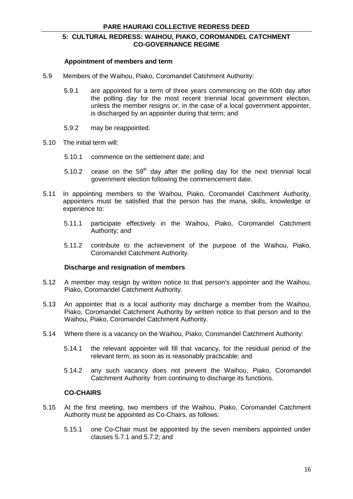#### **Appointment of members and term**

- 5.9 Members of the Waihou, Piako, Coromandel Catchment Authority:
	- 5.9.1 are appointed for a term of three years commencing on the 60th day after the polling day for the most recent triennial local government election, unless the member resigns or, in the case of a local government appointer, is discharged by an appointer during that term; and
	- 5.9.2 may be reappointed.
- 5.10 The initial term will:
	- 5.10.1 commence on the settlement date; and
	- 5.10.2 cease on the  $59<sup>th</sup>$  day after the polling day for the next triennial local government election following the commencement date.
- 5.11 In appointing members to the Waihou, Piako, Coromandel Catchment Authority, appointers must be satisfied that the person has the mana, skills, knowledge or experience to:
	- 5.11.1 participate effectively in the Waihou, Piako, Coromandel Catchment Authority; and
	- 5.11.2 contribute to the achievement of the purpose of the Waihou, Piako, Coromandel Catchment Authority.

#### **Discharge and resignation of members**

- 5.12 A member may resign by written notice to that person's appointer and the Waihou, Piako, Coromandel Catchment Authority.
- 5.13 An appointer that is a local authority may discharge a member from the Waihou, Piako, Coromandel Catchment Authority by written notice to that person and to the Waihou, Piako, Coromandel Catchment Authority.
- 5.14 Where there is a vacancy on the Waihou, Piako, Coromandel Catchment Authority:
	- 5.14.1 the relevant appointer will fill that vacancy, for the residual period of the relevant term, as soon as is reasonably practicable; and
	- 5.14.2 any such vacancy does not prevent the Waihou, Piako, Coromandel Catchment Authority from continuing to discharge its functions.

## **CO-CHAIRS**

- 5.15 At the first meeting, two members of the Waihou, Piako, Coromandel Catchment Authority must be appointed as Co-Chairs, as follows:
	- 5.15.1 one Co-Chair must be appointed by the seven members appointed under clauses 5.7.1 and 5.7.2; and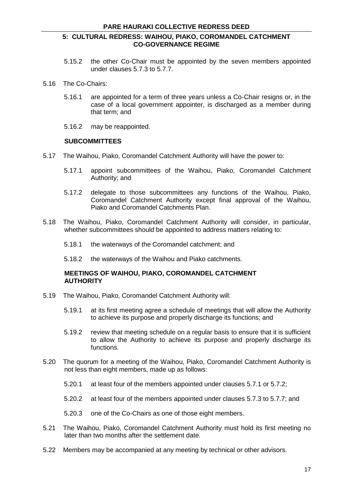- 5.15.2 the other Co-Chair must be appointed by the seven members appointed under clauses 5.7.3 to 5.7.7.
- 5.16 The Co-Chairs:
	- 5.16.1 are appointed for a term of three years unless a Co-Chair resigns or, in the case of a local government appointer, is discharged as a member during that term; and
	- 5.16.2 may be reappointed.

#### **SUBCOMMITTEES**

- 5.17 The Waihou, Piako, Coromandel Catchment Authority will have the power to:
	- 5.17.1 appoint subcommittees of the Waihou, Piako, Coromandel Catchment Authority; and
	- 5.17.2 delegate to those subcommittees any functions of the Waihou, Piako, Coromandel Catchment Authority except final approval of the Waihou, Piako and Coromandel Catchments Plan.
- 5.18 The Waihou, Piako, Coromandel Catchment Authority will consider, in particular, whether subcommittees should be appointed to address matters relating to:
	- 5.18.1 the waterways of the Coromandel catchment; and
	- 5.18.2 the waterways of the Waihou and Piako catchments.

#### **MEETINGS OF WAIHOU, PIAKO, COROMANDEL CATCHMENT AUTHORITY**

- 5.19 The Waihou, Piako, Coromandel Catchment Authority will:
	- 5.19.1 at its first meeting agree a schedule of meetings that will allow the Authority to achieve its purpose and properly discharge its functions; and
	- 5.19.2 review that meeting schedule on a regular basis to ensure that it is sufficient to allow the Authority to achieve its purpose and properly discharge its functions.
- 5.20 The quorum for a meeting of the Waihou, Piako, Coromandel Catchment Authority is not less than eight members, made up as follows:
	- 5.20.1 at least four of the members appointed under clauses 5.7.1 or 5.7.2;
	- 5.20.2 at least four of the members appointed under clauses 5.7.3 to 5.7.7; and
	- 5.20.3 one of the Co-Chairs as one of those eight members.
- 5.21 The Waihou, Piako, Coromandel Catchment Authority must hold its first meeting no later than two months after the settlement date.
- 5.22 Members may be accompanied at any meeting by technical or other advisors.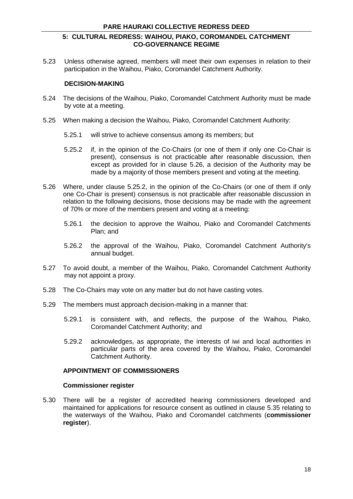5.23 Unless otherwise agreed, members will meet their own expenses in relation to their participation in the Waihou, Piako, Coromandel Catchment Authority.

#### **DECISION-MAKING**

- 5.24 The decisions of the Waihou, Piako, Coromandel Catchment Authority must be made by vote at a meeting.
- 5.25 When making a decision the Waihou, Piako, Coromandel Catchment Authority:
	- 5.25.1 will strive to achieve consensus among its members; but
	- 5.25.2 if, in the opinion of the Co-Chairs (or one of them if only one Co-Chair is present), consensus is not practicable after reasonable discussion, then except as provided for in clause 5.26, a decision of the Authority may be made by a majority of those members present and voting at the meeting.
- 5.26 Where, under clause 5.25.2, in the opinion of the Co-Chairs (or one of them if only one Co-Chair is present) consensus is not practicable after reasonable discussion in relation to the following decisions, those decisions may be made with the agreement of 70% or more of the members present and voting at a meeting:
	- 5.26.1 the decision to approve the Waihou, Piako and Coromandel Catchments Plan; and
	- 5.26.2 the approval of the Waihou, Piako, Coromandel Catchment Authority's annual budget.
- 5.27 To avoid doubt, a member of the Waihou, Piako, Coromandel Catchment Authority may not appoint a proxy.
- 5.28 The Co-Chairs may vote on any matter but do not have casting votes.
- 5.29 The members must approach decision-making in a manner that:
	- 5.29.1 is consistent with, and reflects, the purpose of the Waihou, Piako, Coromandel Catchment Authority; and
	- 5.29.2 acknowledges, as appropriate, the interests of iwi and local authorities in particular parts of the area covered by the Waihou, Piako, Coromandel Catchment Authority.

#### **APPOINTMENT OF COMMISSIONERS**

#### **Commissioner register**

5.30 There will be a register of accredited hearing commissioners developed and maintained for applications for resource consent as outlined in clause 5.35 relating to the waterways of the Waihou, Piako and Coromandel catchments (**commissioner register**).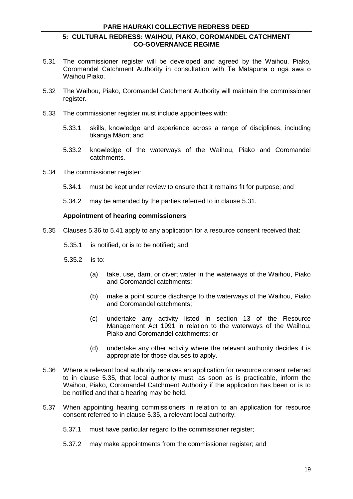- 5.31 The commissioner register will be developed and agreed by the Waihou, Piako, Coromandel Catchment Authority in consultation with Te Mātāpuna o ngā awa o Waihou Piako.
- 5.32 The Waihou, Piako, Coromandel Catchment Authority will maintain the commissioner register.
- 5.33 The commissioner register must include appointees with:
	- 5.33.1 skills, knowledge and experience across a range of disciplines, including tikanga Māori; and
	- 5.33.2 knowledge of the waterways of the Waihou, Piako and Coromandel catchments.
- 5.34 The commissioner register:
	- 5.34.1 must be kept under review to ensure that it remains fit for purpose; and
	- 5.34.2 may be amended by the parties referred to in clause 5.31.

#### **Appointment of hearing commissioners**

- 5.35 Clauses 5.36 to 5.41 apply to any application for a resource consent received that:
	- 5.35.1 is notified, or is to be notified; and
	- 5.35.2 is to:
		- (a) take, use, dam, or divert water in the waterways of the Waihou, Piako and Coromandel catchments;
		- (b) make a point source discharge to the waterways of the Waihou, Piako and Coromandel catchments;
		- (c) undertake any activity listed in section 13 of the Resource Management Act 1991 in relation to the waterways of the Waihou, Piako and Coromandel catchments; or
		- (d) undertake any other activity where the relevant authority decides it is appropriate for those clauses to apply.
- 5.36 Where a relevant local authority receives an application for resource consent referred to in clause 5.35, that local authority must, as soon as is practicable, inform the Waihou, Piako, Coromandel Catchment Authority if the application has been or is to be notified and that a hearing may be held.
- 5.37 When appointing hearing commissioners in relation to an application for resource consent referred to in clause 5.35, a relevant local authority:
	- 5.37.1 must have particular regard to the commissioner register;
	- 5.37.2 may make appointments from the commissioner register; and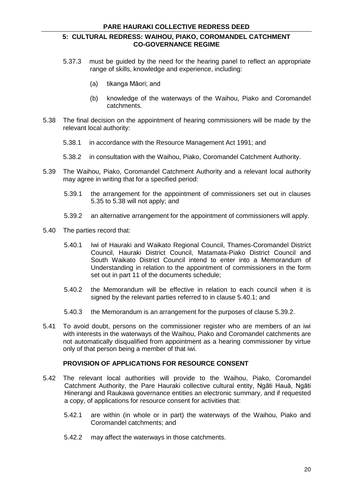- 5.37.3 must be guided by the need for the hearing panel to reflect an appropriate range of skills, knowledge and experience, including:
	- (a) tikanga Māori; and
	- (b) knowledge of the waterways of the Waihou, Piako and Coromandel catchments.
- 5.38 The final decision on the appointment of hearing commissioners will be made by the relevant local authority:
	- 5.38.1 in accordance with the Resource Management Act 1991; and
	- 5.38.2 in consultation with the Waihou, Piako, Coromandel Catchment Authority.
- 5.39 The Waihou, Piako, Coromandel Catchment Authority and a relevant local authority may agree in writing that for a specified period:
	- 5.39.1 the arrangement for the appointment of commissioners set out in clauses 5.35 to 5.38 will not apply; and
	- 5.39.2 an alternative arrangement for the appointment of commissioners will apply.
- 5.40 The parties record that:
	- 5.40.1 Iwi of Hauraki and Waikato Regional Council, Thames-Coromandel District Council, Hauraki District Council, Matamata-Piako District Council and South Waikato District Council intend to enter into a Memorandum of Understanding in relation to the appointment of commissioners in the form set out in part 11 of the documents schedule;
	- 5.40.2 the Memorandum will be effective in relation to each council when it is signed by the relevant parties referred to in clause 5.40.1; and
	- 5.40.3 the Memorandum is an arrangement for the purposes of clause 5.39.2.
- 5.41 To avoid doubt, persons on the commissioner register who are members of an iwi with interests in the waterways of the Waihou, Piako and Coromandel catchments are not automatically disqualified from appointment as a hearing commissioner by virtue only of that person being a member of that iwi.

#### **PROVISION OF APPLICATIONS FOR RESOURCE CONSENT**

- 5.42 The relevant local authorities will provide to the Waihou, Piako, Coromandel Catchment Authority, the Pare Hauraki collective cultural entity, Ngāti Hauā, Ngāti Hinerangi and Raukawa governance entities an electronic summary, and if requested a copy, of applications for resource consent for activities that:
	- 5.42.1 are within (in whole or in part) the waterways of the Waihou, Piako and Coromandel catchments; and
	- 5.42.2 may affect the waterways in those catchments.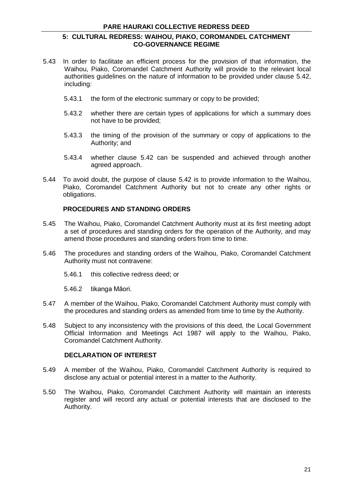- 5.43 In order to facilitate an efficient process for the provision of that information, the Waihou, Piako, Coromandel Catchment Authority will provide to the relevant local authorities guidelines on the nature of information to be provided under clause 5.42, including:
	- 5.43.1 the form of the electronic summary or copy to be provided;
	- 5.43.2 whether there are certain types of applications for which a summary does not have to be provided;
	- 5.43.3 the timing of the provision of the summary or copy of applications to the Authority; and
	- 5.43.4 whether clause 5.42 can be suspended and achieved through another agreed approach.
- 5.44 To avoid doubt, the purpose of clause 5.42 is to provide information to the Waihou, Piako, Coromandel Catchment Authority but not to create any other rights or obligations.

## **PROCEDURES AND STANDING ORDERS**

- 5.45 The Waihou, Piako, Coromandel Catchment Authority must at its first meeting adopt a set of procedures and standing orders for the operation of the Authority, and may amend those procedures and standing orders from time to time.
- 5.46 The procedures and standing orders of the Waihou, Piako, Coromandel Catchment Authority must not contravene:
	- 5.46.1 this collective redress deed; or
	- 5.46.2 tikanga Māori.
- 5.47 A member of the Waihou, Piako, Coromandel Catchment Authority must comply with the procedures and standing orders as amended from time to time by the Authority.
- 5.48 Subject to any inconsistency with the provisions of this deed, the Local Government Official Information and Meetings Act 1987 will apply to the Waihou, Piako, Coromandel Catchment Authority.

## **DECLARATION OF INTEREST**

- 5.49 A member of the Waihou, Piako, Coromandel Catchment Authority is required to disclose any actual or potential interest in a matter to the Authority.
- 5.50 The Waihou, Piako, Coromandel Catchment Authority will maintain an interests register and will record any actual or potential interests that are disclosed to the Authority.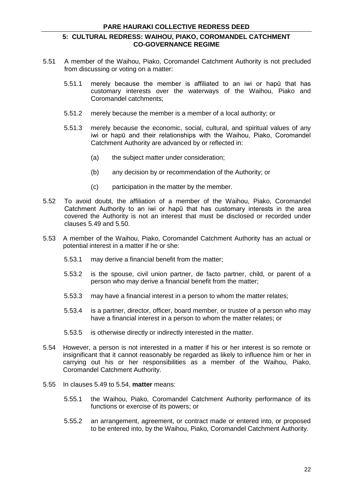- 5.51 A member of the Waihou, Piako, Coromandel Catchment Authority is not precluded from discussing or voting on a matter:
	- 5.51.1 merely because the member is affiliated to an iwi or hapū that has customary interests over the waterways of the Waihou, Piako and Coromandel catchments;
	- 5.51.2 merely because the member is a member of a local authority; or
	- 5.51.3 merely because the economic, social, cultural, and spiritual values of any iwi or hapū and their relationships with the Waihou, Piako, Coromandel Catchment Authority are advanced by or reflected in:
		- (a) the subject matter under consideration;
		- (b) any decision by or recommendation of the Authority; or
		- (c) participation in the matter by the member.
- 5.52 To avoid doubt, the affiliation of a member of the Waihou, Piako, Coromandel Catchment Authority to an iwi or hapū that has customary interests in the area covered the Authority is not an interest that must be disclosed or recorded under clauses 5.49 and 5.50.
- 5.53 A member of the Waihou, Piako, Coromandel Catchment Authority has an actual or potential interest in a matter if he or she:
	- 5.53.1 may derive a financial benefit from the matter;
	- 5.53.2 is the spouse, civil union partner, de facto partner, child, or parent of a person who may derive a financial benefit from the matter;
	- 5.53.3 may have a financial interest in a person to whom the matter relates;
	- 5.53.4 is a partner, director, officer, board member, or trustee of a person who may have a financial interest in a person to whom the matter relates; or
	- 5.53.5 is otherwise directly or indirectly interested in the matter.
- 5.54 However, a person is not interested in a matter if his or her interest is so remote or insignificant that it cannot reasonably be regarded as likely to influence him or her in carrying out his or her responsibilities as a member of the Waihou, Piako, Coromandel Catchment Authority.
- 5.55 In clauses 5.49 to 5.54, **matter** means:
	- 5.55.1 the Waihou, Piako, Coromandel Catchment Authority performance of its functions or exercise of its powers; or
	- 5.55.2 an arrangement, agreement, or contract made or entered into, or proposed to be entered into, by the Waihou, Piako, Coromandel Catchment Authority.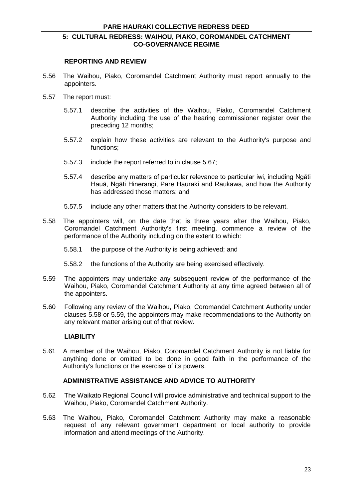#### **REPORTING AND REVIEW**

- 5.56 The Waihou, Piako, Coromandel Catchment Authority must report annually to the appointers.
- 5.57 The report must:
	- 5.57.1 describe the activities of the Waihou, Piako, Coromandel Catchment Authority including the use of the hearing commissioner register over the preceding 12 months;
	- 5.57.2 explain how these activities are relevant to the Authority's purpose and functions;
	- 5.57.3 include the report referred to in clause 5.67;
	- 5.57.4 describe any matters of particular relevance to particular iwi, including Ngāti Hauā, Ngāti Hinerangi, Pare Hauraki and Raukawa, and how the Authority has addressed those matters; and
	- 5.57.5 include any other matters that the Authority considers to be relevant.
- 5.58 The appointers will, on the date that is three years after the Waihou, Piako, Coromandel Catchment Authority's first meeting, commence a review of the performance of the Authority including on the extent to which:
	- 5.58.1 the purpose of the Authority is being achieved; and
	- 5.58.2 the functions of the Authority are being exercised effectively.
- 5.59 The appointers may undertake any subsequent review of the performance of the Waihou, Piako, Coromandel Catchment Authority at any time agreed between all of the appointers.
- 5.60 Following any review of the Waihou, Piako, Coromandel Catchment Authority under clauses 5.58 or 5.59, the appointers may make recommendations to the Authority on any relevant matter arising out of that review.

#### **LIABILITY**

5.61 A member of the Waihou, Piako, Coromandel Catchment Authority is not liable for anything done or omitted to be done in good faith in the performance of the Authority's functions or the exercise of its powers.

#### **ADMINISTRATIVE ASSISTANCE AND ADVICE TO AUTHORITY**

- 5.62 The Waikato Regional Council will provide administrative and technical support to the Waihou, Piako, Coromandel Catchment Authority.
- 5.63 The Waihou, Piako, Coromandel Catchment Authority may make a reasonable request of any relevant government department or local authority to provide information and attend meetings of the Authority.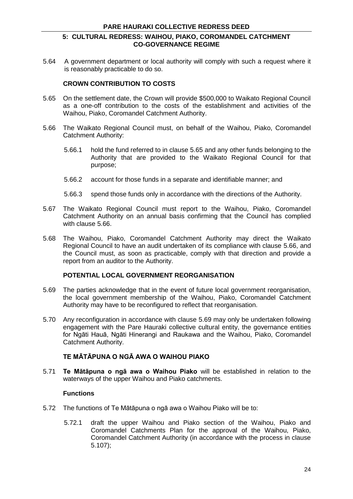5.64 A government department or local authority will comply with such a request where it is reasonably practicable to do so.

#### **CROWN CONTRIBUTION TO COSTS**

- 5.65 On the settlement date, the Crown will provide \$500,000 to Waikato Regional Council as a one-off contribution to the costs of the establishment and activities of the Waihou, Piako, Coromandel Catchment Authority.
- 5.66 The Waikato Regional Council must, on behalf of the Waihou, Piako, Coromandel Catchment Authority:
	- 5.66.1 hold the fund referred to in clause 5.65 and any other funds belonging to the Authority that are provided to the Waikato Regional Council for that purpose;
	- 5.66.2 account for those funds in a separate and identifiable manner; and
	- 5.66.3 spend those funds only in accordance with the directions of the Authority.
- 5.67 The Waikato Regional Council must report to the Waihou, Piako, Coromandel Catchment Authority on an annual basis confirming that the Council has complied with clause 5.66.
- 5.68 The Waihou, Piako, Coromandel Catchment Authority may direct the Waikato Regional Council to have an audit undertaken of its compliance with clause 5.66, and the Council must, as soon as practicable, comply with that direction and provide a report from an auditor to the Authority.

#### **POTENTIAL LOCAL GOVERNMENT REORGANISATION**

- 5.69 The parties acknowledge that in the event of future local government reorganisation, the local government membership of the Waihou, Piako, Coromandel Catchment Authority may have to be reconfigured to reflect that reorganisation.
- 5.70 Any reconfiguration in accordance with clause 5.69 may only be undertaken following engagement with the Pare Hauraki collective cultural entity, the governance entities for Ngāti Hauā, Ngāti Hinerangi and Raukawa and the Waihou, Piako, Coromandel Catchment Authority.

## **TE MĀTĀPUNA O NGĀ AWA O WAIHOU PIAKO**

5.71 **Te Mātāpuna o ngā awa o Waihou Piako** will be established in relation to the waterways of the upper Waihou and Piako catchments.

#### **Functions**

- 5.72 The functions of Te Mātāpuna o ngā awa o Waihou Piako will be to:
	- 5.72.1 draft the upper Waihou and Piako section of the Waihou, Piako and Coromandel Catchments Plan for the approval of the Waihou, Piako, Coromandel Catchment Authority (in accordance with the process in clause 5.107);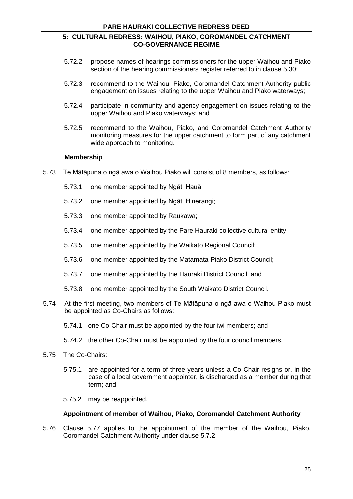- 5.72.2 propose names of hearings commissioners for the upper Waihou and Piako section of the hearing commissioners register referred to in clause 5.30;
- 5.72.3 recommend to the Waihou, Piako, Coromandel Catchment Authority public engagement on issues relating to the upper Waihou and Piako waterways;
- 5.72.4 participate in community and agency engagement on issues relating to the upper Waihou and Piako waterways; and
- 5.72.5 recommend to the Waihou, Piako, and Coromandel Catchment Authority monitoring measures for the upper catchment to form part of any catchment wide approach to monitoring.

#### **Membership**

- 5.73 Te Mātāpuna o ngā awa o Waihou Piako will consist of 8 members, as follows:
	- 5.73.1 one member appointed by Ngāti Hauā;
	- 5.73.2 one member appointed by Ngāti Hinerangi;
	- 5.73.3 one member appointed by Raukawa;
	- 5.73.4 one member appointed by the Pare Hauraki collective cultural entity;
	- 5.73.5 one member appointed by the Waikato Regional Council;
	- 5.73.6 one member appointed by the Matamata-Piako District Council;
	- 5.73.7 one member appointed by the Hauraki District Council; and
	- 5.73.8 one member appointed by the South Waikato District Council.
- 5.74 At the first meeting, two members of Te Mātāpuna o ngā awa o Waihou Piako must be appointed as Co-Chairs as follows:
	- 5.74.1 one Co-Chair must be appointed by the four iwi members; and
	- 5.74.2 the other Co-Chair must be appointed by the four council members.
- 5.75 The Co-Chairs:
	- 5.75.1 are appointed for a term of three years unless a Co-Chair resigns or, in the case of a local government appointer, is discharged as a member during that term; and
	- 5.75.2 may be reappointed.

#### **Appointment of member of Waihou, Piako, Coromandel Catchment Authority**

5.76 Clause 5.77 applies to the appointment of the member of the Waihou, Piako, Coromandel Catchment Authority under clause 5.7.2.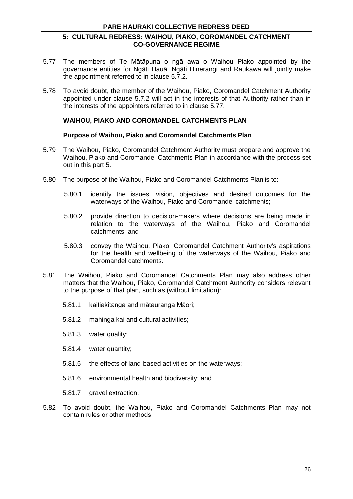- 5.77 The members of Te Mātāpuna o ngā awa o Waihou Piako appointed by the governance entities for Ngāti Hauā, Ngāti Hinerangi and Raukawa will jointly make the appointment referred to in clause 5.7.2.
- 5.78 To avoid doubt, the member of the Waihou, Piako, Coromandel Catchment Authority appointed under clause 5.7.2 will act in the interests of that Authority rather than in the interests of the appointers referred to in clause 5.77.

## **WAIHOU, PIAKO AND COROMANDEL CATCHMENTS PLAN**

#### **Purpose of Waihou, Piako and Coromandel Catchments Plan**

- 5.79 The Waihou, Piako, Coromandel Catchment Authority must prepare and approve the Waihou, Piako and Coromandel Catchments Plan in accordance with the process set out in this part 5.
- 5.80 The purpose of the Waihou, Piako and Coromandel Catchments Plan is to:
	- 5.80.1 identify the issues, vision, objectives and desired outcomes for the waterways of the Waihou, Piako and Coromandel catchments;
	- 5.80.2 provide direction to decision-makers where decisions are being made in relation to the waterways of the Waihou, Piako and Coromandel catchments; and
	- 5.80.3 convey the Waihou, Piako, Coromandel Catchment Authority's aspirations for the health and wellbeing of the waterways of the Waihou, Piako and Coromandel catchments.
- 5.81 The Waihou, Piako and Coromandel Catchments Plan may also address other matters that the Waihou, Piako, Coromandel Catchment Authority considers relevant to the purpose of that plan, such as (without limitation):
	- 5.81.1 kaitiakitanga and mātauranga Māori;
	- 5.81.2 mahinga kai and cultural activities;
	- 5.81.3 water quality;
	- 5.81.4 water quantity;
	- 5.81.5 the effects of land-based activities on the waterways;
	- 5.81.6 environmental health and biodiversity; and
	- 5.81.7 aravel extraction.
- 5.82 To avoid doubt, the Waihou, Piako and Coromandel Catchments Plan may not contain rules or other methods.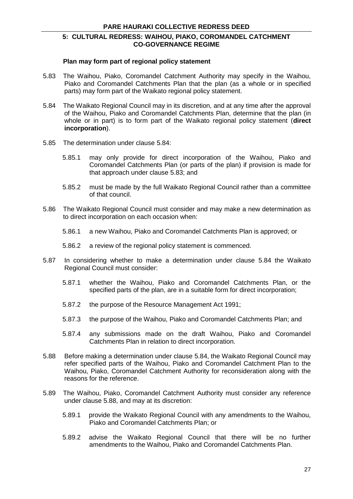#### **Plan may form part of regional policy statement**

- 5.83 The Waihou, Piako, Coromandel Catchment Authority may specify in the Waihou, Piako and Coromandel Catchments Plan that the plan (as a whole or in specified parts) may form part of the Waikato regional policy statement.
- 5.84 The Waikato Regional Council may in its discretion, and at any time after the approval of the Waihou, Piako and Coromandel Catchments Plan, determine that the plan (in whole or in part) is to form part of the Waikato regional policy statement (**direct incorporation**).
- 5.85 The determination under clause 5.84:
	- 5.85.1 may only provide for direct incorporation of the Waihou, Piako and Coromandel Catchments Plan (or parts of the plan) if provision is made for that approach under clause 5.83; and
	- 5.85.2 must be made by the full Waikato Regional Council rather than a committee of that council.
- 5.86 The Waikato Regional Council must consider and may make a new determination as to direct incorporation on each occasion when:
	- 5.86.1 a new Waihou, Piako and Coromandel Catchments Plan is approved; or
	- 5.86.2 a review of the regional policy statement is commenced.
- 5.87 In considering whether to make a determination under clause 5.84 the Waikato Regional Council must consider:
	- 5.87.1 whether the Waihou, Piako and Coromandel Catchments Plan, or the specified parts of the plan, are in a suitable form for direct incorporation;
	- 5.87.2 the purpose of the Resource Management Act 1991;
	- 5.87.3 the purpose of the Waihou, Piako and Coromandel Catchments Plan; and
	- 5.87.4 any submissions made on the draft Waihou, Piako and Coromandel Catchments Plan in relation to direct incorporation.
- 5.88 Before making a determination under clause 5.84, the Waikato Regional Council may refer specified parts of the Waihou, Piako and Coromandel Catchment Plan to the Waihou, Piako, Coromandel Catchment Authority for reconsideration along with the reasons for the reference.
- 5.89 The Waihou, Piako, Coromandel Catchment Authority must consider any reference under clause 5.88, and may at its discretion:
	- 5.89.1 provide the Waikato Regional Council with any amendments to the Waihou, Piako and Coromandel Catchments Plan; or
	- 5.89.2 advise the Waikato Regional Council that there will be no further amendments to the Waihou, Piako and Coromandel Catchments Plan.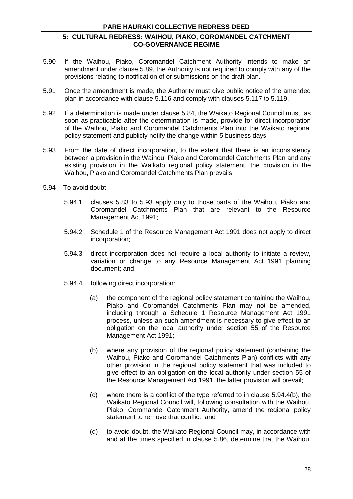#### **PARE HAURAKI COLLECTIVE REDRESS DEED**

#### **5: CULTURAL REDRESS: WAIHOU, PIAKO, COROMANDEL CATCHMENT CO-GOVERNANCE REGIME**

- 5.90 If the Waihou, Piako, Coromandel Catchment Authority intends to make an amendment under clause 5.89, the Authority is not required to comply with any of the provisions relating to notification of or submissions on the draft plan.
- 5.91 Once the amendment is made, the Authority must give public notice of the amended plan in accordance with clause 5.116 and comply with clauses 5.117 to 5.119.
- 5.92 If a determination is made under clause 5.84, the Waikato Regional Council must, as soon as practicable after the determination is made, provide for direct incorporation of the Waihou, Piako and Coromandel Catchments Plan into the Waikato regional policy statement and publicly notify the change within 5 business days.
- 5.93 From the date of direct incorporation, to the extent that there is an inconsistency between a provision in the Waihou, Piako and Coromandel Catchments Plan and any existing provision in the Waikato regional policy statement, the provision in the Waihou, Piako and Coromandel Catchments Plan prevails.
- 5.94 To avoid doubt:
	- 5.94.1 clauses 5.83 to 5.93 apply only to those parts of the Waihou, Piako and Coromandel Catchments Plan that are relevant to the Resource Management Act 1991;
	- 5.94.2 Schedule 1 of the Resource Management Act 1991 does not apply to direct incorporation;
	- 5.94.3 direct incorporation does not require a local authority to initiate a review, variation or change to any Resource Management Act 1991 planning document; and
	- 5.94.4 following direct incorporation:
		- (a) the component of the regional policy statement containing the Waihou, Piako and Coromandel Catchments Plan may not be amended, including through a Schedule 1 Resource Management Act 1991 process, unless an such amendment is necessary to give effect to an obligation on the local authority under section 55 of the Resource Management Act 1991;
		- (b) where any provision of the regional policy statement (containing the Waihou, Piako and Coromandel Catchments Plan) conflicts with any other provision in the regional policy statement that was included to give effect to an obligation on the local authority under section 55 of the Resource Management Act 1991, the latter provision will prevail;
		- (c) where there is a conflict of the type referred to in clause 5.94.4(b), the Waikato Regional Council will, following consultation with the Waihou, Piako, Coromandel Catchment Authority, amend the regional policy statement to remove that conflict; and
		- (d) to avoid doubt, the Waikato Regional Council may, in accordance with and at the times specified in clause 5.86, determine that the Waihou,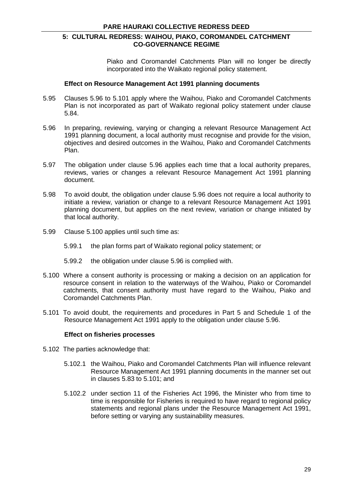Piako and Coromandel Catchments Plan will no longer be directly incorporated into the Waikato regional policy statement.

#### **Effect on Resource Management Act 1991 planning documents**

- 5.95 Clauses 5.96 to 5.101 apply where the Waihou, Piako and Coromandel Catchments Plan is not incorporated as part of Waikato regional policy statement under clause 5.84.
- 5.96 In preparing, reviewing, varying or changing a relevant Resource Management Act 1991 planning document, a local authority must recognise and provide for the vision, objectives and desired outcomes in the Waihou, Piako and Coromandel Catchments Plan.
- 5.97 The obligation under clause 5.96 applies each time that a local authority prepares, reviews, varies or changes a relevant Resource Management Act 1991 planning document.
- 5.98 To avoid doubt, the obligation under clause 5.96 does not require a local authority to initiate a review, variation or change to a relevant Resource Management Act 1991 planning document, but applies on the next review, variation or change initiated by that local authority.
- 5.99 Clause 5.100 applies until such time as:
	- 5.99.1 the plan forms part of Waikato regional policy statement; or
	- 5.99.2 the obligation under clause 5.96 is complied with.
- 5.100 Where a consent authority is processing or making a decision on an application for resource consent in relation to the waterways of the Waihou, Piako or Coromandel catchments, that consent authority must have regard to the Waihou, Piako and Coromandel Catchments Plan.
- 5.101 To avoid doubt, the requirements and procedures in Part 5 and Schedule 1 of the Resource Management Act 1991 apply to the obligation under clause 5.96.

#### **Effect on fisheries processes**

- 5.102 The parties acknowledge that:
	- 5.102.1 the Waihou, Piako and Coromandel Catchments Plan will influence relevant Resource Management Act 1991 planning documents in the manner set out in clauses 5.83 to 5.101; and
	- 5.102.2 under section 11 of the Fisheries Act 1996, the Minister who from time to time is responsible for Fisheries is required to have regard to regional policy statements and regional plans under the Resource Management Act 1991, before setting or varying any sustainability measures.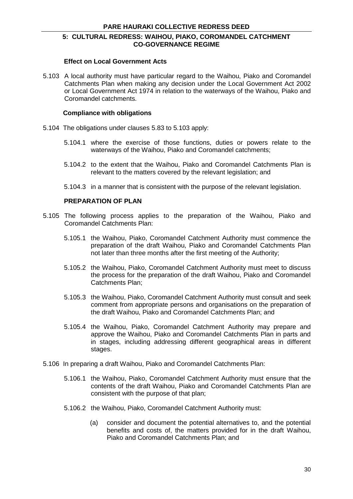#### **Effect on Local Government Acts**

5.103 A local authority must have particular regard to the Waihou, Piako and Coromandel Catchments Plan when making any decision under the Local Government Act 2002 or Local Government Act 1974 in relation to the waterways of the Waihou, Piako and Coromandel catchments.

#### **Compliance with obligations**

- 5.104 The obligations under clauses 5.83 to 5.103 apply:
	- 5.104.1 where the exercise of those functions, duties or powers relate to the waterways of the Waihou, Piako and Coromandel catchments;
	- 5.104.2 to the extent that the Waihou, Piako and Coromandel Catchments Plan is relevant to the matters covered by the relevant legislation; and
	- 5.104.3 in a manner that is consistent with the purpose of the relevant legislation.

#### **PREPARATION OF PLAN**

- 5.105 The following process applies to the preparation of the Waihou, Piako and Coromandel Catchments Plan:
	- 5.105.1 the Waihou, Piako, Coromandel Catchment Authority must commence the preparation of the draft Waihou, Piako and Coromandel Catchments Plan not later than three months after the first meeting of the Authority;
	- 5.105.2 the Waihou, Piako, Coromandel Catchment Authority must meet to discuss the process for the preparation of the draft Waihou, Piako and Coromandel Catchments Plan;
	- 5.105.3 the Waihou, Piako, Coromandel Catchment Authority must consult and seek comment from appropriate persons and organisations on the preparation of the draft Waihou, Piako and Coromandel Catchments Plan; and
	- 5.105.4 the Waihou, Piako, Coromandel Catchment Authority may prepare and approve the Waihou, Piako and Coromandel Catchments Plan in parts and in stages, including addressing different geographical areas in different stages.
- 5.106 In preparing a draft Waihou, Piako and Coromandel Catchments Plan:
	- 5.106.1 the Waihou, Piako, Coromandel Catchment Authority must ensure that the contents of the draft Waihou, Piako and Coromandel Catchments Plan are consistent with the purpose of that plan;
	- 5.106.2 the Waihou, Piako, Coromandel Catchment Authority must:
		- (a) consider and document the potential alternatives to, and the potential benefits and costs of, the matters provided for in the draft Waihou, Piako and Coromandel Catchments Plan; and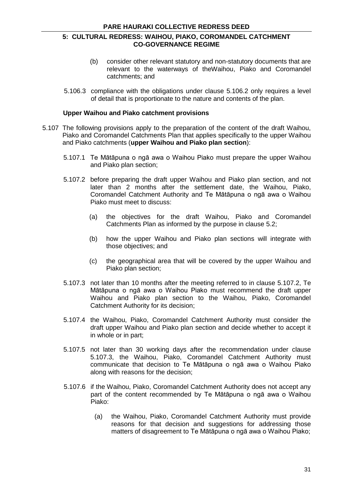- (b) consider other relevant statutory and non-statutory documents that are relevant to the waterways of theWaihou, Piako and Coromandel catchments; and
- 5.106.3 compliance with the obligations under clause 5.106.2 only requires a level of detail that is proportionate to the nature and contents of the plan.

#### **Upper Waihou and Piako catchment provisions**

- 5.107 The following provisions apply to the preparation of the content of the draft Waihou, Piako and Coromandel Catchments Plan that applies specifically to the upper Waihou and Piako catchments (**upper Waihou and Piako plan section**):
	- 5.107.1 Te Mātāpuna o ngā awa o Waihou Piako must prepare the upper Waihou and Piako plan section;
	- 5.107.2 before preparing the draft upper Waihou and Piako plan section, and not later than 2 months after the settlement date, the Waihou, Piako, Coromandel Catchment Authority and Te Mātāpuna o ngā awa o Waihou Piako must meet to discuss:
		- (a) the objectives for the draft Waihou, Piako and Coromandel Catchments Plan as informed by the purpose in clause 5.2;
		- (b) how the upper Waihou and Piako plan sections will integrate with those objectives; and
		- (c) the geographical area that will be covered by the upper Waihou and Piako plan section;
	- 5.107.3 not later than 10 months after the meeting referred to in clause 5.107.2, Te Mātāpuna o ngā awa o Waihou Piako must recommend the draft upper Waihou and Piako plan section to the Waihou, Piako, Coromandel Catchment Authority for its decision;
	- 5.107.4 the Waihou, Piako, Coromandel Catchment Authority must consider the draft upper Waihou and Piako plan section and decide whether to accept it in whole or in part;
	- 5.107.5 not later than 30 working days after the recommendation under clause 5.107.3, the Waihou, Piako, Coromandel Catchment Authority must communicate that decision to Te Mātāpuna o ngā awa o Waihou Piako along with reasons for the decision;
	- 5.107.6 if the Waihou, Piako, Coromandel Catchment Authority does not accept any part of the content recommended by Te Mātāpuna o ngā awa o Waihou Piako:
		- (a) the Waihou, Piako, Coromandel Catchment Authority must provide reasons for that decision and suggestions for addressing those matters of disagreement to Te Mātāpuna o ngā awa o Waihou Piako;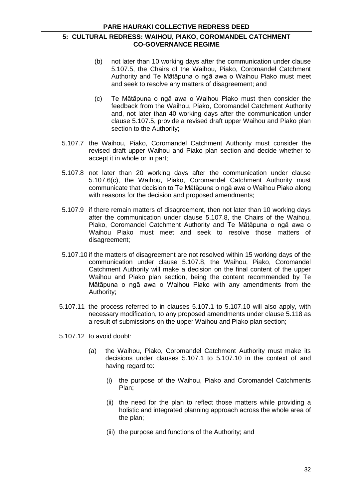- (b) not later than 10 working days after the communication under clause 5.107.5, the Chairs of the Waihou, Piako, Coromandel Catchment Authority and Te Mātāpuna o ngā awa o Waihou Piako must meet and seek to resolve any matters of disagreement; and
- (c) Te Mātāpuna o ngā awa o Waihou Piako must then consider the feedback from the Waihou, Piako, Coromandel Catchment Authority and, not later than 40 working days after the communication under clause 5.107.5, provide a revised draft upper Waihou and Piako plan section to the Authority;
- 5.107.7 the Waihou, Piako, Coromandel Catchment Authority must consider the revised draft upper Waihou and Piako plan section and decide whether to accept it in whole or in part;
- 5.107.8 not later than 20 working days after the communication under clause 5.107.6(c), the Waihou, Piako, Coromandel Catchment Authority must communicate that decision to Te Mātāpuna o ngā awa o Waihou Piako along with reasons for the decision and proposed amendments;
- 5.107.9 if there remain matters of disagreement, then not later than 10 working days after the communication under clause 5.107.8, the Chairs of the Waihou, Piako, Coromandel Catchment Authority and Te Mātāpuna o ngā awa o Waihou Piako must meet and seek to resolve those matters of disagreement;
- 5.107.10 if the matters of disagreement are not resolved within 15 working days of the communication under clause 5.107.8, the Waihou, Piako, Coromandel Catchment Authority will make a decision on the final content of the upper Waihou and Piako plan section, being the content recommended by Te Mātāpuna o ngā awa o Waihou Piako with any amendments from the Authority;
- 5.107.11 the process referred to in clauses 5.107.1 to 5.107.10 will also apply, with necessary modification, to any proposed amendments under clause 5.118 as a result of submissions on the upper Waihou and Piako plan section;
- 5.107.12 to avoid doubt:
	- (a) the Waihou, Piako, Coromandel Catchment Authority must make its decisions under clauses 5.107.1 to 5.107.10 in the context of and having regard to:
		- (i) the purpose of the Waihou, Piako and Coromandel Catchments Plan;
		- (ii) the need for the plan to reflect those matters while providing a holistic and integrated planning approach across the whole area of the plan;
		- (iii) the purpose and functions of the Authority; and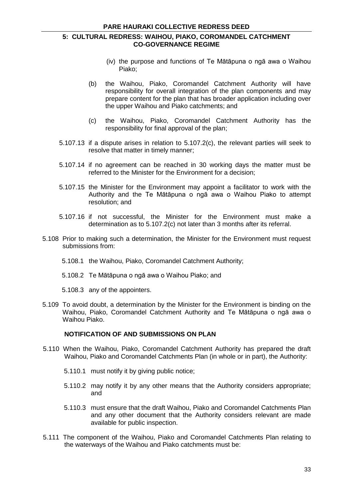- (iv) the purpose and functions of Te Mātāpuna o ngā awa o Waihou Piako;
- (b) the Waihou, Piako, Coromandel Catchment Authority will have responsibility for overall integration of the plan components and may prepare content for the plan that has broader application including over the upper Waihou and Piako catchments; and
- (c) the Waihou, Piako, Coromandel Catchment Authority has the responsibility for final approval of the plan;
- 5.107.13 if a dispute arises in relation to 5.107.2(c), the relevant parties will seek to resolve that matter in timely manner;
- 5.107.14 if no agreement can be reached in 30 working days the matter must be referred to the Minister for the Environment for a decision;
- 5.107.15 the Minister for the Environment may appoint a facilitator to work with the Authority and the Te Mātāpuna o ngā awa o Waihou Piako to attempt resolution; and
- 5.107.16 if not successful, the Minister for the Environment must make a determination as to 5.107.2(c) not later than 3 months after its referral.
- 5.108 Prior to making such a determination, the Minister for the Environment must request submissions from:
	- 5.108.1 the Waihou, Piako, Coromandel Catchment Authority;
	- 5.108.2 Te Mātāpuna o ngā awa o Waihou Piako; and
	- 5.108.3 any of the appointers.
- 5.109 To avoid doubt, a determination by the Minister for the Environment is binding on the Waihou, Piako, Coromandel Catchment Authority and Te Mātāpuna o ngā awa o Waihou Piako.

# **NOTIFICATION OF AND SUBMISSIONS ON PLAN**

- 5.110 When the Waihou, Piako, Coromandel Catchment Authority has prepared the draft Waihou, Piako and Coromandel Catchments Plan (in whole or in part), the Authority:
	- 5.110.1 must notify it by giving public notice;
	- 5.110.2 may notify it by any other means that the Authority considers appropriate; and
	- 5.110.3 must ensure that the draft Waihou, Piako and Coromandel Catchments Plan and any other document that the Authority considers relevant are made available for public inspection.
- 5.111 The component of the Waihou, Piako and Coromandel Catchments Plan relating to the waterways of the Waihou and Piako catchments must be: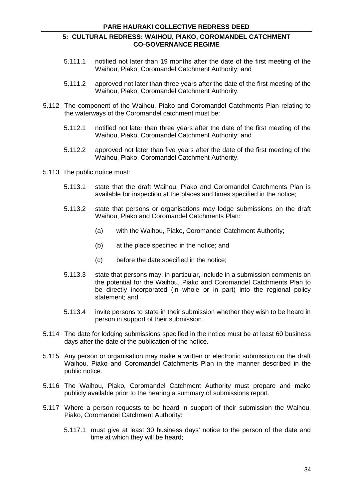- 5.111.1 notified not later than 19 months after the date of the first meeting of the Waihou, Piako, Coromandel Catchment Authority; and
- 5.111.2 approved not later than three years after the date of the first meeting of the Waihou, Piako, Coromandel Catchment Authority.
- 5.112 The component of the Waihou, Piako and Coromandel Catchments Plan relating to the waterways of the Coromandel catchment must be:
	- 5.112.1 notified not later than three years after the date of the first meeting of the Waihou, Piako, Coromandel Catchment Authority; and
	- 5.112.2 approved not later than five years after the date of the first meeting of the Waihou, Piako, Coromandel Catchment Authority.
- 5.113 The public notice must:
	- 5.113.1 state that the draft Waihou, Piako and Coromandel Catchments Plan is available for inspection at the places and times specified in the notice;
	- 5.113.2 state that persons or organisations may lodge submissions on the draft Waihou, Piako and Coromandel Catchments Plan:
		- (a) with the Waihou, Piako, Coromandel Catchment Authority;
		- (b) at the place specified in the notice; and
		- (c) before the date specified in the notice;
	- 5.113.3 state that persons may, in particular, include in a submission comments on the potential for the Waihou, Piako and Coromandel Catchments Plan to be directly incorporated (in whole or in part) into the regional policy statement; and
	- 5.113.4 invite persons to state in their submission whether they wish to be heard in person in support of their submission.
- 5.114 The date for lodging submissions specified in the notice must be at least 60 business days after the date of the publication of the notice.
- 5.115 Any person or organisation may make a written or electronic submission on the draft Waihou, Piako and Coromandel Catchments Plan in the manner described in the public notice.
- 5.116 The Waihou, Piako, Coromandel Catchment Authority must prepare and make publicly available prior to the hearing a summary of submissions report.
- 5.117 Where a person requests to be heard in support of their submission the Waihou, Piako, Coromandel Catchment Authority:
	- 5.117.1 must give at least 30 business days' notice to the person of the date and time at which they will be heard;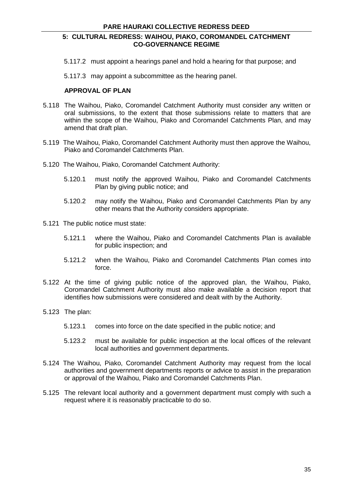5.117.2 must appoint a hearings panel and hold a hearing for that purpose; and

5.117.3 may appoint a subcommittee as the hearing panel.

## **APPROVAL OF PLAN**

- 5.118 The Waihou, Piako, Coromandel Catchment Authority must consider any written or oral submissions, to the extent that those submissions relate to matters that are within the scope of the Waihou, Piako and Coromandel Catchments Plan, and may amend that draft plan.
- 5.119 The Waihou, Piako, Coromandel Catchment Authority must then approve the Waihou, Piako and Coromandel Catchments Plan.
- 5.120 The Waihou, Piako, Coromandel Catchment Authority:
	- 5.120.1 must notify the approved Waihou, Piako and Coromandel Catchments Plan by giving public notice; and
	- 5.120.2 may notify the Waihou, Piako and Coromandel Catchments Plan by any other means that the Authority considers appropriate.
- 5.121 The public notice must state:
	- 5.121.1 where the Waihou, Piako and Coromandel Catchments Plan is available for public inspection; and
	- 5.121.2 when the Waihou, Piako and Coromandel Catchments Plan comes into force.
- 5.122 At the time of giving public notice of the approved plan, the Waihou, Piako, Coromandel Catchment Authority must also make available a decision report that identifies how submissions were considered and dealt with by the Authority.
- 5.123 The plan:
	- 5.123.1 comes into force on the date specified in the public notice; and
	- 5.123.2 must be available for public inspection at the local offices of the relevant local authorities and government departments.
- 5.124 The Waihou, Piako, Coromandel Catchment Authority may request from the local authorities and government departments reports or advice to assist in the preparation or approval of the Waihou, Piako and Coromandel Catchments Plan.
- 5.125 The relevant local authority and a government department must comply with such a request where it is reasonably practicable to do so.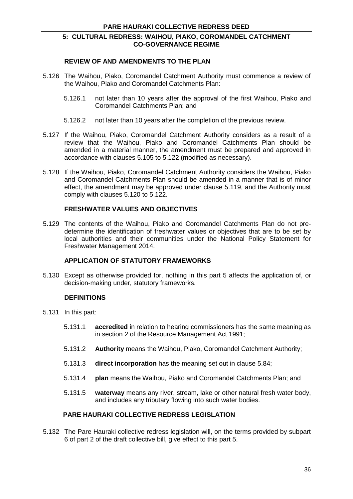#### **REVIEW OF AND AMENDMENTS TO THE PLAN**

- 5.126 The Waihou, Piako, Coromandel Catchment Authority must commence a review of the Waihou, Piako and Coromandel Catchments Plan:
	- 5.126.1 not later than 10 years after the approval of the first Waihou, Piako and Coromandel Catchments Plan; and
	- 5.126.2 not later than 10 years after the completion of the previous review.
- 5.127 If the Waihou, Piako, Coromandel Catchment Authority considers as a result of a review that the Waihou, Piako and Coromandel Catchments Plan should be amended in a material manner, the amendment must be prepared and approved in accordance with clauses 5.105 to 5.122 (modified as necessary).
- 5.128 If the Waihou, Piako, Coromandel Catchment Authority considers the Waihou, Piako and Coromandel Catchments Plan should be amended in a manner that is of minor effect, the amendment may be approved under clause 5.119, and the Authority must comply with clauses 5.120 to 5.122.

## **FRESHWATER VALUES AND OBJECTIVES**

5.129 The contents of the Waihou, Piako and Coromandel Catchments Plan do not predetermine the identification of freshwater values or objectives that are to be set by local authorities and their communities under the National Policy Statement for Freshwater Management 2014.

## **APPLICATION OF STATUTORY FRAMEWORKS**

5.130 Except as otherwise provided for, nothing in this part 5 affects the application of, or decision-making under, statutory frameworks.

## **DEFINITIONS**

- 5.131 In this part:
	- 5.131.1 **accredited** in relation to hearing commissioners has the same meaning as in section 2 of the Resource Management Act 1991;
	- 5.131.2 **Authority** means the Waihou, Piako, Coromandel Catchment Authority;
	- 5.131.3 **direct incorporation** has the meaning set out in clause 5.84;
	- 5.131.4 **plan** means the Waihou, Piako and Coromandel Catchments Plan; and
	- 5.131.5 **waterway** means any river, stream, lake or other natural fresh water body, and includes any tributary flowing into such water bodies.

## **PARE HAURAKI COLLECTIVE REDRESS LEGISLATION**

5.132 The Pare Hauraki collective redress legislation will, on the terms provided by subpart 6 of part 2 of the draft collective bill, give effect to this part 5.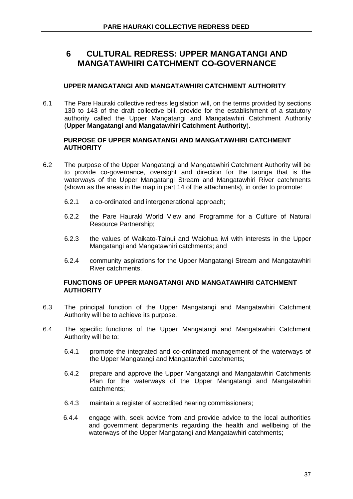# **UPPER MANGATANGI AND MANGATAWHIRI CATCHMENT AUTHORITY**

6.1 The Pare Hauraki collective redress legislation will, on the terms provided by sections 130 to 143 of the draft collective bill, provide for the establishment of a statutory authority called the Upper Mangatangi and Mangatawhiri Catchment Authority (**Upper Mangatangi and Mangatawhiri Catchment Authority**).

## **PURPOSE OF UPPER MANGATANGI AND MANGATAWHIRI CATCHMENT AUTHORITY**

- 6.2 The purpose of the Upper Mangatangi and Mangatawhiri Catchment Authority will be to provide co-governance, oversight and direction for the taonga that is the waterways of the Upper Mangatangi Stream and Mangatawhiri River catchments (shown as the areas in the map in part 14 of the attachments), in order to promote:
	- 6.2.1 a co-ordinated and intergenerational approach;
	- 6.2.2 the Pare Hauraki World View and Programme for a Culture of Natural Resource Partnership;
	- 6.2.3 the values of Waikato-Tainui and Waiohua iwi with interests in the Upper Mangatangi and Mangatawhiri catchments; and
	- 6.2.4 community aspirations for the Upper Mangatangi Stream and Mangatawhiri River catchments.

## **FUNCTIONS OF UPPER MANGATANGI AND MANGATAWHIRI CATCHMENT AUTHORITY**

- 6.3 The principal function of the Upper Mangatangi and Mangatawhiri Catchment Authority will be to achieve its purpose.
- 6.4 The specific functions of the Upper Mangatangi and Mangatawhiri Catchment Authority will be to:
	- 6.4.1 promote the integrated and co-ordinated management of the waterways of the Upper Mangatangi and Mangatawhiri catchments;
	- 6.4.2 prepare and approve the Upper Mangatangi and Mangatawhiri Catchments Plan for the waterways of the Upper Mangatangi and Mangatawhiri catchments;
	- 6.4.3 maintain a register of accredited hearing commissioners;
	- 6.4.4 engage with, seek advice from and provide advice to the local authorities and government departments regarding the health and wellbeing of the waterways of the Upper Mangatangi and Mangatawhiri catchments;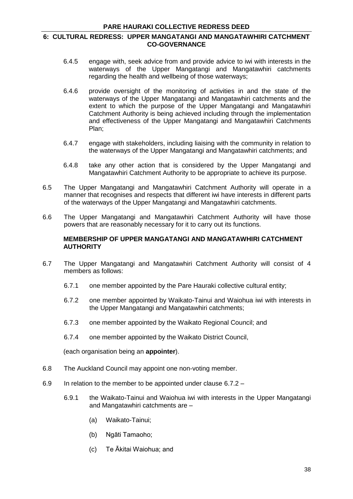- 6.4.5 engage with, seek advice from and provide advice to iwi with interests in the waterways of the Upper Mangatangi and Mangatawhiri catchments regarding the health and wellbeing of those waterways;
- 6.4.6 provide oversight of the monitoring of activities in and the state of the waterways of the Upper Mangatangi and Mangatawhiri catchments and the extent to which the purpose of the Upper Mangatangi and Mangatawhiri Catchment Authority is being achieved including through the implementation and effectiveness of the Upper Mangatangi and Mangatawhiri Catchments Plan;
- 6.4.7 engage with stakeholders, including liaising with the community in relation to the waterways of the Upper Mangatangi and Mangatawhiri catchments; and
- 6.4.8 take any other action that is considered by the Upper Mangatangi and Mangatawhiri Catchment Authority to be appropriate to achieve its purpose.
- 6.5 The Upper Mangatangi and Mangatawhiri Catchment Authority will operate in a manner that recognises and respects that different iwi have interests in different parts of the waterways of the Upper Mangatangi and Mangatawhiri catchments.
- 6.6 The Upper Mangatangi and Mangatawhiri Catchment Authority will have those powers that are reasonably necessary for it to carry out its functions.

#### **MEMBERSHIP OF UPPER MANGATANGI AND MANGATAWHIRI CATCHMENT AUTHORITY**

- 6.7 The Upper Mangatangi and Mangatawhiri Catchment Authority will consist of 4 members as follows:
	- 6.7.1 one member appointed by the Pare Hauraki collective cultural entity;
	- 6.7.2 one member appointed by Waikato-Tainui and Waiohua iwi with interests in the Upper Mangatangi and Mangatawhiri catchments;
	- 6.7.3 one member appointed by the Waikato Regional Council; and
	- 6.7.4 one member appointed by the Waikato District Council,

(each organisation being an **appointer**).

- 6.8 The Auckland Council may appoint one non-voting member.
- 6.9 In relation to the member to be appointed under clause 6.7.2
	- 6.9.1 the Waikato-Tainui and Waiohua iwi with interests in the Upper Mangatangi and Mangatawhiri catchments are –
		- (a) Waikato-Tainui;
		- (b) Ngāti Tamaoho;
		- (c) Te Ākitai Waiohua; and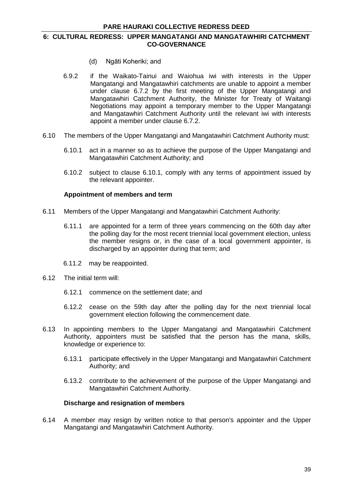- (d) Ngāti Koheriki; and
- 6.9.2 if the Waikato-Tainui and Waiohua iwi with interests in the Upper Mangatangi and Mangatawhiri catchments are unable to appoint a member under clause 6.7.2 by the first meeting of the Upper Mangatangi and Mangatawhiri Catchment Authority, the Minister for Treaty of Waitangi Negotiations may appoint a temporary member to the Upper Mangatangi and Mangatawhiri Catchment Authority until the relevant iwi with interests appoint a member under clause 6.7.2.
- 6.10 The members of the Upper Mangatangi and Mangatawhiri Catchment Authority must:
	- 6.10.1 act in a manner so as to achieve the purpose of the Upper Mangatangi and Mangatawhiri Catchment Authority; and
	- 6.10.2 subject to clause 6.10.1, comply with any terms of appointment issued by the relevant appointer.

## **Appointment of members and term**

- 6.11 Members of the Upper Mangatangi and Mangatawhiri Catchment Authority:
	- 6.11.1 are appointed for a term of three years commencing on the 60th day after the polling day for the most recent triennial local government election, unless the member resigns or, in the case of a local government appointer, is discharged by an appointer during that term; and
	- 6.11.2 may be reappointed.
- 6.12 The initial term will:
	- 6.12.1 commence on the settlement date; and
	- 6.12.2 cease on the 59th day after the polling day for the next triennial local government election following the commencement date.
- 6.13 In appointing members to the Upper Mangatangi and Mangatawhiri Catchment Authority, appointers must be satisfied that the person has the mana, skills, knowledge or experience to:
	- 6.13.1 participate effectively in the Upper Mangatangi and Mangatawhiri Catchment Authority; and
	- 6.13.2 contribute to the achievement of the purpose of the Upper Mangatangi and Mangatawhiri Catchment Authority.

## **Discharge and resignation of members**

6.14 A member may resign by written notice to that person's appointer and the Upper Mangatangi and Mangatawhiri Catchment Authority.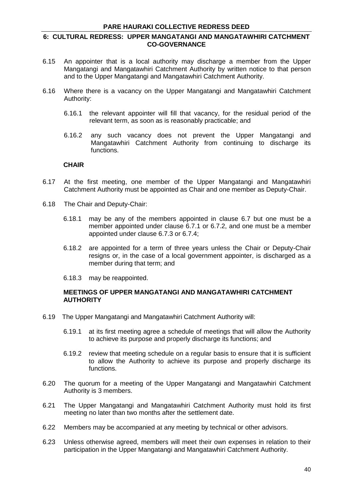#### **6: CULTURAL REDRESS: UPPER MANGATANGI AND MANGATAWHIRI CATCHMENT CO-GOVERNANCE**

- 6.15 An appointer that is a local authority may discharge a member from the Upper Mangatangi and Mangatawhiri Catchment Authority by written notice to that person and to the Upper Mangatangi and Mangatawhiri Catchment Authority.
- 6.16 Where there is a vacancy on the Upper Mangatangi and Mangatawhiri Catchment Authority:
	- 6.16.1 the relevant appointer will fill that vacancy, for the residual period of the relevant term, as soon as is reasonably practicable; and
	- 6.16.2 any such vacancy does not prevent the Upper Mangatangi and Mangatawhiri Catchment Authority from continuing to discharge its functions.

#### **CHAIR**

- 6.17 At the first meeting, one member of the Upper Mangatangi and Mangatawhiri Catchment Authority must be appointed as Chair and one member as Deputy-Chair.
- 6.18 The Chair and Deputy-Chair:
	- 6.18.1 may be any of the members appointed in clause 6.7 but one must be a member appointed under clause 6.7.1 or 6.7.2, and one must be a member appointed under clause 6.7.3 or 6.7.4;
	- 6.18.2 are appointed for a term of three years unless the Chair or Deputy-Chair resigns or, in the case of a local government appointer, is discharged as a member during that term; and
	- 6.18.3 may be reappointed.

#### **MEETINGS OF UPPER MANGATANGI AND MANGATAWHIRI CATCHMENT AUTHORITY**

- 6.19 The Upper Mangatangi and Mangatawhiri Catchment Authority will:
	- 6.19.1 at its first meeting agree a schedule of meetings that will allow the Authority to achieve its purpose and properly discharge its functions; and
	- 6.19.2 review that meeting schedule on a regular basis to ensure that it is sufficient to allow the Authority to achieve its purpose and properly discharge its functions.
- 6.20 The quorum for a meeting of the Upper Mangatangi and Mangatawhiri Catchment Authority is 3 members.
- 6.21 The Upper Mangatangi and Mangatawhiri Catchment Authority must hold its first meeting no later than two months after the settlement date.
- 6.22 Members may be accompanied at any meeting by technical or other advisors.
- 6.23 Unless otherwise agreed, members will meet their own expenses in relation to their participation in the Upper Mangatangi and Mangatawhiri Catchment Authority.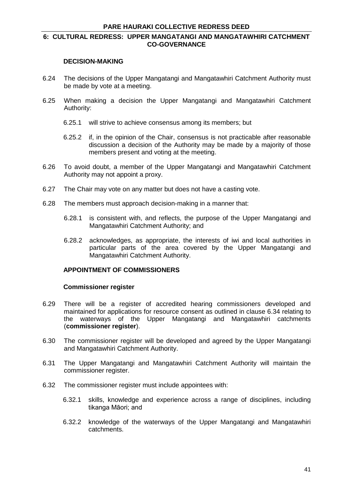#### **DECISION-MAKING**

- 6.24 The decisions of the Upper Mangatangi and Mangatawhiri Catchment Authority must be made by vote at a meeting.
- 6.25 When making a decision the Upper Mangatangi and Mangatawhiri Catchment Authority:
	- 6.25.1 will strive to achieve consensus among its members; but
	- 6.25.2 if, in the opinion of the Chair, consensus is not practicable after reasonable discussion a decision of the Authority may be made by a majority of those members present and voting at the meeting.
- 6.26 To avoid doubt, a member of the Upper Mangatangi and Mangatawhiri Catchment Authority may not appoint a proxy.
- 6.27 The Chair may vote on any matter but does not have a casting vote.
- 6.28 The members must approach decision-making in a manner that:
	- 6.28.1 is consistent with, and reflects, the purpose of the Upper Mangatangi and Mangatawhiri Catchment Authority; and
	- 6.28.2 acknowledges, as appropriate, the interests of iwi and local authorities in particular parts of the area covered by the Upper Mangatangi and Mangatawhiri Catchment Authority.

## **APPOINTMENT OF COMMISSIONERS**

#### **Commissioner register**

- 6.29 There will be a register of accredited hearing commissioners developed and maintained for applications for resource consent as outlined in clause 6.34 relating to the waterways of the Upper Mangatangi and Mangatawhiri catchments (**commissioner register**).
- 6.30 The commissioner register will be developed and agreed by the Upper Mangatangi and Mangatawhiri Catchment Authority.
- 6.31 The Upper Mangatangi and Mangatawhiri Catchment Authority will maintain the commissioner register.
- 6.32 The commissioner register must include appointees with:
	- 6.32.1 skills, knowledge and experience across a range of disciplines, including tikanga Māori; and
	- 6.32.2 knowledge of the waterways of the Upper Mangatangi and Mangatawhiri catchments.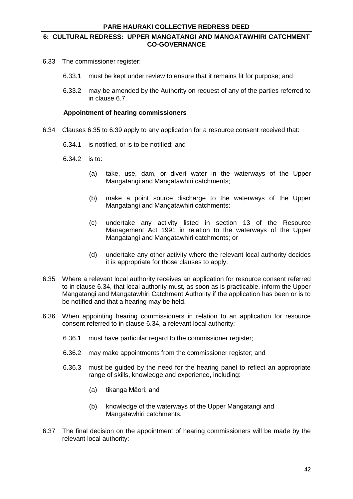- 6.33 The commissioner register:
	- 6.33.1 must be kept under review to ensure that it remains fit for purpose; and
	- 6.33.2 may be amended by the Authority on request of any of the parties referred to in clause 6.7.

#### **Appointment of hearing commissioners**

- 6.34 Clauses 6.35 to 6.39 apply to any application for a resource consent received that:
	- 6.34.1 is notified, or is to be notified; and
	- 6.34.2 is to:
		- (a) take, use, dam, or divert water in the waterways of the Upper Mangatangi and Mangatawhiri catchments;
		- (b) make a point source discharge to the waterways of the Upper Mangatangi and Mangatawhiri catchments;
		- (c) undertake any activity listed in section 13 of the Resource Management Act 1991 in relation to the waterways of the Upper Mangatangi and Mangatawhiri catchments; or
		- (d) undertake any other activity where the relevant local authority decides it is appropriate for those clauses to apply.
- 6.35 Where a relevant local authority receives an application for resource consent referred to in clause 6.34, that local authority must, as soon as is practicable, inform the Upper Mangatangi and Mangatawhiri Catchment Authority if the application has been or is to be notified and that a hearing may be held.
- 6.36 When appointing hearing commissioners in relation to an application for resource consent referred to in clause 6.34, a relevant local authority:
	- 6.36.1 must have particular regard to the commissioner register;
	- 6.36.2 may make appointments from the commissioner register; and
	- 6.36.3 must be guided by the need for the hearing panel to reflect an appropriate range of skills, knowledge and experience, including:
		- (a) tikanga Māori; and
		- (b) knowledge of the waterways of the Upper Mangatangi and Mangatawhiri catchments.
- 6.37 The final decision on the appointment of hearing commissioners will be made by the relevant local authority: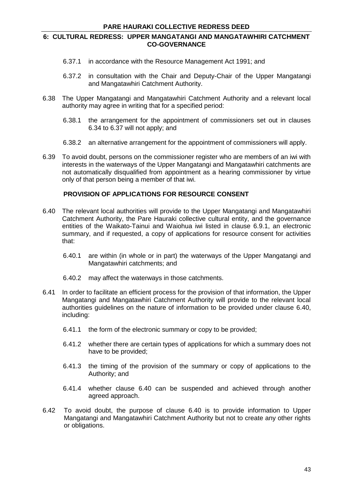- 6.37.1 in accordance with the Resource Management Act 1991; and
- 6.37.2 in consultation with the Chair and Deputy-Chair of the Upper Mangatangi and Mangatawhiri Catchment Authority.
- 6.38 The Upper Mangatangi and Mangatawhiri Catchment Authority and a relevant local authority may agree in writing that for a specified period:
	- 6.38.1 the arrangement for the appointment of commissioners set out in clauses 6.34 to 6.37 will not apply; and
	- 6.38.2 an alternative arrangement for the appointment of commissioners will apply.
- 6.39 To avoid doubt, persons on the commissioner register who are members of an iwi with interests in the waterways of the Upper Mangatangi and Mangatawhiri catchments are not automatically disqualified from appointment as a hearing commissioner by virtue only of that person being a member of that iwi.

## **PROVISION OF APPLICATIONS FOR RESOURCE CONSENT**

- 6.40 The relevant local authorities will provide to the Upper Mangatangi and Mangatawhiri Catchment Authority, the Pare Hauraki collective cultural entity, and the governance entities of the Waikato-Tainui and Waiohua iwi listed in clause 6.9.1, an electronic summary, and if requested, a copy of applications for resource consent for activities that:
	- 6.40.1 are within (in whole or in part) the waterways of the Upper Mangatangi and Mangatawhiri catchments; and
	- 6.40.2 may affect the waterways in those catchments.
- 6.41 In order to facilitate an efficient process for the provision of that information, the Upper Mangatangi and Mangatawhiri Catchment Authority will provide to the relevant local authorities guidelines on the nature of information to be provided under clause 6.40, including:
	- 6.41.1 the form of the electronic summary or copy to be provided;
	- 6.41.2 whether there are certain types of applications for which a summary does not have to be provided;
	- 6.41.3 the timing of the provision of the summary or copy of applications to the Authority; and
	- 6.41.4 whether clause 6.40 can be suspended and achieved through another agreed approach.
- 6.42 To avoid doubt, the purpose of clause 6.40 is to provide information to Upper Mangatangi and Mangatawhiri Catchment Authority but not to create any other rights or obligations.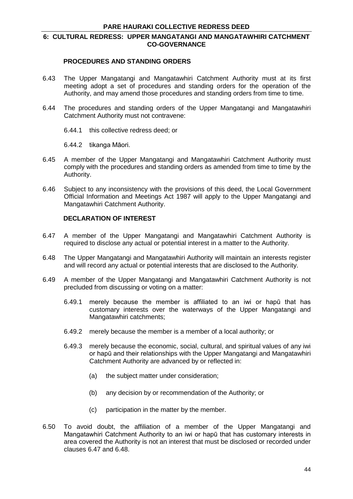#### **PROCEDURES AND STANDING ORDERS**

- 6.43 The Upper Mangatangi and Mangatawhiri Catchment Authority must at its first meeting adopt a set of procedures and standing orders for the operation of the Authority, and may amend those procedures and standing orders from time to time.
- 6.44 The procedures and standing orders of the Upper Mangatangi and Mangatawhiri Catchment Authority must not contravene:
	- 6.44.1 this collective redress deed; or
	- 6.44.2 tikanga Māori.
- 6.45 A member of the Upper Mangatangi and Mangatawhiri Catchment Authority must comply with the procedures and standing orders as amended from time to time by the Authority.
- 6.46 Subject to any inconsistency with the provisions of this deed, the Local Government Official Information and Meetings Act 1987 will apply to the Upper Mangatangi and Mangatawhiri Catchment Authority.

## **DECLARATION OF INTEREST**

- 6.47 A member of the Upper Mangatangi and Mangatawhiri Catchment Authority is required to disclose any actual or potential interest in a matter to the Authority.
- 6.48 The Upper Mangatangi and Mangatawhiri Authority will maintain an interests register and will record any actual or potential interests that are disclosed to the Authority.
- 6.49 A member of the Upper Mangatangi and Mangatawhiri Catchment Authority is not precluded from discussing or voting on a matter:
	- 6.49.1 merely because the member is affiliated to an iwi or hapū that has customary interests over the waterways of the Upper Mangatangi and Mangatawhiri catchments;
	- 6.49.2 merely because the member is a member of a local authority; or
	- 6.49.3 merely because the economic, social, cultural, and spiritual values of any iwi or hapū and their relationships with the Upper Mangatangi and Mangatawhiri Catchment Authority are advanced by or reflected in:
		- (a) the subject matter under consideration;
		- (b) any decision by or recommendation of the Authority; or
		- (c) participation in the matter by the member.
- 6.50 To avoid doubt, the affiliation of a member of the Upper Mangatangi and Mangatawhiri Catchment Authority to an iwi or hapū that has customary interests in area covered the Authority is not an interest that must be disclosed or recorded under clauses 6.47 and 6.48.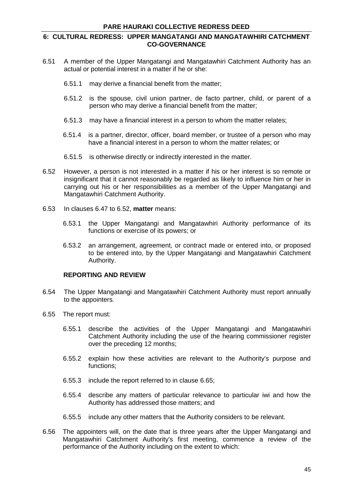- 6.51 A member of the Upper Mangatangi and Mangatawhiri Catchment Authority has an actual or potential interest in a matter if he or she:
	- 6.51.1 may derive a financial benefit from the matter;
	- 6.51.2 is the spouse, civil union partner, de facto partner, child, or parent of a person who may derive a financial benefit from the matter;
	- 6.51.3 may have a financial interest in a person to whom the matter relates;
	- 6.51.4 is a partner, director, officer, board member, or trustee of a person who may have a financial interest in a person to whom the matter relates; or
	- 6.51.5 is otherwise directly or indirectly interested in the matter.
- 6.52 However, a person is not interested in a matter if his or her interest is so remote or insignificant that it cannot reasonably be regarded as likely to influence him or her in carrying out his or her responsibilities as a member of the Upper Mangatangi and Mangatawhiri Catchment Authority.
- 6.53 In clauses 6.47 to 6.52, **matter** means:
	- 6.53.1 the Upper Mangatangi and Mangatawhiri Authority performance of its functions or exercise of its powers; or
	- 6.53.2 an arrangement, agreement, or contract made or entered into, or proposed to be entered into, by the Upper Mangatangi and Mangatawhiri Catchment Authority.

#### **REPORTING AND REVIEW**

- 6.54 The Upper Mangatangi and Mangatawhiri Catchment Authority must report annually to the appointers.
- 6.55 The report must:
	- 6.55.1 describe the activities of the Upper Mangatangi and Mangatawhiri Catchment Authority including the use of the hearing commissioner register over the preceding 12 months;
	- 6.55.2 explain how these activities are relevant to the Authority's purpose and functions;
	- 6.55.3 include the report referred to in clause 6.65;
	- 6.55.4 describe any matters of particular relevance to particular iwi and how the Authority has addressed those matters; and
	- 6.55.5 include any other matters that the Authority considers to be relevant.
- 6.56 The appointers will, on the date that is three years after the Upper Mangatangi and Mangatawhiri Catchment Authority's first meeting, commence a review of the performance of the Authority including on the extent to which: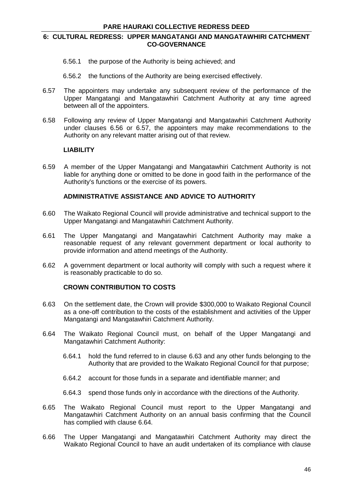- 6.56.1 the purpose of the Authority is being achieved; and
- 6.56.2 the functions of the Authority are being exercised effectively.
- 6.57 The appointers may undertake any subsequent review of the performance of the Upper Mangatangi and Mangatawhiri Catchment Authority at any time agreed between all of the appointers.
- 6.58 Following any review of Upper Mangatangi and Mangatawhiri Catchment Authority under clauses 6.56 or 6.57, the appointers may make recommendations to the Authority on any relevant matter arising out of that review.

## **LIABILITY**

6.59 A member of the Upper Mangatangi and Mangatawhiri Catchment Authority is not liable for anything done or omitted to be done in good faith in the performance of the Authority's functions or the exercise of its powers.

## **ADMINISTRATIVE ASSISTANCE AND ADVICE TO AUTHORITY**

- 6.60 The Waikato Regional Council will provide administrative and technical support to the Upper Mangatangi and Mangatawhiri Catchment Authority.
- 6.61 The Upper Mangatangi and Mangatawhiri Catchment Authority may make a reasonable request of any relevant government department or local authority to provide information and attend meetings of the Authority.
- 6.62 A government department or local authority will comply with such a request where it is reasonably practicable to do so.

## **CROWN CONTRIBUTION TO COSTS**

- 6.63 On the settlement date, the Crown will provide \$300,000 to Waikato Regional Council as a one-off contribution to the costs of the establishment and activities of the Upper Mangatangi and Mangatawhiri Catchment Authority.
- 6.64 The Waikato Regional Council must, on behalf of the Upper Mangatangi and Mangatawhiri Catchment Authority:
	- 6.64.1 hold the fund referred to in clause 6.63 and any other funds belonging to the Authority that are provided to the Waikato Regional Council for that purpose;
	- 6.64.2 account for those funds in a separate and identifiable manner; and
	- 6.64.3 spend those funds only in accordance with the directions of the Authority.
- 6.65 The Waikato Regional Council must report to the Upper Mangatangi and Mangatawhiri Catchment Authority on an annual basis confirming that the Council has complied with clause 6.64.
- 6.66 The Upper Mangatangi and Mangatawhiri Catchment Authority may direct the Waikato Regional Council to have an audit undertaken of its compliance with clause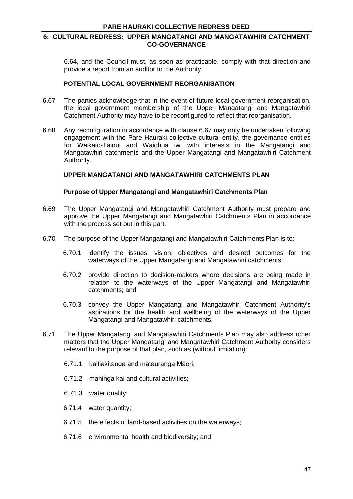6.64, and the Council must, as soon as practicable, comply with that direction and provide a report from an auditor to the Authority.

#### **POTENTIAL LOCAL GOVERNMENT REORGANISATION**

- 6.67 The parties acknowledge that in the event of future local government reorganisation, the local government membership of the Upper Mangatangi and Mangatawhiri Catchment Authority may have to be reconfigured to reflect that reorganisation.
- 6.68 Any reconfiguration in accordance with clause 6.67 may only be undertaken following engagement with the Pare Hauraki collective cultural entity, the governance entities for Waikato-Tainui and Waiohua iwi with interests in the Mangatangi and Mangatawhiri catchments and the Upper Mangatangi and Mangatawhiri Catchment Authority.

# **UPPER MANGATANGI AND MANGATAWHIRI CATCHMENTS PLAN**

#### **Purpose of Upper Mangatangi and Mangatawhiri Catchments Plan**

- 6.69 The Upper Mangatangi and Mangatawhiri Catchment Authority must prepare and approve the Upper Mangatangi and Mangatawhiri Catchments Plan in accordance with the process set out in this part.
- 6.70 The purpose of the Upper Mangatangi and Mangatawhiri Catchments Plan is to:
	- 6.70.1 identify the issues, vision, objectives and desired outcomes for the waterways of the Upper Mangatangi and Mangatawhiri catchments;
	- 6.70.2 provide direction to decision-makers where decisions are being made in relation to the waterways of the Upper Mangatangi and Mangatawhiri catchments; and
	- 6.70.3 convey the Upper Mangatangi and Mangatawhiri Catchment Authority's aspirations for the health and wellbeing of the waterways of the Upper Mangatangi and Mangatawhiri catchments.
- 6.71 The Upper Mangatangi and Mangatawhiri Catchments Plan may also address other matters that the Upper Mangatangi and Mangatawhiri Catchment Authority considers relevant to the purpose of that plan, such as (without limitation):
	- 6.71.1 kaitiakitanga and mātauranga Māori;
	- 6.71.2 mahinga kai and cultural activities;
	- 6.71.3 water quality;
	- 6.71.4 water quantity;
	- 6.71.5 the effects of land-based activities on the waterways;
	- 6.71.6 environmental health and biodiversity; and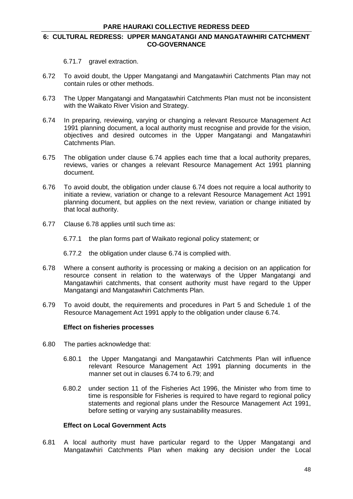## **6: CULTURAL REDRESS: UPPER MANGATANGI AND MANGATAWHIRI CATCHMENT CO-GOVERNANCE**

6.71.7 gravel extraction.

- 6.72 To avoid doubt, the Upper Mangatangi and Mangatawhiri Catchments Plan may not contain rules or other methods.
- 6.73 The Upper Mangatangi and Mangatawhiri Catchments Plan must not be inconsistent with the Waikato River Vision and Strategy.
- 6.74 In preparing, reviewing, varying or changing a relevant Resource Management Act 1991 planning document, a local authority must recognise and provide for the vision, objectives and desired outcomes in the Upper Mangatangi and Mangatawhiri Catchments Plan.
- 6.75 The obligation under clause 6.74 applies each time that a local authority prepares, reviews, varies or changes a relevant Resource Management Act 1991 planning document.
- 6.76 To avoid doubt, the obligation under clause 6.74 does not require a local authority to initiate a review, variation or change to a relevant Resource Management Act 1991 planning document, but applies on the next review, variation or change initiated by that local authority.
- 6.77 Clause 6.78 applies until such time as:
	- 6.77.1 the plan forms part of Waikato regional policy statement; or
	- 6.77.2 the obligation under clause 6.74 is complied with.
- 6.78 Where a consent authority is processing or making a decision on an application for resource consent in relation to the waterways of the Upper Mangatangi and Mangatawhiri catchments, that consent authority must have regard to the Upper Mangatangi and Mangatawhiri Catchments Plan.
- 6.79 To avoid doubt, the requirements and procedures in Part 5 and Schedule 1 of the Resource Management Act 1991 apply to the obligation under clause 6.74.

## **Effect on fisheries processes**

- 6.80 The parties acknowledge that:
	- 6.80.1 the Upper Mangatangi and Mangatawhiri Catchments Plan will influence relevant Resource Management Act 1991 planning documents in the manner set out in clauses 6.74 to 6.79; and
	- 6.80.2 under section 11 of the Fisheries Act 1996, the Minister who from time to time is responsible for Fisheries is required to have regard to regional policy statements and regional plans under the Resource Management Act 1991, before setting or varying any sustainability measures.

## **Effect on Local Government Acts**

6.81 A local authority must have particular regard to the Upper Mangatangi and Mangatawhiri Catchments Plan when making any decision under the Local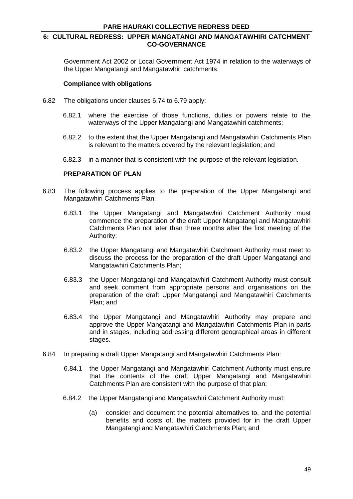Government Act 2002 or Local Government Act 1974 in relation to the waterways of the Upper Mangatangi and Mangatawhiri catchments.

#### **Compliance with obligations**

- 6.82 The obligations under clauses 6.74 to 6.79 apply:
	- 6.82.1 where the exercise of those functions, duties or powers relate to the waterways of the Upper Mangatangi and Mangatawhiri catchments;
	- 6.82.2 to the extent that the Upper Mangatangi and Mangatawhiri Catchments Plan is relevant to the matters covered by the relevant legislation; and
	- 6.82.3 in a manner that is consistent with the purpose of the relevant legislation.

#### **PREPARATION OF PLAN**

- 6.83 The following process applies to the preparation of the Upper Mangatangi and Mangatawhiri Catchments Plan:
	- 6.83.1 the Upper Mangatangi and Mangatawhiri Catchment Authority must commence the preparation of the draft Upper Mangatangi and Mangatawhiri Catchments Plan not later than three months after the first meeting of the Authority;
	- 6.83.2 the Upper Mangatangi and Mangatawhiri Catchment Authority must meet to discuss the process for the preparation of the draft Upper Mangatangi and Mangatawhiri Catchments Plan;
	- 6.83.3 the Upper Mangatangi and Mangatawhiri Catchment Authority must consult and seek comment from appropriate persons and organisations on the preparation of the draft Upper Mangatangi and Mangatawhiri Catchments Plan; and
	- 6.83.4 the Upper Mangatangi and Mangatawhiri Authority may prepare and approve the Upper Mangatangi and Mangatawhiri Catchments Plan in parts and in stages, including addressing different geographical areas in different stages.
- 6.84 In preparing a draft Upper Mangatangi and Mangatawhiri Catchments Plan:
	- 6.84.1 the Upper Mangatangi and Mangatawhiri Catchment Authority must ensure that the contents of the draft Upper Mangatangi and Mangatawhiri Catchments Plan are consistent with the purpose of that plan;
	- 6.84.2 the Upper Mangatangi and Mangatawhiri Catchment Authority must:
		- (a) consider and document the potential alternatives to, and the potential benefits and costs of, the matters provided for in the draft Upper Mangatangi and Mangatawhiri Catchments Plan; and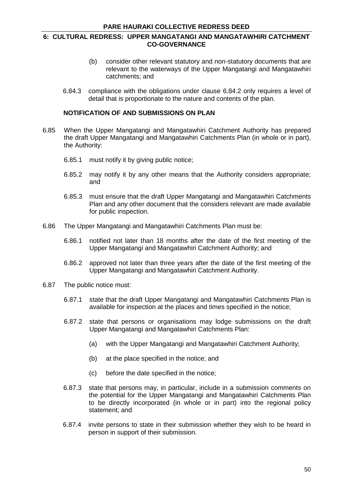- (b) consider other relevant statutory and non-statutory documents that are relevant to the waterways of the Upper Mangatangi and Mangatawhiri catchments; and
- 6.84.3 compliance with the obligations under clause 6.84.2 only requires a level of detail that is proportionate to the nature and contents of the plan.

## **NOTIFICATION OF AND SUBMISSIONS ON PLAN**

- 6.85 When the Upper Mangatangi and Mangatawhiri Catchment Authority has prepared the draft Upper Mangatangi and Mangatawhiri Catchments Plan (in whole or in part), the Authority:
	- 6.85.1 must notify it by giving public notice;
	- 6.85.2 may notify it by any other means that the Authority considers appropriate; and
	- 6.85.3 must ensure that the draft Upper Mangatangi and Mangatawhiri Catchments Plan and any other document that the considers relevant are made available for public inspection.
- 6.86 The Upper Mangatangi and Mangatawhiri Catchments Plan must be:
	- 6.86.1 notified not later than 18 months after the date of the first meeting of the Upper Mangatangi and Mangatawhiri Catchment Authority; and
	- 6.86.2 approved not later than three years after the date of the first meeting of the Upper Mangatangi and Mangatawhiri Catchment Authority.
- 6.87 The public notice must:
	- 6.87.1 state that the draft Upper Mangatangi and Mangatawhiri Catchments Plan is available for inspection at the places and times specified in the notice;
	- 6.87.2 state that persons or organisations may lodge submissions on the draft Upper Mangatangi and Mangatawhiri Catchments Plan:
		- (a) with the Upper Mangatangi and Mangatawhiri Catchment Authority;
		- (b) at the place specified in the notice; and
		- (c) before the date specified in the notice;
	- 6.87.3 state that persons may, in particular, include in a submission comments on the potential for the Upper Mangatangi and Mangatawhiri Catchments Plan to be directly incorporated (in whole or in part) into the regional policy statement; and
	- 6.87.4 invite persons to state in their submission whether they wish to be heard in person in support of their submission.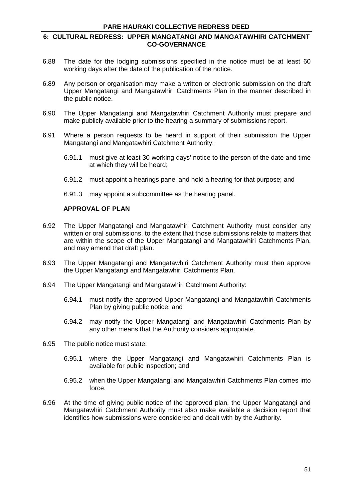## **6: CULTURAL REDRESS: UPPER MANGATANGI AND MANGATAWHIRI CATCHMENT CO-GOVERNANCE**

- 6.88 The date for the lodging submissions specified in the notice must be at least 60 working days after the date of the publication of the notice.
- 6.89 Any person or organisation may make a written or electronic submission on the draft Upper Mangatangi and Mangatawhiri Catchments Plan in the manner described in the public notice.
- 6.90 The Upper Mangatangi and Mangatawhiri Catchment Authority must prepare and make publicly available prior to the hearing a summary of submissions report.
- 6.91 Where a person requests to be heard in support of their submission the Upper Mangatangi and Mangatawhiri Catchment Authority:
	- 6.91.1 must give at least 30 working days' notice to the person of the date and time at which they will be heard;
	- 6.91.2 must appoint a hearings panel and hold a hearing for that purpose; and
	- 6.91.3 may appoint a subcommittee as the hearing panel.

## **APPROVAL OF PLAN**

- 6.92 The Upper Mangatangi and Mangatawhiri Catchment Authority must consider any written or oral submissions, to the extent that those submissions relate to matters that are within the scope of the Upper Mangatangi and Mangatawhiri Catchments Plan, and may amend that draft plan.
- 6.93 The Upper Mangatangi and Mangatawhiri Catchment Authority must then approve the Upper Mangatangi and Mangatawhiri Catchments Plan.
- 6.94 The Upper Mangatangi and Mangatawhiri Catchment Authority:
	- 6.94.1 must notify the approved Upper Mangatangi and Mangatawhiri Catchments Plan by giving public notice; and
	- 6.94.2 may notify the Upper Mangatangi and Mangatawhiri Catchments Plan by any other means that the Authority considers appropriate.
- 6.95 The public notice must state:
	- 6.95.1 where the Upper Mangatangi and Mangatawhiri Catchments Plan is available for public inspection; and
	- 6.95.2 when the Upper Mangatangi and Mangatawhiri Catchments Plan comes into force.
- 6.96 At the time of giving public notice of the approved plan, the Upper Mangatangi and Mangatawhiri Catchment Authority must also make available a decision report that identifies how submissions were considered and dealt with by the Authority.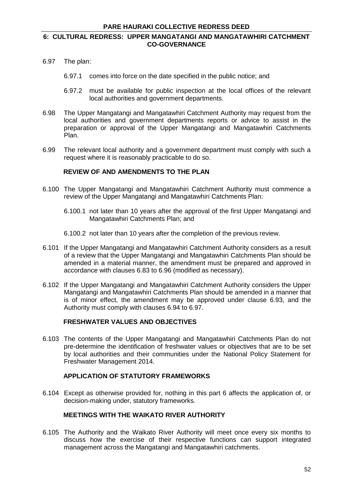- 6.97 The plan:
	- 6.97.1 comes into force on the date specified in the public notice; and
	- 6.97.2 must be available for public inspection at the local offices of the relevant local authorities and government departments.
- 6.98 The Upper Mangatangi and Mangatawhiri Catchment Authority may request from the local authorities and government departments reports or advice to assist in the preparation or approval of the Upper Mangatangi and Mangatawhiri Catchments Plan.
- 6.99 The relevant local authority and a government department must comply with such a request where it is reasonably practicable to do so.

## **REVIEW OF AND AMENDMENTS TO THE PLAN**

- 6.100 The Upper Mangatangi and Mangatawhiri Catchment Authority must commence a review of the Upper Mangatangi and Mangatawhiri Catchments Plan:
	- 6.100.1 not later than 10 years after the approval of the first Upper Mangatangi and Mangatawhiri Catchments Plan; and
	- 6.100.2 not later than 10 years after the completion of the previous review.
- 6.101 If the Upper Mangatangi and Mangatawhiri Catchment Authority considers as a result of a review that the Upper Mangatangi and Mangatawhiri Catchments Plan should be amended in a material manner, the amendment must be prepared and approved in accordance with clauses 6.83 to 6.96 (modified as necessary).
- 6.102 If the Upper Mangatangi and Mangatawhiri Catchment Authority considers the Upper Mangatangi and Mangatawhiri Catchments Plan should be amended in a manner that is of minor effect, the amendment may be approved under clause 6.93, and the Authority must comply with clauses 6.94 to 6.97.

# **FRESHWATER VALUES AND OBJECTIVES**

6.103 The contents of the Upper Mangatangi and Mangatawhiri Catchments Plan do not pre-determine the identification of freshwater values or objectives that are to be set by local authorities and their communities under the National Policy Statement for Freshwater Management 2014.

#### **APPLICATION OF STATUTORY FRAMEWORKS**

6.104 Except as otherwise provided for, nothing in this part 6 affects the application of, or decision-making under, statutory frameworks.

#### **MEETINGS WITH THE WAIKATO RIVER AUTHORITY**

6.105 The Authority and the Waikato River Authority will meet once every six months to discuss how the exercise of their respective functions can support integrated management across the Mangatangi and Mangatawhiri catchments.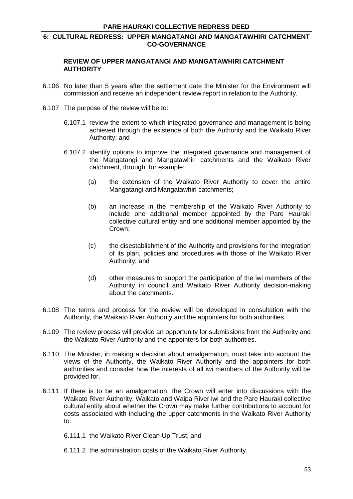## **REVIEW OF UPPER MANGATANGI AND MANGATAWHIRI CATCHMENT AUTHORITY**

- 6.106 No later than 5 years after the settlement date the Minister for the Environment will commission and receive an independent review report in relation to the Authority.
- 6.107 The purpose of the review will be to:
	- 6.107.1 review the extent to which integrated governance and management is being achieved through the existence of both the Authority and the Waikato River Authority; and
	- 6.107.2 identify options to improve the integrated governance and management of the Mangatangi and Mangatawhiri catchments and the Waikato River catchment, through, for example:
		- (a) the extension of the Waikato River Authority to cover the entire Mangatangi and Mangatawhiri catchments;
		- (b) an increase in the membership of the Waikato River Authority to include one additional member appointed by the Pare Hauraki collective cultural entity and one additional member appointed by the Crown;
		- (c) the disestablishment of the Authority and provisions for the integration of its plan, policies and procedures with those of the Waikato River Authority; and
		- (d) other measures to support the participation of the iwi members of the Authority in council and Waikato River Authority decision-making about the catchments.
- 6.108 The terms and process for the review will be developed in consultation with the Authority, the Waikato River Authority and the appointers for both authorities.
- 6.109 The review process will provide an opportunity for submissions from the Authority and the Waikato River Authority and the appointers for both authorities.
- 6.110 The Minister, in making a decision about amalgamation, must take into account the views of the Authority, the Waikato River Authority and the appointers for both authorities and consider how the interests of all iwi members of the Authority will be provided for.
- 6.111 If there is to be an amalgamation, the Crown will enter into discussions with the Waikato River Authority, Waikato and Waipa River iwi and the Pare Hauraki collective cultural entity about whether the Crown may make further contributions to account for costs associated with including the upper catchments in the Waikato River Authority to:
	- 6.111.1 the Waikato River Clean-Up Trust; and
	- 6.111.2 the administration costs of the Waikato River Authority.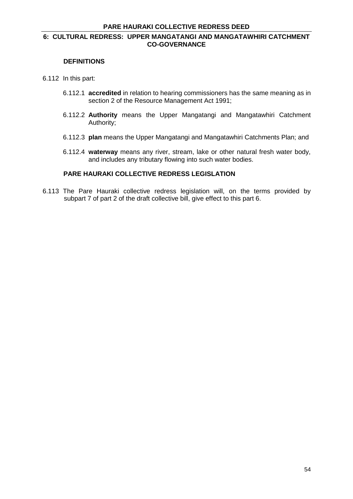#### **DEFINITIONS**

#### 6.112 In this part:

- 6.112.1 **accredited** in relation to hearing commissioners has the same meaning as in section 2 of the Resource Management Act 1991;
- 6.112.2 **Authority** means the Upper Mangatangi and Mangatawhiri Catchment Authority;
- 6.112.3 **plan** means the Upper Mangatangi and Mangatawhiri Catchments Plan; and
- 6.112.4 **waterway** means any river, stream, lake or other natural fresh water body, and includes any tributary flowing into such water bodies.

# **PARE HAURAKI COLLECTIVE REDRESS LEGISLATION**

6.113 The Pare Hauraki collective redress legislation will, on the terms provided by subpart 7 of part 2 of the draft collective bill, give effect to this part 6.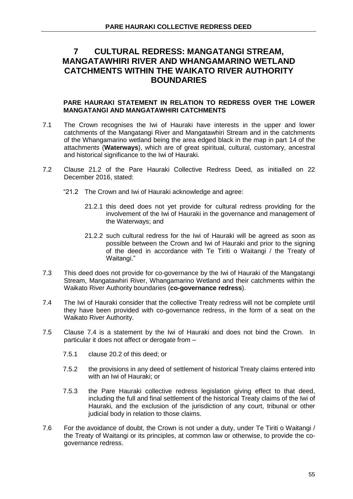#### **PARE HAURAKI STATEMENT IN RELATION TO REDRESS OVER THE LOWER MANGATANGI AND MANGATAWHIRI CATCHMENTS**

- 7.1 The Crown recognises the Iwi of Hauraki have interests in the upper and lower catchments of the Mangatangi River and Mangatawhiri Stream and in the catchments of the Whangamarino wetland being the area edged black in the map in part 14 of the attachments (**Waterways**), which are of great spiritual, cultural, customary, ancestral and historical significance to the Iwi of Hauraki.
- 7.2 Clause 21.2 of the Pare Hauraki Collective Redress Deed, as initialled on 22 December 2016, stated:
	- "21.2 The Crown and Iwi of Hauraki acknowledge and agree:
		- 21.2.1 this deed does not yet provide for cultural redress providing for the involvement of the Iwi of Hauraki in the governance and management of the Waterways; and
		- 21.2.2 such cultural redress for the Iwi of Hauraki will be agreed as soon as possible between the Crown and Iwi of Hauraki and prior to the signing of the deed in accordance with Te Tiriti o Waitangi / the Treaty of Waitangi."
- 7.3 This deed does not provide for co-governance by the Iwi of Hauraki of the Mangatangi Stream, Mangatawhiri River, Whangamarino Wetland and their catchments within the Waikato River Authority boundaries (**co-governance redress**).
- 7.4 The Iwi of Hauraki consider that the collective Treaty redress will not be complete until they have been provided with co-governance redress, in the form of a seat on the Waikato River Authority.
- 7.5 Clause 7.4 is a statement by the Iwi of Hauraki and does not bind the Crown. In particular it does not affect or derogate from –
	- 7.5.1 clause 20.2 of this deed; or
	- 7.5.2 the provisions in any deed of settlement of historical Treaty claims entered into with an Iwi of Hauraki; or
	- 7.5.3 the Pare Hauraki collective redress legislation giving effect to that deed, including the full and final settlement of the historical Treaty claims of the Iwi of Hauraki, and the exclusion of the jurisdiction of any court, tribunal or other judicial body in relation to those claims.
- 7.6 For the avoidance of doubt, the Crown is not under a duty, under Te Tiriti o Waitangi / the Treaty of Waitangi or its principles, at common law or otherwise, to provide the cogovernance redress.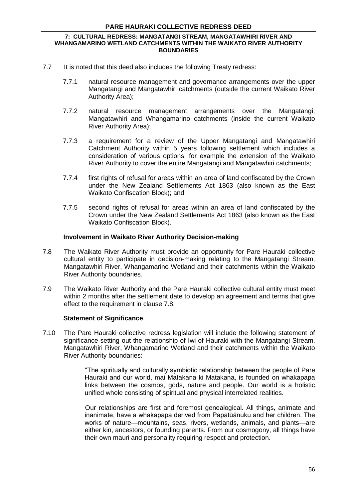- 7.7 It is noted that this deed also includes the following Treaty redress:
	- 7.7.1 natural resource management and governance arrangements over the upper Mangatangi and Mangatawhiri catchments (outside the current Waikato River Authority Area);
	- 7.7.2 natural resource management arrangements over the Mangatangi, Mangatawhiri and Whangamarino catchments (inside the current Waikato River Authority Area);
	- 7.7.3 a requirement for a review of the Upper Mangatangi and Mangatawhiri Catchment Authority within 5 years following settlement which includes a consideration of various options, for example the extension of the Waikato River Authority to cover the entire Mangatangi and Mangatawhiri catchments;
	- 7.7.4 first rights of refusal for areas within an area of land confiscated by the Crown under the New Zealand Settlements Act 1863 (also known as the East Waikato Confiscation Block); and
	- 7.7.5 second rights of refusal for areas within an area of land confiscated by the Crown under the New Zealand Settlements Act 1863 (also known as the East Waikato Confiscation Block).

#### **Involvement in Waikato River Authority Decision-making**

- 7.8 The Waikato River Authority must provide an opportunity for Pare Hauraki collective cultural entity to participate in decision-making relating to the Mangatangi Stream, Mangatawhiri River, Whangamarino Wetland and their catchments within the Waikato River Authority boundaries.
- 7.9 The Waikato River Authority and the Pare Hauraki collective cultural entity must meet within 2 months after the settlement date to develop an agreement and terms that give effect to the requirement in clause 7.8.

## **Statement of Significance**

7.10 The Pare Hauraki collective redress legislation will include the following statement of significance setting out the relationship of Iwi of Hauraki with the Mangatangi Stream, Mangatawhiri River, Whangamarino Wetland and their catchments within the Waikato River Authority boundaries:

> "The spiritually and culturally symbiotic relationship between the people of Pare Hauraki and our world, mai Matakana ki Matakana, is founded on whakapapa links between the cosmos, gods, nature and people. Our world is a holistic unified whole consisting of spiritual and physical interrelated realities.

> Our relationships are first and foremost genealogical. All things, animate and inanimate, have a whakapapa derived from Papatūānuku and her children. The works of nature—mountains, seas, rivers, wetlands, animals, and plants—are either kin, ancestors, or founding parents. From our cosmogony, all things have their own mauri and personality requiring respect and protection.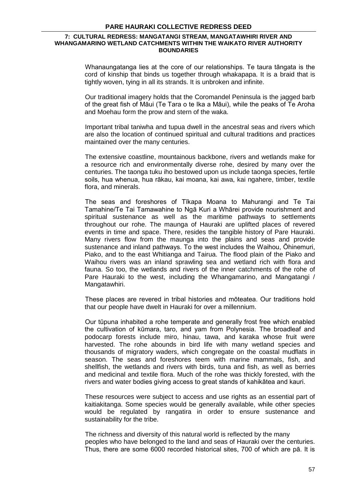Whanaungatanga lies at the core of our relationships. Te taura tāngata is the cord of kinship that binds us together through whakapapa. It is a braid that is tightly woven, tying in all its strands. It is unbroken and infinite.

Our traditional imagery holds that the Coromandel Peninsula is the jagged barb of the great fish of Māui (Te Tara o te Ika a Māui), while the peaks of Te Aroha and Moehau form the prow and stern of the waka.

Important tribal taniwha and tupua dwell in the ancestral seas and rivers which are also the location of continued spiritual and cultural traditions and practices maintained over the many centuries.

The extensive coastline, mountainous backbone, rivers and wetlands make for a resource rich and environmentally diverse rohe, desired by many over the centuries. The taonga tuku iho bestowed upon us include taonga species, fertile soils, hua whenua, hua rākau, kai moana, kai awa, kai ngahere, timber, textile flora, and minerals.

The seas and foreshores of Tīkapa Moana to Mahurangi and Te Tai Tamahine/Te Tai Tamawahine to Ngā Kuri a Whārei provide nourishment and spiritual sustenance as well as the maritime pathways to settlements throughout our rohe. The maunga of Hauraki are uplifted places of revered events in time and space. There, resides the tangible history of Pare Hauraki. Many rivers flow from the maunga into the plains and seas and provide sustenance and inland pathways. To the west includes the Waihou, Ōhinemuri, Piako, and to the east Whitianga and Tairua. The flood plain of the Piako and Waihou rivers was an inland sprawling sea and wetland rich with flora and fauna. So too, the wetlands and rivers of the inner catchments of the rohe of Pare Hauraki to the west, including the Whangamarino, and Mangatangi / Mangatawhiri.

These places are revered in tribal histories and mōteatea. Our traditions hold that our people have dwelt in Hauraki for over a millennium.

Our tūpuna inhabited a rohe temperate and generally frost free which enabled the cultivation of kūmara, taro, and yam from Polynesia. The broadleaf and podocarp forests include miro, hinau, tawa, and karaka whose fruit were harvested. The rohe abounds in bird life with many wetland species and thousands of migratory waders, which congregate on the coastal mudflats in season. The seas and foreshores teem with marine mammals, fish, and shellfish, the wetlands and rivers with birds, tuna and fish, as well as berries and medicinal and textile flora. Much of the rohe was thickly forested, with the rivers and water bodies giving access to great stands of kahikātea and kauri.

These resources were subject to access and use rights as an essential part of kaitiakitanga. Some species would be generally available, while other species would be regulated by rangatira in order to ensure sustenance and sustainability for the tribe.

The richness and diversity of this natural world is reflected by the many peoples who have belonged to the land and seas of Hauraki over the centuries. Thus, there are some 6000 recorded historical sites, 700 of which are pā. It is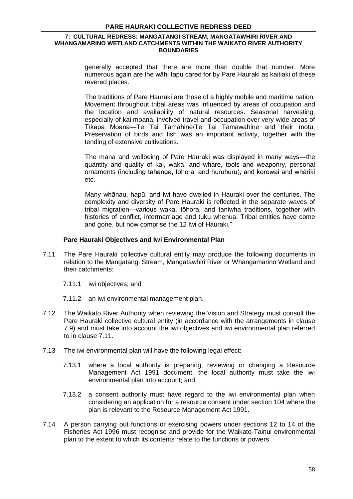generally accepted that there are more than double that number. More numerous again are the wāhi tapu cared for by Pare Hauraki as kaitiaki of these revered places.

The traditions of Pare Hauraki are those of a highly mobile and maritime nation. Movement throughout tribal areas was influenced by areas of occupation and the location and availability of natural resources. Seasonal harvesting, especially of kai moana, involved travel and occupation over very wide areas of Tīkapa Moana—Te Tai Tamahine/Te Tai Tamawahine and their motu. Preservation of birds and fish was an important activity, together with the tending of extensive cultivations.

The mana and wellbeing of Pare Hauraki was displayed in many ways—the quantity and quality of kai, waka, and whare, tools and weaponry, personal ornaments (including tahanga, tōhora, and huruhuru), and korowai and whāriki etc.

Many whānau, hapū, and iwi have dwelled in Hauraki over the centuries. The complexity and diversity of Pare Hauraki is reflected in the separate waves of tribal migration—various waka, tōhora, and taniwha traditions, together with histories of conflict, intermarriage and tuku whenua. Tribal entities have come and gone, but now comprise the 12 Iwi of Hauraki."

## **Pare Hauraki Objectives and Iwi Environmental Plan**

- 7.11 The Pare Hauraki collective cultural entity may produce the following documents in relation to the Mangatangi Stream, Mangatawhiri River or Whangamarino Wetland and their catchments:
	- 7.11.1 iwi objectives; and
	- 7.11.2 an iwi environmental management plan.
- 7.12 The Waikato River Authority when reviewing the Vision and Strategy must consult the Pare Hauraki collective cultural entity (in accordance with the arrangements in clause 7.9) and must take into account the iwi objectives and iwi environmental plan referred to in clause 7.11.
- 7.13 The iwi environmental plan will have the following legal effect:
	- 7.13.1 where a local authority is preparing, reviewing or changing a Resource Management Act 1991 document, the local authority must take the iwi environmental plan into account; and
	- 7.13.2 a consent authority must have regard to the iwi environmental plan when considering an application for a resource consent under section 104 where the plan is relevant to the Resource Management Act 1991.
- 7.14 A person carrying out functions or exercising powers under sections 12 to 14 of the Fisheries Act 1996 must recognise and provide for the Waikato-Tainui environmental plan to the extent to which its contents relate to the functions or powers.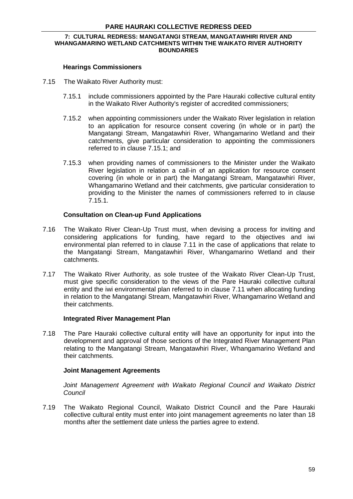#### **7: CULTURAL REDRESS: MANGATANGI STREAM, MANGATAWHIRI RIVER AND WHANGAMARINO WETLAND CATCHMENTS WITHIN THE WAIKATO RIVER AUTHORITY BOUNDARIES**

#### **Hearings Commissioners**

- 7.15 The Waikato River Authority must:
	- 7.15.1 include commissioners appointed by the Pare Hauraki collective cultural entity in the Waikato River Authority's register of accredited commissioners;
	- 7.15.2 when appointing commissioners under the Waikato River legislation in relation to an application for resource consent covering (in whole or in part) the Mangatangi Stream, Mangatawhiri River, Whangamarino Wetland and their catchments, give particular consideration to appointing the commissioners referred to in clause 7.15.1; and
	- 7.15.3 when providing names of commissioners to the Minister under the Waikato River legislation in relation a call-in of an application for resource consent covering (in whole or in part) the Mangatangi Stream, Mangatawhiri River, Whangamarino Wetland and their catchments, give particular consideration to providing to the Minister the names of commissioners referred to in clause 7.15.1.

#### **Consultation on Clean-up Fund Applications**

- 7.16 The Waikato River Clean-Up Trust must, when devising a process for inviting and considering applications for funding, have regard to the objectives and iwi environmental plan referred to in clause 7.11 in the case of applications that relate to the Mangatangi Stream, Mangatawhiri River, Whangamarino Wetland and their catchments.
- 7.17 The Waikato River Authority, as sole trustee of the Waikato River Clean-Up Trust, must give specific consideration to the views of the Pare Hauraki collective cultural entity and the iwi environmental plan referred to in clause 7.11 when allocating funding in relation to the Mangatangi Stream, Mangatawhiri River, Whangamarino Wetland and their catchments.

#### **Integrated River Management Plan**

7.18 The Pare Hauraki collective cultural entity will have an opportunity for input into the development and approval of those sections of the Integrated River Management Plan relating to the Mangatangi Stream, Mangatawhiri River, Whangamarino Wetland and their catchments.

#### **Joint Management Agreements**

Joint Management Agreement with Waikato Regional Council and Waikato District *Council*

7.19 The Waikato Regional Council, Waikato District Council and the Pare Hauraki collective cultural entity must enter into joint management agreements no later than 18 months after the settlement date unless the parties agree to extend.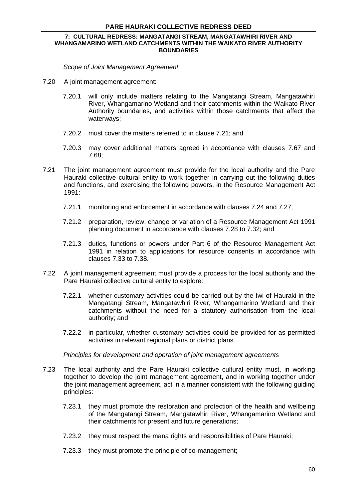#### **7: CULTURAL REDRESS: MANGATANGI STREAM, MANGATAWHIRI RIVER AND WHANGAMARINO WETLAND CATCHMENTS WITHIN THE WAIKATO RIVER AUTHORITY BOUNDARIES**

*Scope of Joint Management Agreement*

- 7.20 A joint management agreement:
	- 7.20.1 will only include matters relating to the Mangatangi Stream, Mangatawhiri River, Whangamarino Wetland and their catchments within the Waikato River Authority boundaries, and activities within those catchments that affect the waterways;
	- 7.20.2 must cover the matters referred to in clause 7.21; and
	- 7.20.3 may cover additional matters agreed in accordance with clauses 7.67 and 7.68;
- 7.21 The joint management agreement must provide for the local authority and the Pare Hauraki collective cultural entity to work together in carrying out the following duties and functions, and exercising the following powers, in the Resource Management Act 1991:
	- 7.21.1 monitoring and enforcement in accordance with clauses 7.24 and 7.27;
	- 7.21.2 preparation, review, change or variation of a Resource Management Act 1991 planning document in accordance with clauses 7.28 to 7.32; and
	- 7.21.3 duties, functions or powers under Part 6 of the Resource Management Act 1991 in relation to applications for resource consents in accordance with clauses 7.33 to 7.38.
- 7.22 A joint management agreement must provide a process for the local authority and the Pare Hauraki collective cultural entity to explore:
	- 7.22.1 whether customary activities could be carried out by the Iwi of Hauraki in the Mangatangi Stream, Mangatawhiri River, Whangamarino Wetland and their catchments without the need for a statutory authorisation from the local authority; and
	- 7.22.2 in particular, whether customary activities could be provided for as permitted activities in relevant regional plans or district plans.

*Principles for development and operation of joint management agreements*

- 7.23 The local authority and the Pare Hauraki collective cultural entity must, in working together to develop the joint management agreement, and in working together under the joint management agreement, act in a manner consistent with the following guiding principles:
	- 7.23.1 they must promote the restoration and protection of the health and wellbeing of the Mangatangi Stream, Mangatawhiri River, Whangamarino Wetland and their catchments for present and future generations;
	- 7.23.2 they must respect the mana rights and responsibilities of Pare Hauraki;
	- 7.23.3 they must promote the principle of co-management;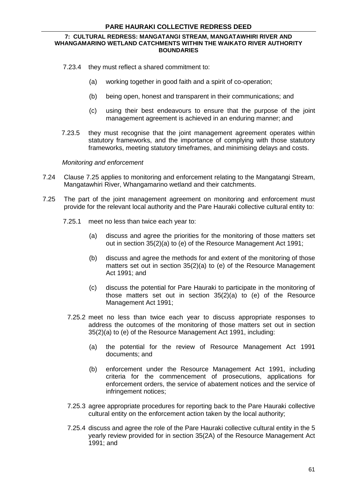#### **7: CULTURAL REDRESS: MANGATANGI STREAM, MANGATAWHIRI RIVER AND WHANGAMARINO WETLAND CATCHMENTS WITHIN THE WAIKATO RIVER AUTHORITY BOUNDARIES**

- 7.23.4 they must reflect a shared commitment to:
	- (a) working together in good faith and a spirit of co-operation;
	- (b) being open, honest and transparent in their communications; and
	- (c) using their best endeavours to ensure that the purpose of the joint management agreement is achieved in an enduring manner; and
- 7.23.5 they must recognise that the joint management agreement operates within statutory frameworks, and the importance of complying with those statutory frameworks, meeting statutory timeframes, and minimising delays and costs.

#### *Monitoring and enforcement*

- 7.24 Clause 7.25 applies to monitoring and enforcement relating to the Mangatangi Stream, Mangatawhiri River, Whangamarino wetland and their catchments.
- 7.25 The part of the joint management agreement on monitoring and enforcement must provide for the relevant local authority and the Pare Hauraki collective cultural entity to:
	- 7.25.1 meet no less than twice each year to:
		- (a) discuss and agree the priorities for the monitoring of those matters set out in section 35(2)(a) to (e) of the Resource Management Act 1991;
		- (b) discuss and agree the methods for and extent of the monitoring of those matters set out in section 35(2)(a) to (e) of the Resource Management Act 1991; and
		- (c) discuss the potential for Pare Hauraki to participate in the monitoring of those matters set out in [section 35\(2\)\(a\) to \(e\)](http://www.legislation.govt.nz/act/public/2010/0024/latest/link.aspx?id=DLM233009#DLM233009) of the Resource Management Act 1991;
		- 7.25.2 meet no less than twice each year to discuss appropriate responses to address the outcomes of the monitoring of those matters set out in section 35(2)(a) to (e) of the Resource Management Act 1991, including:
			- (a) the potential for the review of Resource Management Act 1991 documents; and
			- (b) enforcement under the Resource Management Act 1991, including criteria for the commencement of prosecutions, applications for enforcement orders, the service of abatement notices and the service of infringement notices;
		- 7.25.3 agree appropriate procedures for reporting back to the Pare Hauraki collective cultural entity on the enforcement action taken by the local authority;
		- 7.25.4 discuss and agree the role of the Pare Hauraki collective cultural entity in the 5 yearly review provided for in section 35(2A) of the Resource Management Act 1991; and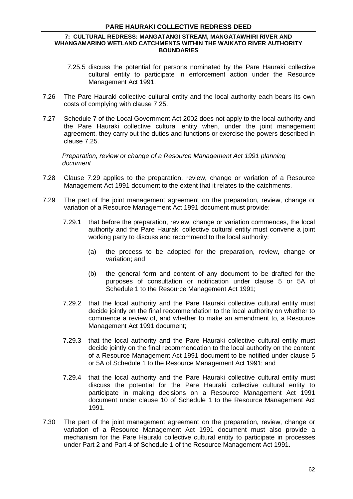- 7.25.5 discuss the potential for persons nominated by the Pare Hauraki collective cultural entity to participate in enforcement action under the Resource Management Act 1991.
- 7.26 The Pare Hauraki collective cultural entity and the local authority each bears its own costs of complying with clause 7.25.
- 7.27 Schedule 7 of the Local Government Act 2002 does not apply to the local authority and the Pare Hauraki collective cultural entity when, under the joint management agreement, they carry out the duties and functions or exercise the powers described in clause 7.25.

*Preparation, review or change of a Resource Management Act 1991 planning document*

- 7.28 Clause 7.29 applies to the preparation, review, change or variation of a Resource Management Act 1991 document to the extent that it relates to the catchments.
- 7.29 The part of the joint management agreement on the preparation, review, change or variation of a Resource Management Act 1991 document must provide:
	- 7.29.1 that before the preparation, review, change or variation commences, the local authority and the Pare Hauraki collective cultural entity must convene a joint working party to discuss and recommend to the local authority:
		- (a) the process to be adopted for the preparation, review, change or variation; and
		- (b) the general form and content of any document to be drafted for the purposes of consultation or notification under clause 5 or 5A of Schedule 1 to the Resource Management Act 1991;
	- 7.29.2 that the local authority and the Pare Hauraki collective cultural entity must decide jointly on the final recommendation to the local authority on whether to commence a review of, and whether to make an amendment to, a Resource Management Act 1991 document;
	- 7.29.3 that the local authority and the Pare Hauraki collective cultural entity must decide jointly on the final recommendation to the local authority on the content of a Resource Management Act 1991 document to be notified under clause 5 or 5A of Schedule 1 to the Resource Management Act 1991; and
	- 7.29.4 that the local authority and the Pare Hauraki collective cultural entity must discuss the potential for the Pare Hauraki collective cultural entity to participate in making decisions on a Resource Management Act 1991 document under clause 10 of Schedule 1 to the Resource Management Act 1991.
- 7.30 The part of the joint management agreement on the preparation, review, change or variation of a Resource Management Act 1991 document must also provide a mechanism for the Pare Hauraki collective cultural entity to participate in processes under Part 2 and Part 4 of Schedule 1 of the Resource Management Act 1991.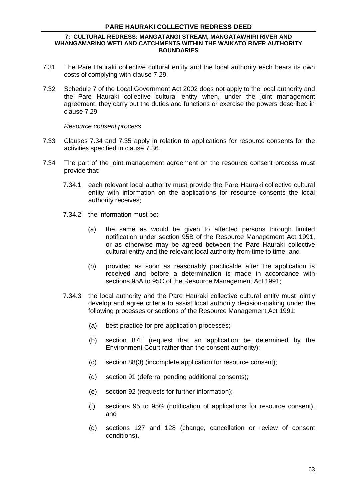#### **7: CULTURAL REDRESS: MANGATANGI STREAM, MANGATAWHIRI RIVER AND WHANGAMARINO WETLAND CATCHMENTS WITHIN THE WAIKATO RIVER AUTHORITY BOUNDARIES**

- 7.31 The Pare Hauraki collective cultural entity and the local authority each bears its own costs of complying with clause 7.29.
- 7.32 [Schedule 7](http://www.legislation.govt.nz/act/public/2010/0024/latest/link.aspx?id=DLM175643#DLM175643) of the Local Government Act 2002 does not apply to the local authority and the Pare Hauraki collective cultural entity when, under the joint management agreement, they carry out the duties and functions or exercise the powers described in clause 7.29.

#### *Resource consent process*

- 7.33 Clauses 7.34 and 7.35 apply in relation to applications for resource consents for the activities specified in clause 7.36.
- 7.34 The part of the joint management agreement on the resource consent process must provide that:
	- 7.34.1 each relevant local authority must provide the Pare Hauraki collective cultural entity with information on the applications for resource consents the local authority receives;
	- 7.34.2 the information must be:
		- (a) the same as would be given to affected persons through limited notification under section 95B of the Resource Management Act 1991, or as otherwise may be agreed between the Pare Hauraki collective cultural entity and the relevant local authority from time to time; and
		- (b) provided as soon as reasonably practicable after the application is received and before a determination is made in accordance with sections 95A to 95C of the Resource Management Act 1991;
	- 7.34.3 the local authority and the Pare Hauraki collective cultural entity must jointly develop and agree criteria to assist local authority decision-making under the following processes or sections of the Resource Management Act 1991:
		- (a) best practice for pre-application processes;
		- (b) section 87E (request that an application be determined by the Environment Court rather than the consent authority);
		- (c) section 88(3) (incomplete application for resource consent);
		- (d) section 91 (deferral pending additional consents);
		- (e) section 92 (requests for further information);
		- (f) sections 95 to 95G (notification of applications for resource consent); and
		- (g) sections 127 and 128 (change, cancellation or review of consent conditions).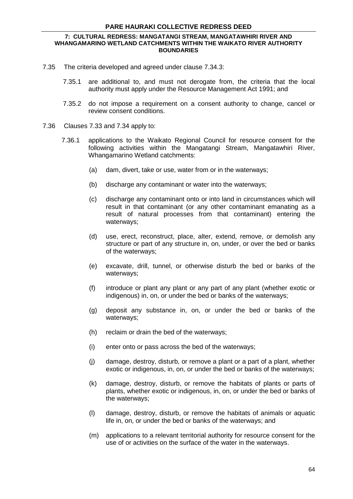#### **7: CULTURAL REDRESS: MANGATANGI STREAM, MANGATAWHIRI RIVER AND WHANGAMARINO WETLAND CATCHMENTS WITHIN THE WAIKATO RIVER AUTHORITY BOUNDARIES**

- 7.35 The criteria developed and agreed under clause 7.34.3:
	- 7.35.1 are additional to, and must not derogate from, the criteria that the local authority must apply under the Resource Management Act 1991; and
	- 7.35.2 do not impose a requirement on a consent authority to change, cancel or review consent conditions.
- 7.36 Clauses 7.33 and 7.34 apply to:
	- 7.36.1 applications to the Waikato Regional Council for resource consent for the following activities within the Mangatangi Stream, Mangatawhiri River, Whangamarino Wetland catchments:
		- (a) dam, divert, take or use, water from or in the waterways;
		- (b) discharge any contaminant or water into the waterways;
		- (c) discharge any contaminant onto or into land in circumstances which will result in that contaminant (or any other contaminant emanating as a result of natural processes from that contaminant) entering the waterways;
		- (d) use, erect, reconstruct, place, alter, extend, remove, or demolish any structure or part of any structure in, on, under, or over the bed or banks of the waterways;
		- (e) excavate, drill, tunnel, or otherwise disturb the bed or banks of the waterways;
		- (f) introduce or plant any plant or any part of any plant (whether exotic or indigenous) in, on, or under the bed or banks of the waterways;
		- (g) deposit any substance in, on, or under the bed or banks of the waterways;
		- (h) reclaim or drain the bed of the waterways;
		- (i) enter onto or pass across the bed of the waterways;
		- (j) damage, destroy, disturb, or remove a plant or a part of a plant, whether exotic or indigenous, in, on, or under the bed or banks of the waterways;
		- (k) damage, destroy, disturb, or remove the habitats of plants or parts of plants, whether exotic or indigenous, in, on, or under the bed or banks of the waterways;
		- (l) damage, destroy, disturb, or remove the habitats of animals or aquatic life in, on, or under the bed or banks of the waterways; and
		- (m) applications to a relevant territorial authority for resource consent for the use of or activities on the surface of the water in the waterways.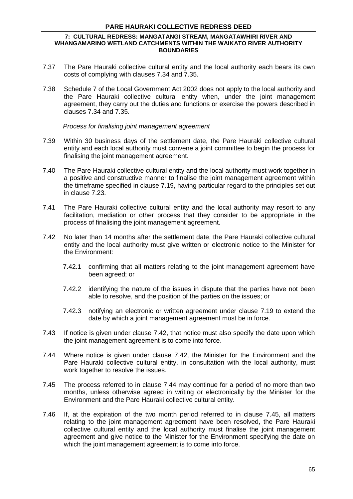#### **7: CULTURAL REDRESS: MANGATANGI STREAM, MANGATAWHIRI RIVER AND WHANGAMARINO WETLAND CATCHMENTS WITHIN THE WAIKATO RIVER AUTHORITY BOUNDARIES**

- 7.37 The Pare Hauraki collective cultural entity and the local authority each bears its own costs of complying with clauses 7.34 and 7.35.
- 7.38 [Schedule 7](http://www.legislation.govt.nz/act/public/2010/0024/latest/link.aspx?id=DLM175643#DLM175643) of the Local Government Act 2002 does not apply to the local authority and the Pare Hauraki collective cultural entity when, under the joint management agreement, they carry out the duties and functions or exercise the powers described in clauses 7.34 and 7.35.

*Process for finalising joint management agreement*

- 7.39 Within 30 business days of the settlement date, the Pare Hauraki collective cultural entity and each local authority must convene a joint committee to begin the process for finalising the joint management agreement.
- 7.40 The Pare Hauraki collective cultural entity and the local authority must work together in a positive and constructive manner to finalise the joint management agreement within the timeframe specified in clause 7.19, having particular regard to the principles set out in clause 7.23.
- 7.41 The Pare Hauraki collective cultural entity and the local authority may resort to any facilitation, mediation or other process that they consider to be appropriate in the process of finalising the joint management agreement.
- 7.42 No later than 14 months after the settlement date, the Pare Hauraki collective cultural entity and the local authority must give written or electronic notice to the Minister for the Environment:
	- 7.42.1 confirming that all matters relating to the joint management agreement have been agreed; or
	- 7.42.2 identifying the nature of the issues in dispute that the parties have not been able to resolve, and the position of the parties on the issues; or
	- 7.42.3 notifying an electronic or written agreement under clause 7.19 to extend the date by which a joint management agreement must be in force.
- 7.43 If notice is given under clause 7.42, that notice must also specify the date upon which the joint management agreement is to come into force.
- 7.44 Where notice is given under clause 7.42, the Minister for the Environment and the Pare Hauraki collective cultural entity, in consultation with the local authority, must work together to resolve the issues.
- 7.45 The process referred to in clause 7.44 may continue for a period of no more than two months, unless otherwise agreed in writing or electronically by the Minister for the Environment and the Pare Hauraki collective cultural entity.
- 7.46 If, at the expiration of the two month period referred to in clause 7.45, all matters relating to the joint management agreement have been resolved, the Pare Hauraki collective cultural entity and the local authority must finalise the joint management agreement and give notice to the Minister for the Environment specifying the date on which the joint management agreement is to come into force.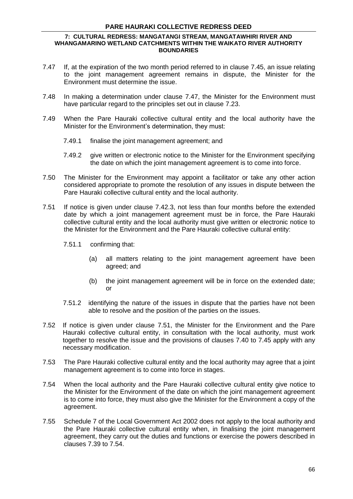#### **7: CULTURAL REDRESS: MANGATANGI STREAM, MANGATAWHIRI RIVER AND WHANGAMARINO WETLAND CATCHMENTS WITHIN THE WAIKATO RIVER AUTHORITY BOUNDARIES**

- 7.47 If, at the expiration of the two month period referred to in clause 7.45, an issue relating to the joint management agreement remains in dispute, the Minister for the Environment must determine the issue.
- 7.48 In making a determination under clause 7.47, the Minister for the Environment must have particular regard to the principles set out in clause 7.23.
- 7.49 When the Pare Hauraki collective cultural entity and the local authority have the Minister for the Environment's determination, they must:
	- 7.49.1 finalise the joint management agreement; and
	- 7.49.2 give written or electronic notice to the Minister for the Environment specifying the date on which the joint management agreement is to come into force.
- 7.50 The Minister for the Environment may appoint a facilitator or take any other action considered appropriate to promote the resolution of any issues in dispute between the Pare Hauraki collective cultural entity and the local authority.
- 7.51 If notice is given under clause 7.42.3, not less than four months before the extended date by which a joint management agreement must be in force, the Pare Hauraki collective cultural entity and the local authority must give written or electronic notice to the Minister for the Environment and the Pare Hauraki collective cultural entity:
	- 7.51.1 confirming that:
		- (a) all matters relating to the joint management agreement have been agreed; and
		- (b) the joint management agreement will be in force on the extended date; or
	- 7.51.2 identifying the nature of the issues in dispute that the parties have not been able to resolve and the position of the parties on the issues.
- 7.52 If notice is given under clause 7.51, the Minister for the Environment and the Pare Hauraki collective cultural entity, in consultation with the local authority, must work together to resolve the issue and the provisions of clauses 7.40 to 7.45 apply with any necessary modification.
- 7.53 The Pare Hauraki collective cultural entity and the local authority may agree that a joint management agreement is to come into force in stages.
- 7.54 When the local authority and the Pare Hauraki collective cultural entity give notice to the Minister for the Environment of the date on which the joint management agreement is to come into force, they must also give the Minister for the Environment a copy of the agreement.
- 7.55 [Schedule 7](http://www.legislation.govt.nz/act/public/2010/0024/latest/link.aspx?id=DLM175643#DLM175643) of the Local Government Act 2002 does not apply to the local authority and the Pare Hauraki collective cultural entity when, in finalising the joint management agreement, they carry out the duties and functions or exercise the powers described in clauses 7.39 to 7.54.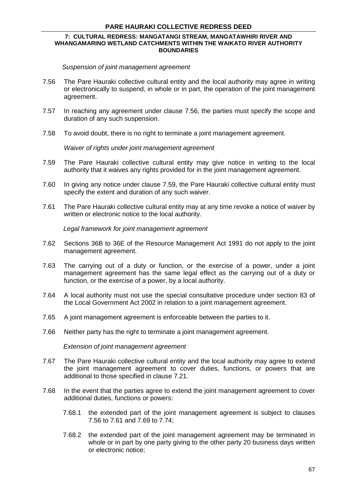#### **7: CULTURAL REDRESS: MANGATANGI STREAM, MANGATAWHIRI RIVER AND WHANGAMARINO WETLAND CATCHMENTS WITHIN THE WAIKATO RIVER AUTHORITY BOUNDARIES**

*Suspension of joint management agreement*

- 7.56 The Pare Hauraki collective cultural entity and the local authority may agree in writing or electronically to suspend, in whole or in part, the operation of the joint management agreement.
- 7.57 In reaching any agreement under clause 7.56, the parties must specify the scope and duration of any such suspension.
- 7.58 To avoid doubt, there is no right to terminate a joint management agreement.

*Waiver of rights under joint management agreement*

- 7.59 The Pare Hauraki collective cultural entity may give notice in writing to the local authority that it waives any rights provided for in the joint management agreement.
- 7.60 In giving any notice under clause 7.59, the Pare Hauraki collective cultural entity must specify the extent and duration of any such waiver.
- 7.61 The Pare Hauraki collective cultural entity may at any time revoke a notice of waiver by written or electronic notice to the local authority.

*Legal framework for joint management agreement*

- 7.62 Sections 36B to 36E of the Resource Management Act 1991 do not apply to the joint management agreement.
- 7.63 The carrying out of a duty or function, or the exercise of a power, under a joint management agreement has the same legal effect as the carrying out of a duty or function, or the exercise of a power, by a local authority.
- 7.64 A local authority must not use the special consultative procedure under section 83 of the Local Government Act 2002 in relation to a joint management agreement.
- 7.65 A joint management agreement is enforceable between the parties to it.
- 7.66 Neither party has the right to terminate a joint management agreement.

*Extension of joint management agreement*

- 7.67 The Pare Hauraki collective cultural entity and the local authority may agree to extend the joint management agreement to cover duties, functions, or powers that are additional to those specified in clause 7.21.
- 7.68 In the event that the parties agree to extend the joint management agreement to cover additional duties, functions or powers:
	- 7.68.1 the extended part of the joint management agreement is subject to clauses 7.56 to 7.61 and 7.69 to 7.74;
	- 7.68.2 the extended part of the joint management agreement may be terminated in whole or in part by one party giving to the other party 20 business days written or electronic notice;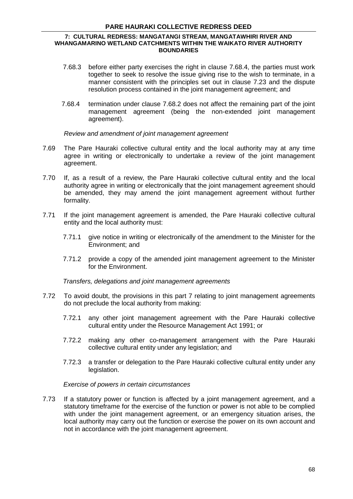#### **7: CULTURAL REDRESS: MANGATANGI STREAM, MANGATAWHIRI RIVER AND WHANGAMARINO WETLAND CATCHMENTS WITHIN THE WAIKATO RIVER AUTHORITY BOUNDARIES**

- 7.68.3 before either party exercises the right in clause 7.68.4, the parties must work together to seek to resolve the issue giving rise to the wish to terminate, in a manner consistent with the principles set out in [clause](http://www.legislation.govt.nz/act/public/2010/0024/latest/link.aspx?id=DLM2833863#DLM2833863) 7.23 and the dispute resolution process contained in the joint management agreement; and
- 7.68.4 termination under clause 7.68.2 does not affect the remaining part of the joint management agreement (being the non-extended joint management agreement).

### *Review and amendment of joint management agreement*

- 7.69 The Pare Hauraki collective cultural entity and the local authority may at any time agree in writing or electronically to undertake a review of the joint management agreement.
- 7.70 If, as a result of a review, the Pare Hauraki collective cultural entity and the local authority agree in writing or electronically that the joint management agreement should be amended, they may amend the joint management agreement without further formality.
- 7.71 If the joint management agreement is amended, the Pare Hauraki collective cultural entity and the local authority must:
	- 7.71.1 give notice in writing or electronically of the amendment to the Minister for the Environment; and
	- 7.71.2 provide a copy of the amended joint management agreement to the Minister for the Environment.

*Transfers, delegations and joint management agreements*

- 7.72 To avoid doubt, the provisions in this part 7 relating to joint management agreements do not preclude the local authority from making:
	- 7.72.1 any other joint management agreement with the Pare Hauraki collective cultural entity under the Resource Management Act 1991; or
	- 7.72.2 making any other co-management arrangement with the Pare Hauraki collective cultural entity under any legislation; and
	- 7.72.3 a transfer or delegation to the Pare Hauraki collective cultural entity under any legislation.

*Exercise of powers in certain circumstances*

7.73 If a statutory power or function is affected by a joint management agreement, and a statutory timeframe for the exercise of the function or power is not able to be complied with under the joint management agreement, or an emergency situation arises, the local authority may carry out the function or exercise the power on its own account and not in accordance with the joint management agreement.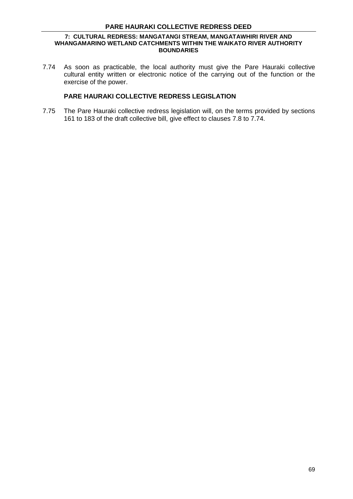### **PARE HAURAKI COLLECTIVE REDRESS DEED**

#### **7: CULTURAL REDRESS: MANGATANGI STREAM, MANGATAWHIRI RIVER AND WHANGAMARINO WETLAND CATCHMENTS WITHIN THE WAIKATO RIVER AUTHORITY BOUNDARIES**

7.74 As soon as practicable, the local authority must give the Pare Hauraki collective cultural entity written or electronic notice of the carrying out of the function or the exercise of the power.

# **PARE HAURAKI COLLECTIVE REDRESS LEGISLATION**

7.75 The Pare Hauraki collective redress legislation will, on the terms provided by sections 161 to 183 of the draft collective bill, give effect to clauses 7.8 to 7.74.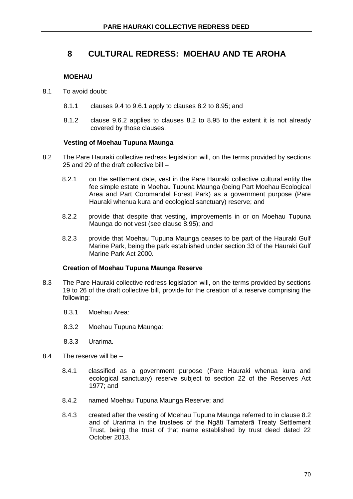# **MOEHAU**

- 8.1 To avoid doubt:
	- 8.1.1 clauses 9.4 to 9.6.1 apply to clauses 8.2 to 8.95; and
	- 8.1.2 clause 9.6.2 applies to clauses 8.2 to 8.95 to the extent it is not already covered by those clauses.

### **Vesting of Moehau Tupuna Maunga**

- 8.2 The Pare Hauraki collective redress legislation will, on the terms provided by sections 25 and 29 of the draft collective bill –
	- 8.2.1 on the settlement date, vest in the Pare Hauraki collective cultural entity the fee simple estate in Moehau Tupuna Maunga (being Part Moehau Ecological Area and Part Coromandel Forest Park) as a government purpose (Pare Hauraki whenua kura and ecological sanctuary) reserve; and
	- 8.2.2 provide that despite that vesting, improvements in or on Moehau Tupuna Maunga do not vest (see clause 8.95); and
	- 8.2.3 provide that Moehau Tupuna Maunga ceases to be part of the Hauraki Gulf Marine Park, being the park established under section 33 of the Hauraki Gulf Marine Park Act 2000.

### **Creation of Moehau Tupuna Maunga Reserve**

- 8.3 The Pare Hauraki collective redress legislation will, on the terms provided by sections 19 to 26 of the draft collective bill, provide for the creation of a reserve comprising the following:
	- 8.3.1 Moehau Area:
	- 8.3.2 Moehau Tupuna Maunga:
	- 8.3.3 Urarima.
- 8.4 The reserve will be
	- 8.4.1 classified as a government purpose (Pare Hauraki whenua kura and ecological sanctuary) reserve subject to section 22 of the Reserves Act 1977; and
	- 8.4.2 named Moehau Tupuna Maunga Reserve; and
	- 8.4.3 created after the vesting of Moehau Tupuna Maunga referred to in clause 8.2 and of Urarima in the trustees of the Ngāti Tamaterā Treaty Settlement Trust, being the trust of that name established by trust deed dated 22 October 2013.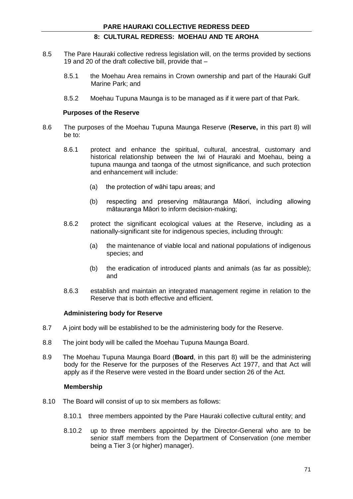- 8.5 The Pare Hauraki collective redress legislation will, on the terms provided by sections 19 and 20 of the draft collective bill, provide that –
	- 8.5.1 the Moehau Area remains in Crown ownership and part of the Hauraki Gulf Marine Park; and
	- 8.5.2 Moehau Tupuna Maunga is to be managed as if it were part of that Park.

#### **Purposes of the Reserve**

- 8.6 The purposes of the Moehau Tupuna Maunga Reserve (**Reserve,** in this part 8) will be to:
	- 8.6.1 protect and enhance the spiritual, cultural, ancestral, customary and historical relationship between the Iwi of Hauraki and Moehau, being a tupuna maunga and taonga of the utmost significance, and such protection and enhancement will include:
		- (a) the protection of wāhi tapu areas; and
		- (b) respecting and preserving mātauranga Māori, including allowing mātauranga Māori to inform decision-making;
	- 8.6.2 protect the significant ecological values at the Reserve, including as a nationally-significant site for indigenous species, including through:
		- (a) the maintenance of viable local and national populations of indigenous species; and
		- (b) the eradication of introduced plants and animals (as far as possible); and
	- 8.6.3 establish and maintain an integrated management regime in relation to the Reserve that is both effective and efficient.

#### **Administering body for Reserve**

- 8.7 A joint body will be established to be the administering body for the Reserve.
- 8.8 The joint body will be called the Moehau Tupuna Maunga Board.
- 8.9 The Moehau Tupuna Maunga Board (**Board**, in this part 8) will be the administering body for the Reserve for the purposes of the Reserves Act 1977, and that Act will apply as if the Reserve were vested in the Board under section 26 of the Act.

### **Membership**

- 8.10 The Board will consist of up to six members as follows:
	- 8.10.1 three members appointed by the Pare Hauraki collective cultural entity; and
	- 8.10.2 up to three members appointed by the Director-General who are to be senior staff members from the Department of Conservation (one member being a Tier 3 (or higher) manager).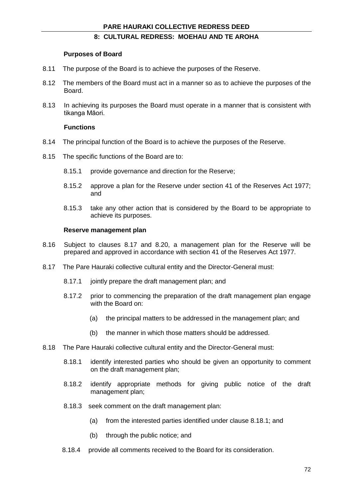#### **Purposes of Board**

- 8.11 The purpose of the Board is to achieve the purposes of the Reserve.
- 8.12 The members of the Board must act in a manner so as to achieve the purposes of the Board.
- 8.13 In achieving its purposes the Board must operate in a manner that is consistent with tikanga Māori.

#### **Functions**

- 8.14 The principal function of the Board is to achieve the purposes of the Reserve.
- 8.15 The specific functions of the Board are to:
	- 8.15.1 provide governance and direction for the Reserve;
	- 8.15.2 approve a plan for the Reserve under section 41 of the Reserves Act 1977; and
	- 8.15.3 take any other action that is considered by the Board to be appropriate to achieve its purposes.

### **Reserve management plan**

- 8.16 Subject to clauses 8.17 and 8.20, a management plan for the Reserve will be prepared and approved in accordance with section 41 of the Reserves Act 1977.
- 8.17 The Pare Hauraki collective cultural entity and the Director-General must:
	- 8.17.1 jointly prepare the draft management plan; and
	- 8.17.2 prior to commencing the preparation of the draft management plan engage with the Board on:
		- (a) the principal matters to be addressed in the management plan; and
		- (b) the manner in which those matters should be addressed.
- 8.18 The Pare Hauraki collective cultural entity and the Director-General must:
	- 8.18.1 identify interested parties who should be given an opportunity to comment on the draft management plan;
	- 8.18.2 identify appropriate methods for giving public notice of the draft management plan;
	- 8.18.3 seek comment on the draft management plan:
		- (a) from the interested parties identified under clause 8.18.1; and
		- (b) through the public notice; and
	- 8.18.4 provide all comments received to the Board for its consideration.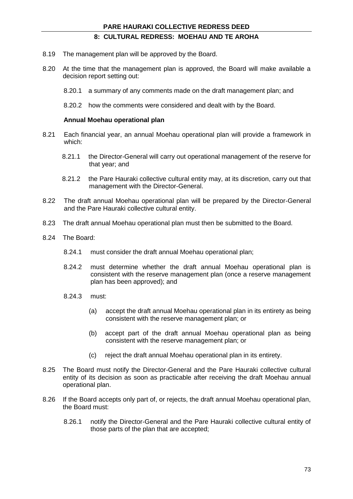- 8.19 The management plan will be approved by the Board.
- 8.20 At the time that the management plan is approved, the Board will make available a decision report setting out:
	- 8.20.1 a summary of any comments made on the draft management plan; and
	- 8.20.2 how the comments were considered and dealt with by the Board.

#### **Annual Moehau operational plan**

- 8.21 Each financial year, an annual Moehau operational plan will provide a framework in which:
	- 8.21.1 the Director-General will carry out operational management of the reserve for that year; and
	- 8.21.2 the Pare Hauraki collective cultural entity may, at its discretion, carry out that management with the Director-General.
- 8.22 The draft annual Moehau operational plan will be prepared by the Director-General and the Pare Hauraki collective cultural entity.
- 8.23 The draft annual Moehau operational plan must then be submitted to the Board.
- 8.24 The Board:
	- 8.24.1 must consider the draft annual Moehau operational plan;
	- 8.24.2 must determine whether the draft annual Moehau operational plan is consistent with the reserve management plan (once a reserve management plan has been approved); and
	- 8.24.3 must:
		- (a) accept the draft annual Moehau operational plan in its entirety as being consistent with the reserve management plan; or
		- (b) accept part of the draft annual Moehau operational plan as being consistent with the reserve management plan; or
		- (c) reject the draft annual Moehau operational plan in its entirety.
- 8.25 The Board must notify the Director-General and the Pare Hauraki collective cultural entity of its decision as soon as practicable after receiving the draft Moehau annual operational plan.
- 8.26 If the Board accepts only part of, or rejects, the draft annual Moehau operational plan, the Board must:
	- 8.26.1 notify the Director-General and the Pare Hauraki collective cultural entity of those parts of the plan that are accepted;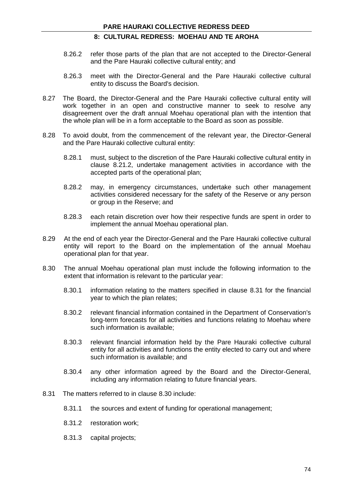- 8.26.2 refer those parts of the plan that are not accepted to the Director-General and the Pare Hauraki collective cultural entity; and
- 8.26.3 meet with the Director-General and the Pare Hauraki collective cultural entity to discuss the Board's decision.
- 8.27 The Board, the Director-General and the Pare Hauraki collective cultural entity will work together in an open and constructive manner to seek to resolve any disagreement over the draft annual Moehau operational plan with the intention that the whole plan will be in a form acceptable to the Board as soon as possible.
- 8.28 To avoid doubt, from the commencement of the relevant year, the Director-General and the Pare Hauraki collective cultural entity:
	- 8.28.1 must, subject to the discretion of the Pare Hauraki collective cultural entity in clause 8.21.2, undertake management activities in accordance with the accepted parts of the operational plan;
	- 8.28.2 may, in emergency circumstances, undertake such other management activities considered necessary for the safety of the Reserve or any person or group in the Reserve; and
	- 8.28.3 each retain discretion over how their respective funds are spent in order to implement the annual Moehau operational plan.
- 8.29 At the end of each year the Director-General and the Pare Hauraki collective cultural entity will report to the Board on the implementation of the annual Moehau operational plan for that year.
- 8.30 The annual Moehau operational plan must include the following information to the extent that information is relevant to the particular year:
	- 8.30.1 information relating to the matters specified in clause 8.31 for the financial year to which the plan relates;
	- 8.30.2 relevant financial information contained in the Department of Conservation's long-term forecasts for all activities and functions relating to Moehau where such information is available;
	- 8.30.3 relevant financial information held by the Pare Hauraki collective cultural entity for all activities and functions the entity elected to carry out and where such information is available; and
	- 8.30.4 any other information agreed by the Board and the Director-General, including any information relating to future financial years.
- 8.31 The matters referred to in clause 8.30 include:
	- 8.31.1 the sources and extent of funding for operational management;
	- 8.31.2 restoration work;
	- 8.31.3 capital projects;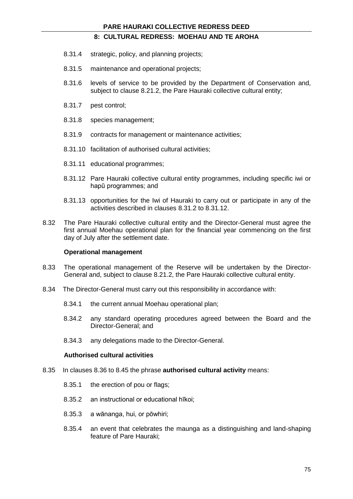- 8.31.4 strategic, policy, and planning projects;
- 8.31.5 maintenance and operational projects;
- 8.31.6 levels of service to be provided by the Department of Conservation and, subject to clause 8.21.2, the Pare Hauraki collective cultural entity;
- 8.31.7 pest control;
- 8.31.8 species management;
- 8.31.9 contracts for management or maintenance activities;
- 8.31.10 facilitation of authorised cultural activities;
- 8.31.11 educational programmes;
- 8.31.12 Pare Hauraki collective cultural entity programmes, including specific iwi or hapū programmes; and
- 8.31.13 opportunities for the Iwi of Hauraki to carry out or participate in any of the activities described in clauses 8.31.2 to 8.31.12.
- 8.32 The Pare Hauraki collective cultural entity and the Director-General must agree the first annual Moehau operational plan for the financial year commencing on the first day of July after the settlement date.

#### **Operational management**

- 8.33 The operational management of the Reserve will be undertaken by the Director-General and, subject to clause 8.21.2, the Pare Hauraki collective cultural entity.
- 8.34 The Director-General must carry out this responsibility in accordance with:
	- 8.34.1 the current annual Moehau operational plan;
	- 8.34.2 any standard operating procedures agreed between the Board and the Director-General; and
	- 8.34.3 any delegations made to the Director-General.

### **Authorised cultural activities**

- 8.35 In clauses 8.36 to 8.45 the phrase **authorised cultural activity** means:
	- 8.35.1 the erection of pou or flags;
	- 8.35.2 an instructional or educational hīkoi;
	- 8.35.3 a wānanga, hui, or pōwhiri;
	- 8.35.4 an event that celebrates the maunga as a distinguishing and land-shaping feature of Pare Hauraki;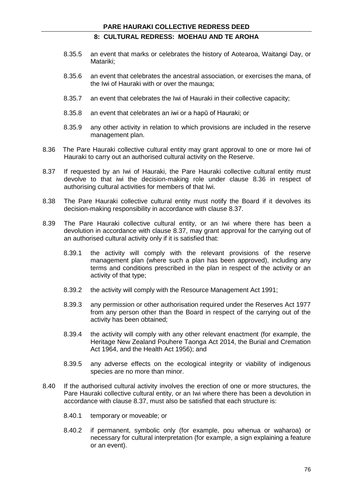- 8.35.5 an event that marks or celebrates the history of Aotearoa, Waitangi Day, or Matariki;
- 8.35.6 an event that celebrates the ancestral association, or exercises the mana, of the Iwi of Hauraki with or over the maunga;
- 8.35.7 an event that celebrates the Iwi of Hauraki in their collective capacity;
- 8.35.8 an event that celebrates an iwi or a hapū of Hauraki; or
- 8.35.9 any other activity in relation to which provisions are included in the reserve management plan.
- 8.36 The Pare Hauraki collective cultural entity may grant approval to one or more Iwi of Hauraki to carry out an authorised cultural activity on the Reserve.
- 8.37 If requested by an Iwi of Hauraki, the Pare Hauraki collective cultural entity must devolve to that iwi the decision-making role under clause 8.36 in respect of authorising cultural activities for members of that Iwi.
- 8.38 The Pare Hauraki collective cultural entity must notify the Board if it devolves its decision-making responsibility in accordance with clause 8.37.
- 8.39 The Pare Hauraki collective cultural entity, or an Iwi where there has been a devolution in accordance with clause 8.37, may grant approval for the carrying out of an authorised cultural activity only if it is satisfied that:
	- 8.39.1 the activity will comply with the relevant provisions of the reserve management plan (where such a plan has been approved), including any terms and conditions prescribed in the plan in respect of the activity or an activity of that type;
	- 8.39.2 the activity will comply with the Resource Management Act 1991;
	- 8.39.3 any permission or other authorisation required under the Reserves Act 1977 from any person other than the Board in respect of the carrying out of the activity has been obtained;
	- 8.39.4 the activity will comply with any other relevant enactment (for example, the Heritage New Zealand Pouhere Taonga Act 2014, the Burial and Cremation Act 1964, and the Health Act 1956); and
	- 8.39.5 any adverse effects on the ecological integrity or viability of indigenous species are no more than minor.
- 8.40 If the authorised cultural activity involves the erection of one or more structures, the Pare Hauraki collective cultural entity, or an Iwi where there has been a devolution in accordance with clause 8.37, must also be satisfied that each structure is:
	- 8.40.1 temporary or moveable; or
	- 8.40.2 if permanent, symbolic only (for example, pou whenua or waharoa) or necessary for cultural interpretation (for example, a sign explaining a feature or an event).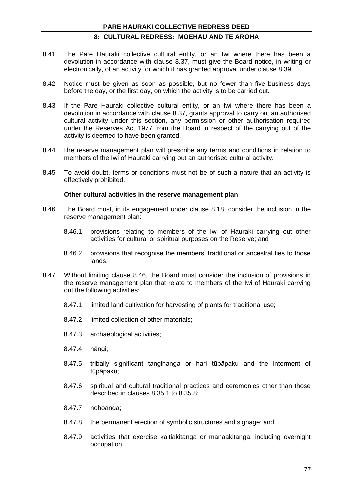- 8.41 The Pare Hauraki collective cultural entity, or an Iwi where there has been a devolution in accordance with clause 8.37, must give the Board notice, in writing or electronically, of an activity for which it has granted approval under clause 8.39.
- 8.42 Notice must be given as soon as possible, but no fewer than five business days before the day, or the first day, on which the activity is to be carried out.
- 8.43 If the Pare Hauraki collective cultural entity, or an Iwi where there has been a devolution in accordance with clause 8.37, grants approval to carry out an authorised cultural activity under this section, any permission or other authorisation required under the Reserves Act 1977 from the Board in respect of the carrying out of the activity is deemed to have been granted.
- 8.44 The reserve management plan will prescribe any terms and conditions in relation to members of the Iwi of Hauraki carrying out an authorised cultural activity.
- 8.45 To avoid doubt, terms or conditions must not be of such a nature that an activity is effectively prohibited.

#### **Other cultural activities in the reserve management plan**

- 8.46 The Board must, in its engagement under clause 8.18, consider the inclusion in the reserve management plan:
	- 8.46.1 provisions relating to members of the Iwi of Hauraki carrying out other activities for cultural or spiritual purposes on the Reserve; and
	- 8.46.2 provisions that recognise the members' traditional or ancestral ties to those lands.
- 8.47 Without limiting clause 8.46, the Board must consider the inclusion of provisions in the reserve management plan that relate to members of the Iwi of Hauraki carrying out the following activities:
	- 8.47.1 limited land cultivation for harvesting of plants for traditional use;
	- 8.47.2 limited collection of other materials;
	- 8.47.3 archaeological activities;
	- 8.47.4 hāngi;
	- 8.47.5 tribally significant tangihanga or hari tūpāpaku and the interment of tūpāpaku;
	- 8.47.6 spiritual and cultural traditional practices and ceremonies other than those described in clauses 8.35.1 to 8.35.8;
	- 8.47.7 nohoanga;
	- 8.47.8 the permanent erection of symbolic structures and signage; and
	- 8.47.9 activities that exercise kaitiakitanga or manaakitanga, including overnight occupation.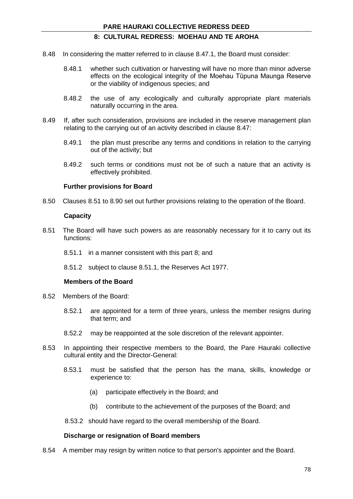- 8.48 In considering the matter referred to in clause 8.47.1, the Board must consider:
	- 8.48.1 whether such cultivation or harvesting will have no more than minor adverse effects on the ecological integrity of the Moehau Tūpuna Maunga Reserve or the viability of indigenous species; and
	- 8.48.2 the use of any ecologically and culturally appropriate plant materials naturally occurring in the area.
- 8.49 If, after such consideration, provisions are included in the reserve management plan relating to the carrying out of an activity described in clause 8.47:
	- 8.49.1 the plan must prescribe any terms and conditions in relation to the carrying out of the activity; but
	- 8.49.2 such terms or conditions must not be of such a nature that an activity is effectively prohibited.

#### **Further provisions for Board**

8.50 Clauses 8.51 to 8.90 set out further provisions relating to the operation of the Board.

#### **Capacity**

- 8.51 The Board will have such powers as are reasonably necessary for it to carry out its functions:
	- 8.51.1 in a manner consistent with this part 8; and
	- 8.51.2 subject to clause 8.51.1, the Reserves Act 1977.

#### **Members of the Board**

- 8.52 Members of the Board:
	- 8.52.1 are appointed for a term of three years, unless the member resigns during that term; and
	- 8.52.2 may be reappointed at the sole discretion of the relevant appointer.
- 8.53 In appointing their respective members to the Board, the Pare Hauraki collective cultural entity and the Director-General:
	- 8.53.1 must be satisfied that the person has the mana, skills, knowledge or experience to:
		- (a) participate effectively in the Board; and
		- (b) contribute to the achievement of the purposes of the Board; and
	- 8.53.2 should have regard to the overall membership of the Board.

#### **Discharge or resignation of Board members**

8.54 A member may resign by written notice to that person's appointer and the Board.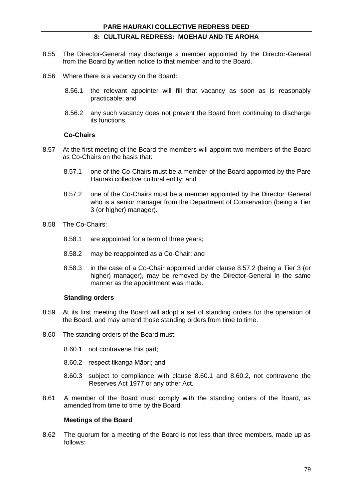- 8.55 The Director-General may discharge a member appointed by the Director-General from the Board by written notice to that member and to the Board.
- 8.56 Where there is a vacancy on the Board:
	- 8.56.1 the relevant appointer will fill that vacancy as soon as is reasonably practicable; and
	- 8.56.2 any such vacancy does not prevent the Board from continuing to discharge its functions.

#### **Co-Chairs**

- 8.57 At the first meeting of the Board the members will appoint two members of the Board as Co-Chairs on the basis that:
	- 8.57.1 one of the Co-Chairs must be a member of the Board appointed by the Pare Hauraki collective cultural entity; and
	- 8.57.2 one of the Co-Chairs must be a member appointed by the Director-General who is a senior manager from the Department of Conservation (being a Tier 3 (or higher) manager).
- 8.58 The Co-Chairs:
	- 8.58.1 are appointed for a term of three years;
	- 8.58.2 may be reappointed as a Co-Chair; and
	- 8.58.3 in the case of a Co-Chair appointed under clause 8.57.2 (being a Tier 3 (or higher) manager), may be removed by the Director-General in the same manner as the appointment was made.

### **Standing orders**

- 8.59 At its first meeting the Board will adopt a set of standing orders for the operation of the Board, and may amend those standing orders from time to time.
- 8.60 The standing orders of the Board must:
	- 8.60.1 not contravene this part;
	- 8.60.2 respect tikanga Māori; and
	- 8.60.3 subject to compliance with clause 8.60.1 and 8.60.2, not contravene the Reserves Act 1977 or any other Act.
- 8.61 A member of the Board must comply with the standing orders of the Board, as amended from time to time by the Board.

### **Meetings of the Board**

8.62 The quorum for a meeting of the Board is not less than three members, made up as follows: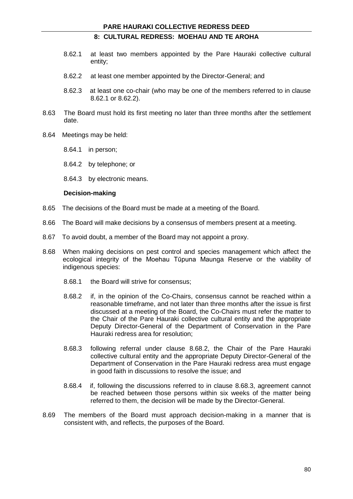- 8.62.1 at least two members appointed by the Pare Hauraki collective cultural entity;
- 8.62.2 at least one member appointed by the Director-General; and
- 8.62.3 at least one co-chair (who may be one of the members referred to in clause 8.62.1 or 8.62.2).
- 8.63 The Board must hold its first meeting no later than three months after the settlement date.
- 8.64 Meetings may be held:
	- 8.64.1 in person;
	- 8.64.2 by telephone; or
	- 8.64.3 by electronic means.

### **Decision-making**

- 8.65 The decisions of the Board must be made at a meeting of the Board.
- 8.66 The Board will make decisions by a consensus of members present at a meeting.
- 8.67 To avoid doubt, a member of the Board may not appoint a proxy.
- 8.68 When making decisions on pest control and species management which affect the ecological integrity of the Moehau Tūpuna Maunga Reserve or the viability of indigenous species:
	- 8.68.1 the Board will strive for consensus;
	- 8.68.2 if, in the opinion of the Co-Chairs, consensus cannot be reached within a reasonable timeframe, and not later than three months after the issue is first discussed at a meeting of the Board, the Co-Chairs must refer the matter to the Chair of the Pare Hauraki collective cultural entity and the appropriate Deputy Director-General of the Department of Conservation in the Pare Hauraki redress area for resolution;
	- 8.68.3 following referral under clause 8.68.2, the Chair of the Pare Hauraki collective cultural entity and the appropriate Deputy Director-General of the Department of Conservation in the Pare Hauraki redress area must engage in good faith in discussions to resolve the issue; and
	- 8.68.4 if, following the discussions referred to in clause 8.68.3, agreement cannot be reached between those persons within six weeks of the matter being referred to them, the decision will be made by the Director-General.
- 8.69 The members of the Board must approach decision-making in a manner that is consistent with, and reflects, the purposes of the Board.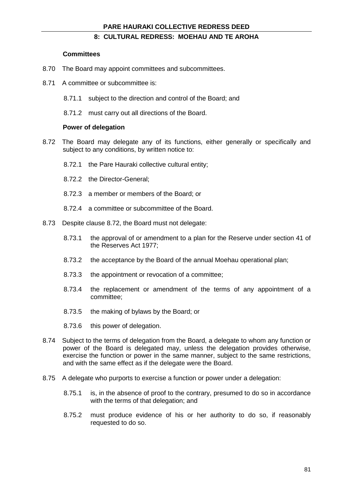#### **Committees**

- 8.70 The Board may appoint committees and subcommittees.
- 8.71 A committee or subcommittee is:
	- 8.71.1 subject to the direction and control of the Board; and
	- 8.71.2 must carry out all directions of the Board.

### **Power of delegation**

- 8.72 The Board may delegate any of its functions, either generally or specifically and subject to any conditions, by written notice to:
	- 8.72.1 the Pare Hauraki collective cultural entity;
	- 8.72.2 the Director-General;
	- 8.72.3 a member or members of the Board; or
	- 8.72.4 a committee or subcommittee of the Board.
- 8.73 Despite clause 8.72, the Board must not delegate:
	- 8.73.1 the approval of or amendment to a plan for the Reserve under section 41 of the Reserves Act 1977;
	- 8.73.2 the acceptance by the Board of the annual Moehau operational plan;
	- 8.73.3 the appointment or revocation of a committee;
	- 8.73.4 the replacement or amendment of the terms of any appointment of a committee;
	- 8.73.5 the making of bylaws by the Board; or
	- 8.73.6 this power of delegation.
- 8.74 Subject to the terms of delegation from the Board, a delegate to whom any function or power of the Board is delegated may, unless the delegation provides otherwise, exercise the function or power in the same manner, subject to the same restrictions, and with the same effect as if the delegate were the Board.
- 8.75 A delegate who purports to exercise a function or power under a delegation:
	- 8.75.1 is, in the absence of proof to the contrary, presumed to do so in accordance with the terms of that delegation; and
	- 8.75.2 must produce evidence of his or her authority to do so, if reasonably requested to do so.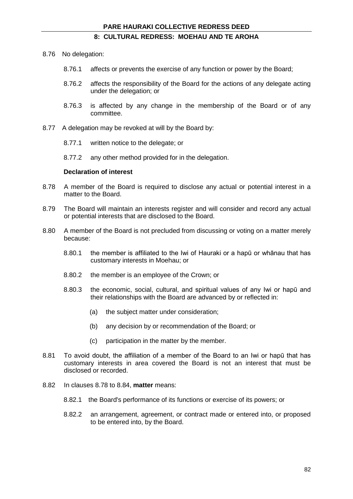- 8.76 No delegation:
	- 8.76.1 affects or prevents the exercise of any function or power by the Board;
	- 8.76.2 affects the responsibility of the Board for the actions of any delegate acting under the delegation; or
	- 8.76.3 is affected by any change in the membership of the Board or of any committee.
- 8.77 A delegation may be revoked at will by the Board by:
	- 8.77.1 written notice to the delegate; or
	- 8.77.2 any other method provided for in the delegation.

### **Declaration of interest**

- 8.78 A member of the Board is required to disclose any actual or potential interest in a matter to the Board.
- 8.79 The Board will maintain an interests register and will consider and record any actual or potential interests that are disclosed to the Board.
- 8.80 A member of the Board is not precluded from discussing or voting on a matter merely because:
	- 8.80.1 the member is affiliated to the Iwi of Hauraki or a hapū or whānau that has customary interests in Moehau; or
	- 8.80.2 the member is an employee of the Crown; or
	- 8.80.3 the economic, social, cultural, and spiritual values of any Iwi or hapū and their relationships with the Board are advanced by or reflected in:
		- (a) the subject matter under consideration;
		- (b) any decision by or recommendation of the Board; or
		- (c) participation in the matter by the member.
- 8.81 To avoid doubt, the affiliation of a member of the Board to an Iwi or hapū that has customary interests in area covered the Board is not an interest that must be disclosed or recorded.
- 8.82 In clauses 8.78 to 8.84, **matter** means:
	- 8.82.1 the Board's performance of its functions or exercise of its powers; or
	- 8.82.2 an arrangement, agreement, or contract made or entered into, or proposed to be entered into, by the Board.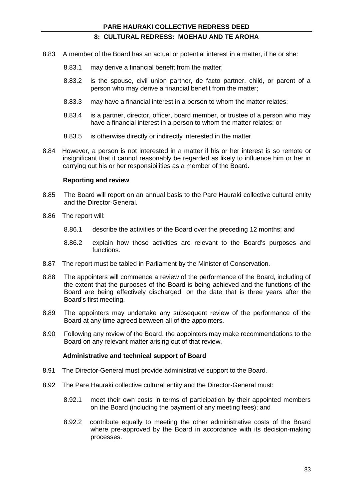- 8.83 A member of the Board has an actual or potential interest in a matter, if he or she:
	- 8.83.1 may derive a financial benefit from the matter;
	- 8.83.2 is the spouse, civil union partner, de facto partner, child, or parent of a person who may derive a financial benefit from the matter;
	- 8.83.3 may have a financial interest in a person to whom the matter relates;
	- 8.83.4 is a partner, director, officer, board member, or trustee of a person who may have a financial interest in a person to whom the matter relates; or
	- 8.83.5 is otherwise directly or indirectly interested in the matter.
- 8.84 However, a person is not interested in a matter if his or her interest is so remote or insignificant that it cannot reasonably be regarded as likely to influence him or her in carrying out his or her responsibilities as a member of the Board.

### **Reporting and review**

- 8.85 The Board will report on an annual basis to the Pare Hauraki collective cultural entity and the Director-General.
- 8.86 The report will:
	- 8.86.1 describe the activities of the Board over the preceding 12 months; and
	- 8.86.2 explain how those activities are relevant to the Board's purposes and functions.
- 8.87 The report must be tabled in Parliament by the Minister of Conservation.
- 8.88 The appointers will commence a review of the performance of the Board, including of the extent that the purposes of the Board is being achieved and the functions of the Board are being effectively discharged, on the date that is three years after the Board's first meeting.
- 8.89 The appointers may undertake any subsequent review of the performance of the Board at any time agreed between all of the appointers.
- 8.90 Following any review of the Board, the appointers may make recommendations to the Board on any relevant matter arising out of that review.

#### **Administrative and technical support of Board**

- 8.91 The Director-General must provide administrative support to the Board.
- 8.92 The Pare Hauraki collective cultural entity and the Director-General must:
	- 8.92.1 meet their own costs in terms of participation by their appointed members on the Board (including the payment of any meeting fees); and
	- 8.92.2 contribute equally to meeting the other administrative costs of the Board where pre-approved by the Board in accordance with its decision-making processes.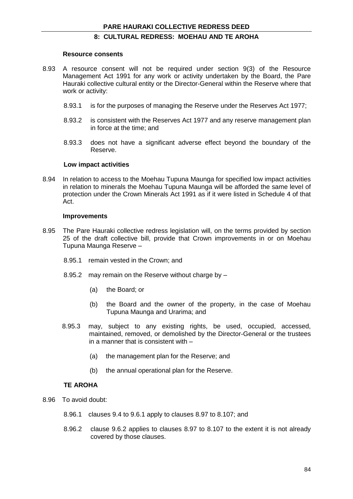#### **Resource consents**

- 8.93 A resource consent will not be required under section 9(3) of the Resource Management Act 1991 for any work or activity undertaken by the Board, the Pare Hauraki collective cultural entity or the Director-General within the Reserve where that work or activity:
	- 8.93.1 is for the purposes of managing the Reserve under the Reserves Act 1977;
	- 8.93.2 is consistent with the Reserves Act 1977 and any reserve management plan in force at the time; and
	- 8.93.3 does not have a significant adverse effect beyond the boundary of the Reserve.

#### **Low impact activities**

8.94 In relation to access to the Moehau Tupuna Maunga for specified low impact activities in relation to minerals the Moehau Tupuna Maunga will be afforded the same level of protection under the Crown Minerals Act 1991 as if it were listed in Schedule 4 of that Act.

#### **Improvements**

- 8.95 The Pare Hauraki collective redress legislation will, on the terms provided by section 25 of the draft collective bill, provide that Crown improvements in or on Moehau Tupuna Maunga Reserve –
	- 8.95.1 remain vested in the Crown; and
	- 8.95.2 may remain on the Reserve without charge by
		- (a) the Board; or
		- (b) the Board and the owner of the property, in the case of Moehau Tupuna Maunga and Urarima; and
	- 8.95.3 may, subject to any existing rights, be used, occupied, accessed, maintained, removed, or demolished by the Director-General or the trustees in a manner that is consistent with –
		- (a) the management plan for the Reserve; and
		- (b) the annual operational plan for the Reserve.

#### **TE AROHA**

- 8.96 To avoid doubt:
	- 8.96.1 clauses 9.4 to 9.6.1 apply to clauses 8.97 to 8.107; and
	- 8.96.2 clause 9.6.2 applies to clauses 8.97 to 8.107 to the extent it is not already covered by those clauses.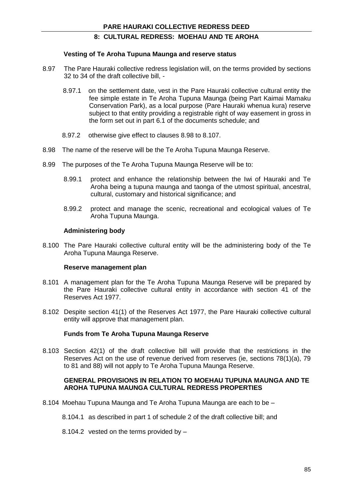#### **Vesting of Te Aroha Tupuna Maunga and reserve status**

- 8.97 The Pare Hauraki collective redress legislation will, on the terms provided by sections 32 to 34 of the draft collective bill, -
	- 8.97.1 on the settlement date, vest in the Pare Hauraki collective cultural entity the fee simple estate in Te Aroha Tupuna Maunga (being Part Kaimai Mamaku Conservation Park), as a local purpose (Pare Hauraki whenua kura) reserve subject to that entity providing a registrable right of way easement in gross in the form set out in part 6.1 of the documents schedule; and
	- 8.97.2 otherwise give effect to clauses 8.98 to 8.107.
- 8.98 The name of the reserve will be the Te Aroha Tupuna Maunga Reserve.
- 8.99 The purposes of the Te Aroha Tupuna Maunga Reserve will be to:
	- 8.99.1 protect and enhance the relationship between the Iwi of Hauraki and Te Aroha being a tupuna maunga and taonga of the utmost spiritual, ancestral, cultural, customary and historical significance; and
	- 8.99.2 protect and manage the scenic, recreational and ecological values of Te Aroha Tupuna Maunga.

#### **Administering body**

8.100 The Pare Hauraki collective cultural entity will be the administering body of the Te Aroha Tupuna Maunga Reserve.

#### **Reserve management plan**

- 8.101 A management plan for the Te Aroha Tupuna Maunga Reserve will be prepared by the Pare Hauraki collective cultural entity in accordance with section 41 of the Reserves Act 1977.
- 8.102 Despite section 41(1) of the Reserves Act 1977, the Pare Hauraki collective cultural entity will approve that management plan.

#### **Funds from Te Aroha Tupuna Maunga Reserve**

8.103 Section 42(1) of the draft collective bill will provide that the restrictions in the Reserves Act on the use of revenue derived from reserves (ie, sections 78(1)(a), 79 to 81 and 88) will not apply to Te Aroha Tupuna Maunga Reserve.

#### **GENERAL PROVISIONS IN RELATION TO MOEHAU TUPUNA MAUNGA AND TE AROHA TUPUNA MAUNGA CULTURAL REDRESS PROPERTIES**

- 8.104 Moehau Tupuna Maunga and Te Aroha Tupuna Maunga are each to be
	- 8.104.1 as described in part 1 of schedule 2 of the draft collective bill; and
	- 8.104.2 vested on the terms provided by –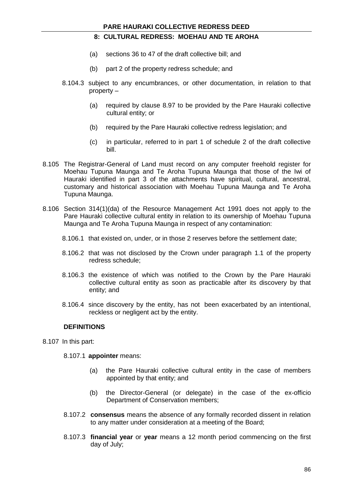- (a) sections 36 to 47 of the draft collective bill; and
- (b) part 2 of the property redress schedule; and
- 8.104.3 subject to any encumbrances, or other documentation, in relation to that property –
	- (a) required by clause 8.97 to be provided by the Pare Hauraki collective cultural entity; or
	- (b) required by the Pare Hauraki collective redress legislation; and
	- (c) in particular, referred to in part 1 of schedule 2 of the draft collective bill.
- 8.105 The Registrar-General of Land must record on any computer freehold register for Moehau Tupuna Maunga and Te Aroha Tupuna Maunga that those of the Iwi of Hauraki identified in part 3 of the attachments have spiritual, cultural, ancestral, customary and historical association with Moehau Tupuna Maunga and Te Aroha Tupuna Maunga.
- 8.106 Section 314(1)(da) of the Resource Management Act 1991 does not apply to the Pare Hauraki collective cultural entity in relation to its ownership of Moehau Tupuna Maunga and Te Aroha Tupuna Maunga in respect of any contamination:
	- 8.106.1 that existed on, under, or in those 2 reserves before the settlement date;
	- 8.106.2 that was not disclosed by the Crown under paragraph 1.1 of the property redress schedule;
	- 8.106.3 the existence of which was notified to the Crown by the Pare Hauraki collective cultural entity as soon as practicable after its discovery by that entity; and
	- 8.106.4 since discovery by the entity, has not been exacerbated by an intentional, reckless or negligent act by the entity.

### **DEFINITIONS**

8.107 In this part:

8.107.1 **appointer** means:

- (a) the Pare Hauraki collective cultural entity in the case of members appointed by that entity; and
- (b) the Director-General (or delegate) in the case of the ex-officio Department of Conservation members;
- 8.107.2 **consensus** means the absence of any formally recorded dissent in relation to any matter under consideration at a meeting of the Board;
- 8.107.3 **financial year** or **year** means a 12 month period commencing on the first day of July;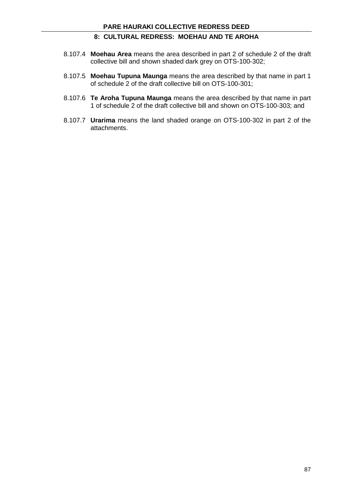- 8.107.4 **Moehau Area** means the area described in part 2 of schedule 2 of the draft collective bill and shown shaded dark grey on OTS-100-302;
- 8.107.5 **Moehau Tupuna Maunga** means the area described by that name in part 1 of schedule 2 of the draft collective bill on OTS-100-301;
- 8.107.6 **Te Aroha Tupuna Maunga** means the area described by that name in part 1 of schedule 2 of the draft collective bill and shown on OTS-100-303; and
- 8.107.7 **Urarima** means the land shaded orange on OTS-100-302 in part 2 of the attachments.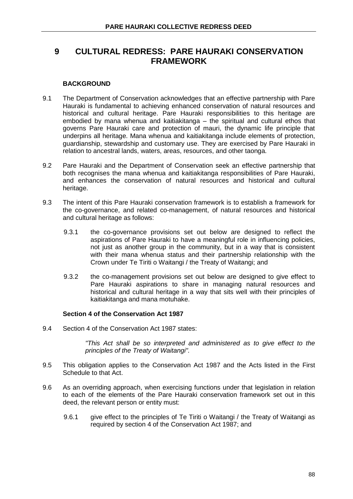### **BACKGROUND**

- 9.1 The Department of Conservation acknowledges that an effective partnership with Pare Hauraki is fundamental to achieving enhanced conservation of natural resources and historical and cultural heritage. Pare Hauraki responsibilities to this heritage are embodied by mana whenua and kaitiakitanga – the spiritual and cultural ethos that governs Pare Hauraki care and protection of mauri, the dynamic life principle that underpins all heritage. Mana whenua and kaitiakitanga include elements of protection, guardianship, stewardship and customary use. They are exercised by Pare Hauraki in relation to ancestral lands, waters, areas, resources, and other taonga.
- 9.2 Pare Hauraki and the Department of Conservation seek an effective partnership that both recognises the mana whenua and kaitiakitanga responsibilities of Pare Hauraki, and enhances the conservation of natural resources and historical and cultural heritage.
- 9.3 The intent of this Pare Hauraki conservation framework is to establish a framework for the co-governance, and related co-management, of natural resources and historical and cultural heritage as follows:
	- 9.3.1 the co-governance provisions set out below are designed to reflect the aspirations of Pare Hauraki to have a meaningful role in influencing policies, not just as another group in the community, but in a way that is consistent with their mana whenua status and their partnership relationship with the Crown under Te Tiriti o Waitangi / the Treaty of Waitangi; and
	- 9.3.2 the co-management provisions set out below are designed to give effect to Pare Hauraki aspirations to share in managing natural resources and historical and cultural heritage in a way that sits well with their principles of kaitiakitanga and mana motuhake.

#### **Section 4 of the Conservation Act 1987**

9.4 Section 4 of the Conservation Act 1987 states:

*"This Act shall be so interpreted and administered as to give effect to the principles of the Treaty of Waitangi".*

- 9.5 This obligation applies to the Conservation Act 1987 and the Acts listed in the First Schedule to that Act.
- 9.6 As an overriding approach, when exercising functions under that legislation in relation to each of the elements of the Pare Hauraki conservation framework set out in this deed, the relevant person or entity must:
	- 9.6.1 give effect to the principles of Te Tiriti o Waitangi / the Treaty of Waitangi as required by section 4 of the Conservation Act 1987; and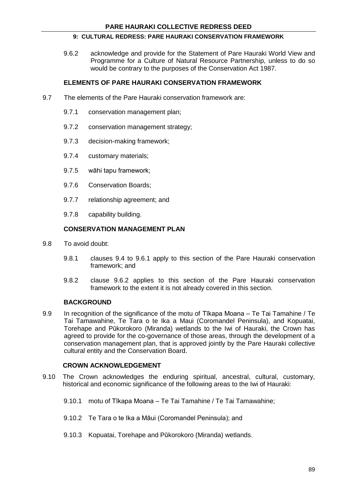9.6.2 acknowledge and provide for the Statement of Pare Hauraki World View and Programme for a Culture of Natural Resource Partnership, unless to do so would be contrary to the purposes of the Conservation Act 1987.

### **ELEMENTS OF PARE HAURAKI CONSERVATION FRAMEWORK**

- 9.7 The elements of the Pare Hauraki conservation framework are:
	- 9.7.1 conservation management plan;
	- 9.7.2 conservation management strategy;
	- 9.7.3 decision-making framework;
	- 9.7.4 customary materials;
	- 9.7.5 wāhi tapu framework;
	- 9.7.6 Conservation Boards;
	- 9.7.7 relationship agreement; and
	- 9.7.8 capability building.

### **CONSERVATION MANAGEMENT PLAN**

- 9.8 To avoid doubt:
	- 9.8.1 clauses 9.4 to 9.6.1 apply to this section of the Pare Hauraki conservation framework; and
	- 9.8.2 clause 9.6.2 applies to this section of the Pare Hauraki conservation framework to the extent it is not already covered in this section.

#### **BACKGROUND**

9.9 In recognition of the significance of the motu of Tīkapa Moana – Te Tai Tamahine / Te Tai Tamawahine, Te Tara o te Ika a Maui (Coromandel Peninsula), and Kopuatai, Torehape and Pūkorokoro (Miranda) wetlands to the Iwi of Hauraki, the Crown has agreed to provide for the co-governance of those areas, through the development of a conservation management plan, that is approved jointly by the Pare Hauraki collective cultural entity and the Conservation Board.

#### **CROWN ACKNOWLEDGEMENT**

- 9.10 The Crown acknowledges the enduring spiritual, ancestral, cultural, customary, historical and economic significance of the following areas to the Iwi of Hauraki:
	- 9.10.1 motu of Tīkapa Moana Te Tai Tamahine / Te Tai Tamawahine;
	- 9.10.2 Te Tara o te Ika a Māui (Coromandel Peninsula); and
	- 9.10.3 Kopuatai, Torehape and Pūkorokoro (Miranda) wetlands.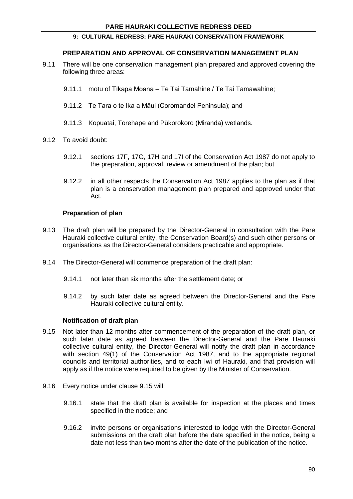### **PREPARATION AND APPROVAL OF CONSERVATION MANAGEMENT PLAN**

- 9.11 There will be one conservation management plan prepared and approved covering the following three areas:
	- 9.11.1 motu of Tīkapa Moana Te Tai Tamahine / Te Tai Tamawahine;
	- 9.11.2 Te Tara o te Ika a Māui (Coromandel Peninsula); and
	- 9.11.3 Kopuatai, Torehape and Pūkorokoro (Miranda) wetlands.
- 9.12 To avoid doubt:
	- 9.12.1 sections 17F, 17G, 17H and 17I of the Conservation Act 1987 do not apply to the preparation, approval, review or amendment of the plan; but
	- 9.12.2 in all other respects the Conservation Act 1987 applies to the plan as if that plan is a conservation management plan prepared and approved under that Act.

### **Preparation of plan**

- 9.13 The draft plan will be prepared by the Director-General in consultation with the Pare Hauraki collective cultural entity, the Conservation Board(s) and such other persons or organisations as the Director-General considers practicable and appropriate.
- 9.14 The Director-General will commence preparation of the draft plan:
	- 9.14.1 not later than six months after the settlement date; or
	- 9.14.2 by such later date as agreed between the Director-General and the Pare Hauraki collective cultural entity.

#### **Notification of draft plan**

- 9.15 Not later than 12 months after commencement of the preparation of the draft plan, or such later date as agreed between the Director-General and the Pare Hauraki collective cultural entity, the Director-General will notify the draft plan in accordance with section 49(1) of the Conservation Act 1987, and to the appropriate regional councils and territorial authorities, and to each Iwi of Hauraki, and that provision will apply as if the notice were required to be given by the Minister of Conservation.
- 9.16 Every notice under clause 9.15 will:
	- 9.16.1 state that the draft plan is available for inspection at the places and times specified in the notice; and
	- 9.16.2 invite persons or organisations interested to lodge with the Director-General submissions on the draft plan before the date specified in the notice, being a date not less than two months after the date of the publication of the notice.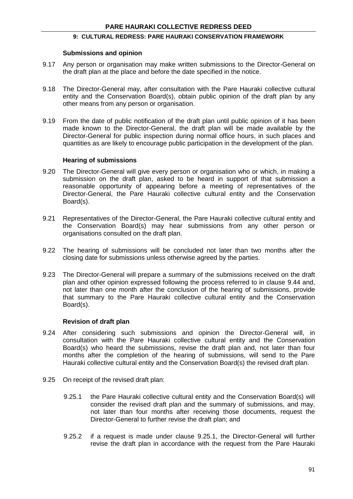### **Submissions and opinion**

- 9.17 Any person or organisation may make written submissions to the Director-General on the draft plan at the place and before the date specified in the notice.
- 9.18 The Director-General may, after consultation with the Pare Hauraki collective cultural entity and the Conservation Board(s), obtain public opinion of the draft plan by any other means from any person or organisation.
- 9.19 From the date of public notification of the draft plan until public opinion of it has been made known to the Director-General, the draft plan will be made available by the Director-General for public inspection during normal office hours, in such places and quantities as are likely to encourage public participation in the development of the plan.

### **Hearing of submissions**

- 9.20 The Director-General will give every person or organisation who or which, in making a submission on the draft plan, asked to be heard in support of that submission a reasonable opportunity of appearing before a meeting of representatives of the Director-General, the Pare Hauraki collective cultural entity and the Conservation Board(s).
- 9.21 Representatives of the Director-General, the Pare Hauraki collective cultural entity and the Conservation Board(s) may hear submissions from any other person or organisations consulted on the draft plan.
- 9.22 The hearing of submissions will be concluded not later than two months after the closing date for submissions unless otherwise agreed by the parties.
- 9.23 The Director-General will prepare a summary of the submissions received on the draft plan and other opinion expressed following the process referred to in clause 9.44 and, not later than one month after the conclusion of the hearing of submissions, provide that summary to the Pare Hauraki collective cultural entity and the Conservation Board(s).

### **Revision of draft plan**

- 9.24 After considering such submissions and opinion the Director-General will, in consultation with the Pare Hauraki collective cultural entity and the Conservation Board(s) who heard the submissions, revise the draft plan and, not later than four months after the completion of the hearing of submissions, will send to the Pare Hauraki collective cultural entity and the Conservation Board(s) the revised draft plan.
- 9.25 On receipt of the revised draft plan:
	- 9.25.1 the Pare Hauraki collective cultural entity and the Conservation Board(s) will consider the revised draft plan and the summary of submissions, and may, not later than four months after receiving those documents, request the Director-General to further revise the draft plan; and
	- 9.25.2 if a request is made under clause 9.25.1, the Director-General will further revise the draft plan in accordance with the request from the Pare Hauraki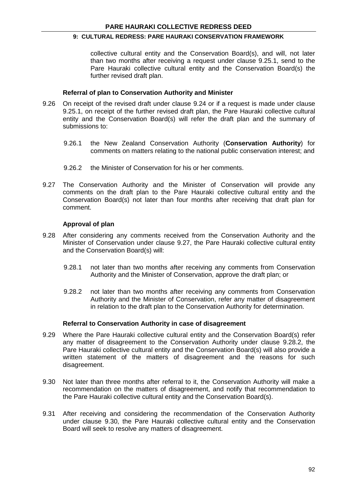collective cultural entity and the Conservation Board(s), and will, not later than two months after receiving a request under clause 9.25.1, send to the Pare Hauraki collective cultural entity and the Conservation Board(s) the further revised draft plan.

#### **Referral of plan to Conservation Authority and Minister**

- 9.26 On receipt of the revised draft under clause 9.24 or if a request is made under clause 9.25.1, on receipt of the further revised draft plan, the Pare Hauraki collective cultural entity and the Conservation Board(s) will refer the draft plan and the summary of submissions to:
	- 9.26.1 the New Zealand Conservation Authority (**Conservation Authority**) for comments on matters relating to the national public conservation interest; and
	- 9.26.2 the Minister of Conservation for his or her comments.
- 9.27 The Conservation Authority and the Minister of Conservation will provide any comments on the draft plan to the Pare Hauraki collective cultural entity and the Conservation Board(s) not later than four months after receiving that draft plan for comment.

### **Approval of plan**

- 9.28 After considering any comments received from the Conservation Authority and the Minister of Conservation under clause 9.27, the Pare Hauraki collective cultural entity and the Conservation Board(s) will:
	- 9.28.1 not later than two months after receiving any comments from Conservation Authority and the Minister of Conservation, approve the draft plan; or
	- 9.28.2 not later than two months after receiving any comments from Conservation Authority and the Minister of Conservation, refer any matter of disagreement in relation to the draft plan to the Conservation Authority for determination.

#### **Referral to Conservation Authority in case of disagreement**

- 9.29 Where the Pare Hauraki collective cultural entity and the Conservation Board(s) refer any matter of disagreement to the Conservation Authority under clause 9.28.2, the Pare Hauraki collective cultural entity and the Conservation Board(s) will also provide a written statement of the matters of disagreement and the reasons for such disagreement.
- 9.30 Not later than three months after referral to it, the Conservation Authority will make a recommendation on the matters of disagreement, and notify that recommendation to the Pare Hauraki collective cultural entity and the Conservation Board(s).
- 9.31 After receiving and considering the recommendation of the Conservation Authority under clause 9.30, the Pare Hauraki collective cultural entity and the Conservation Board will seek to resolve any matters of disagreement.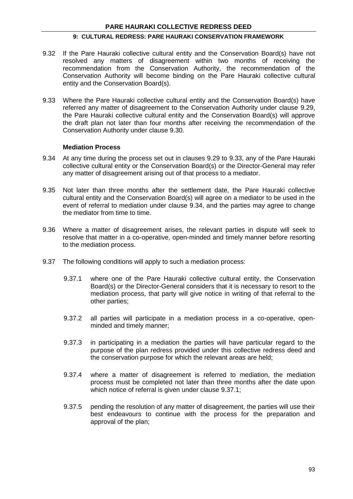- 9.32 If the Pare Hauraki collective cultural entity and the Conservation Board(s) have not resolved any matters of disagreement within two months of receiving the recommendation from the Conservation Authority, the recommendation of the Conservation Authority will become binding on the Pare Hauraki collective cultural entity and the Conservation Board(s).
- 9.33 Where the Pare Hauraki collective cultural entity and the Conservation Board(s) have referred any matter of disagreement to the Conservation Authority under clause 9.29, the Pare Hauraki collective cultural entity and the Conservation Board(s) will approve the draft plan not later than four months after receiving the recommendation of the Conservation Authority under clause 9.30.

### **Mediation Process**

- 9.34 At any time during the process set out in clauses 9.29 to 9.33, any of the Pare Hauraki collective cultural entity or the Conservation Board(s) or the Director-General may refer any matter of disagreement arising out of that process to a mediator.
- 9.35 Not later than three months after the settlement date, the Pare Hauraki collective cultural entity and the Conservation Board(s) will agree on a mediator to be used in the event of referral to mediation under clause 9.34, and the parties may agree to change the mediator from time to time.
- 9.36 Where a matter of disagreement arises, the relevant parties in dispute will seek to resolve that matter in a co-operative, open-minded and timely manner before resorting to the mediation process.
- 9.37 The following conditions will apply to such a mediation process:
	- 9.37.1 where one of the Pare Hauraki collective cultural entity, the Conservation Board(s) or the Director-General considers that it is necessary to resort to the mediation process, that party will give notice in writing of that referral to the other parties;
	- 9.37.2 all parties will participate in a mediation process in a co-operative, openminded and timely manner;
	- 9.37.3 in participating in a mediation the parties will have particular regard to the purpose of the plan redress provided under this collective redress deed and the conservation purpose for which the relevant areas are held;
	- 9.37.4 where a matter of disagreement is referred to mediation, the mediation process must be completed not later than three months after the date upon which notice of referral is given under clause 9.37.1;
	- 9.37.5 pending the resolution of any matter of disagreement, the parties will use their best endeavours to continue with the process for the preparation and approval of the plan;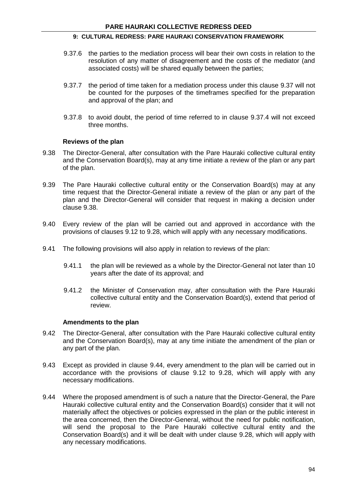- 9.37.6 the parties to the mediation process will bear their own costs in relation to the resolution of any matter of disagreement and the costs of the mediator (and associated costs) will be shared equally between the parties;
- 9.37.7 the period of time taken for a mediation process under this clause 9.37 will not be counted for the purposes of the timeframes specified for the preparation and approval of the plan; and
- 9.37.8 to avoid doubt, the period of time referred to in clause 9.37.4 will not exceed three months.

### **Reviews of the plan**

- 9.38 The Director-General, after consultation with the Pare Hauraki collective cultural entity and the Conservation Board(s), may at any time initiate a review of the plan or any part of the plan.
- 9.39 The Pare Hauraki collective cultural entity or the Conservation Board(s) may at any time request that the Director-General initiate a review of the plan or any part of the plan and the Director-General will consider that request in making a decision under clause 9.38.
- 9.40 Every review of the plan will be carried out and approved in accordance with the provisions of clauses 9.12 to 9.28, which will apply with any necessary modifications.
- 9.41 The following provisions will also apply in relation to reviews of the plan:
	- 9.41.1 the plan will be reviewed as a whole by the Director-General not later than 10 years after the date of its approval; and
	- 9.41.2 the Minister of Conservation may, after consultation with the Pare Hauraki collective cultural entity and the Conservation Board(s), extend that period of review.

#### **Amendments to the plan**

- 9.42 The Director-General, after consultation with the Pare Hauraki collective cultural entity and the Conservation Board(s), may at any time initiate the amendment of the plan or any part of the plan.
- 9.43 Except as provided in clause 9.44, every amendment to the plan will be carried out in accordance with the provisions of clause 9.12 to 9.28, which will apply with any necessary modifications.
- 9.44 Where the proposed amendment is of such a nature that the Director-General, the Pare Hauraki collective cultural entity and the Conservation Board(s) consider that it will not materially affect the objectives or policies expressed in the plan or the public interest in the area concerned, then the Director-General, without the need for public notification, will send the proposal to the Pare Hauraki collective cultural entity and the Conservation Board(s) and it will be dealt with under clause 9.28, which will apply with any necessary modifications.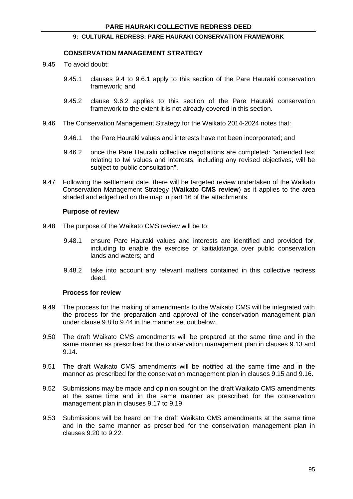### **CONSERVATION MANAGEMENT STRATEGY**

- 9.45 To avoid doubt:
	- 9.45.1 clauses 9.4 to 9.6.1 apply to this section of the Pare Hauraki conservation framework; and
	- 9.45.2 clause 9.6.2 applies to this section of the Pare Hauraki conservation framework to the extent it is not already covered in this section.
- 9.46 The Conservation Management Strategy for the Waikato 2014-2024 notes that:
	- 9.46.1 the Pare Hauraki values and interests have not been incorporated; and
	- 9.46.2 once the Pare Hauraki collective negotiations are completed: "amended text relating to Iwi values and interests, including any revised objectives, will be subject to public consultation".
- 9.47 Following the settlement date, there will be targeted review undertaken of the Waikato Conservation Management Strategy (**Waikato CMS review**) as it applies to the area shaded and edged red on the map in part 16 of the attachments.

### **Purpose of review**

- 9.48 The purpose of the Waikato CMS review will be to:
	- 9.48.1 ensure Pare Hauraki values and interests are identified and provided for, including to enable the exercise of kaitiakitanga over public conservation lands and waters; and
	- 9.48.2 take into account any relevant matters contained in this collective redress deed.

#### **Process for review**

- 9.49 The process for the making of amendments to the Waikato CMS will be integrated with the process for the preparation and approval of the conservation management plan under clause 9.8 to 9.44 in the manner set out below.
- 9.50 The draft Waikato CMS amendments will be prepared at the same time and in the same manner as prescribed for the conservation management plan in clauses 9.13 and 9.14.
- 9.51 The draft Waikato CMS amendments will be notified at the same time and in the manner as prescribed for the conservation management plan in clauses 9.15 and 9.16.
- 9.52 Submissions may be made and opinion sought on the draft Waikato CMS amendments at the same time and in the same manner as prescribed for the conservation management plan in clauses 9.17 to 9.19.
- 9.53 Submissions will be heard on the draft Waikato CMS amendments at the same time and in the same manner as prescribed for the conservation management plan in clauses 9.20 to 9.22.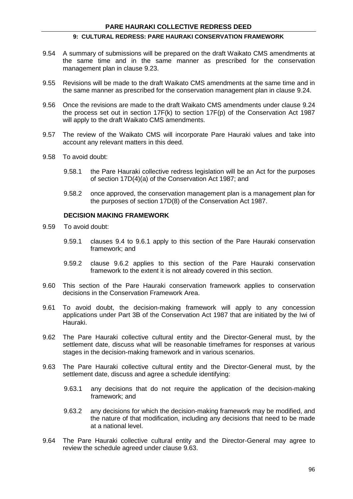- 9.54 A summary of submissions will be prepared on the draft Waikato CMS amendments at the same time and in the same manner as prescribed for the conservation management plan in clause 9.23.
- 9.55 Revisions will be made to the draft Waikato CMS amendments at the same time and in the same manner as prescribed for the conservation management plan in clause 9.24.
- 9.56 Once the revisions are made to the draft Waikato CMS amendments under clause 9.24 the process set out in section  $17F(k)$  to section  $17F(p)$  of the Conservation Act 1987 will apply to the draft Waikato CMS amendments.
- 9.57 The review of the Waikato CMS will incorporate Pare Hauraki values and take into account any relevant matters in this deed.
- 9.58 To avoid doubt:
	- 9.58.1 the Pare Hauraki collective redress legislation will be an Act for the purposes of section 17D(4)(a) of the Conservation Act 1987; and
	- 9.58.2 once approved, the conservation management plan is a management plan for the purposes of section 17D(8) of the Conservation Act 1987.

### **DECISION MAKING FRAMEWORK**

- 9.59 To avoid doubt:
	- 9.59.1 clauses 9.4 to 9.6.1 apply to this section of the Pare Hauraki conservation framework; and
	- 9.59.2 clause 9.6.2 applies to this section of the Pare Hauraki conservation framework to the extent it is not already covered in this section.
- 9.60 This section of the Pare Hauraki conservation framework applies to conservation decisions in the Conservation Framework Area.
- 9.61 To avoid doubt, the decision-making framework will apply to any concession applications under Part 3B of the Conservation Act 1987 that are initiated by the Iwi of Hauraki.
- 9.62 The Pare Hauraki collective cultural entity and the Director-General must, by the settlement date, discuss what will be reasonable timeframes for responses at various stages in the decision-making framework and in various scenarios.
- 9.63 The Pare Hauraki collective cultural entity and the Director-General must, by the settlement date, discuss and agree a schedule identifying:
	- 9.63.1 any decisions that do not require the application of the decision-making framework; and
	- 9.63.2 any decisions for which the decision-making framework may be modified, and the nature of that modification, including any decisions that need to be made at a national level.
- 9.64 The Pare Hauraki collective cultural entity and the Director-General may agree to review the schedule agreed under clause 9.63.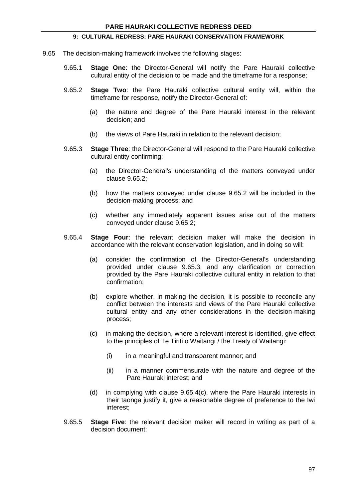- 9.65 The decision-making framework involves the following stages:
	- 9.65.1 **Stage One**: the Director-General will notify the Pare Hauraki collective cultural entity of the decision to be made and the timeframe for a response;
	- 9.65.2 **Stage Two**: the Pare Hauraki collective cultural entity will, within the timeframe for response, notify the Director-General of:
		- (a) the nature and degree of the Pare Hauraki interest in the relevant decision; and
		- (b) the views of Pare Hauraki in relation to the relevant decision;
	- 9.65.3 **Stage Three**: the Director-General will respond to the Pare Hauraki collective cultural entity confirming:
		- (a) the Director-General's understanding of the matters conveyed under clause 9.65.2;
		- (b) how the matters conveyed under clause 9.65.2 will be included in the decision-making process; and
		- (c) whether any immediately apparent issues arise out of the matters conveyed under clause 9.65.2;
	- 9.65.4 **Stage Four**: the relevant decision maker will make the decision in accordance with the relevant conservation legislation, and in doing so will:
		- (a) consider the confirmation of the Director-General's understanding provided under clause 9.65.3, and any clarification or correction provided by the Pare Hauraki collective cultural entity in relation to that confirmation;
		- (b) explore whether, in making the decision, it is possible to reconcile any conflict between the interests and views of the Pare Hauraki collective cultural entity and any other considerations in the decision-making process;
		- (c) in making the decision, where a relevant interest is identified, give effect to the principles of Te Tiriti o Waitangi / the Treaty of Waitangi:
			- (i) in a meaningful and transparent manner; and
			- (ii) in a manner commensurate with the nature and degree of the Pare Hauraki interest; and
		- (d) in complying with clause 9.65.4(c), where the Pare Hauraki interests in their taonga justify it, give a reasonable degree of preference to the Iwi interest;
	- 9.65.5 **Stage Five**: the relevant decision maker will record in writing as part of a decision document: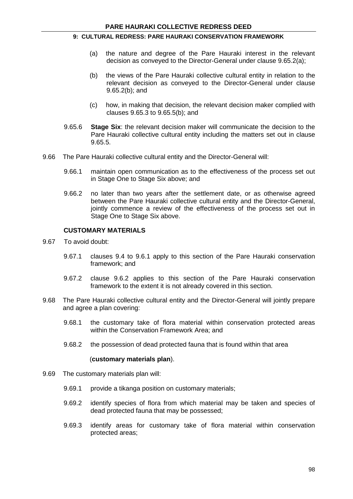- (a) the nature and degree of the Pare Hauraki interest in the relevant decision as conveyed to the Director-General under clause 9.65.2(a);
- (b) the views of the Pare Hauraki collective cultural entity in relation to the relevant decision as conveyed to the Director-General under clause 9.65.2(b); and
- (c) how, in making that decision, the relevant decision maker complied with clauses 9.65.3 to 9.65.5(b); and
- 9.65.6 **Stage Six**: the relevant decision maker will communicate the decision to the Pare Hauraki collective cultural entity including the matters set out in clause 9.65.5.
- 9.66 The Pare Hauraki collective cultural entity and the Director-General will:
	- 9.66.1 maintain open communication as to the effectiveness of the process set out in Stage One to Stage Six above; and
	- 9.66.2 no later than two years after the settlement date, or as otherwise agreed between the Pare Hauraki collective cultural entity and the Director-General, jointly commence a review of the effectiveness of the process set out in Stage One to Stage Six above.

### **CUSTOMARY MATERIALS**

- 9.67 To avoid doubt:
	- 9.67.1 clauses 9.4 to 9.6.1 apply to this section of the Pare Hauraki conservation framework; and
	- 9.67.2 clause 9.6.2 applies to this section of the Pare Hauraki conservation framework to the extent it is not already covered in this section.
- 9.68 The Pare Hauraki collective cultural entity and the Director-General will jointly prepare and agree a plan covering:
	- 9.68.1 the customary take of flora material within conservation protected areas within the Conservation Framework Area; and
	- 9.68.2 the possession of dead protected fauna that is found within that area

#### (**customary materials plan**).

- 9.69 The customary materials plan will:
	- 9.69.1 provide a tikanga position on customary materials;
	- 9.69.2 identify species of flora from which material may be taken and species of dead protected fauna that may be possessed;
	- 9.69.3 identify areas for customary take of flora material within conservation protected areas;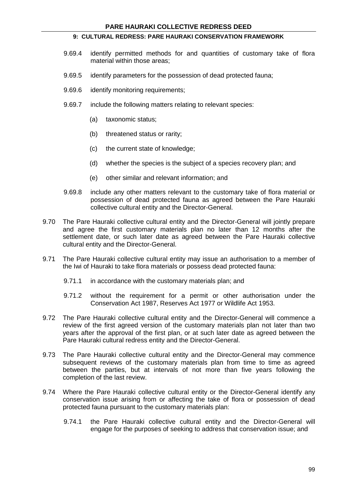- 9.69.4 identify permitted methods for and quantities of customary take of flora material within those areas;
- 9.69.5 identify parameters for the possession of dead protected fauna;
- 9.69.6 identify monitoring requirements;
- 9.69.7 include the following matters relating to relevant species:
	- (a) taxonomic status;
	- (b) threatened status or rarity;
	- (c) the current state of knowledge;
	- (d) whether the species is the subject of a species recovery plan; and
	- (e) other similar and relevant information; and
- 9.69.8 include any other matters relevant to the customary take of flora material or possession of dead protected fauna as agreed between the Pare Hauraki collective cultural entity and the Director-General.
- 9.70 The Pare Hauraki collective cultural entity and the Director-General will jointly prepare and agree the first customary materials plan no later than 12 months after the settlement date, or such later date as agreed between the Pare Hauraki collective cultural entity and the Director-General.
- 9.71 The Pare Hauraki collective cultural entity may issue an authorisation to a member of the Iwi of Hauraki to take flora materials or possess dead protected fauna:
	- 9.71.1 in accordance with the customary materials plan; and
	- 9.71.2 without the requirement for a permit or other authorisation under the Conservation Act 1987, Reserves Act 1977 or Wildlife Act 1953.
- 9.72 The Pare Hauraki collective cultural entity and the Director-General will commence a review of the first agreed version of the customary materials plan not later than two years after the approval of the first plan, or at such later date as agreed between the Pare Hauraki cultural redress entity and the Director-General.
- 9.73 The Pare Hauraki collective cultural entity and the Director-General may commence subsequent reviews of the customary materials plan from time to time as agreed between the parties, but at intervals of not more than five years following the completion of the last review.
- 9.74 Where the Pare Hauraki collective cultural entity or the Director-General identify any conservation issue arising from or affecting the take of flora or possession of dead protected fauna pursuant to the customary materials plan:
	- 9.74.1 the Pare Hauraki collective cultural entity and the Director-General will engage for the purposes of seeking to address that conservation issue; and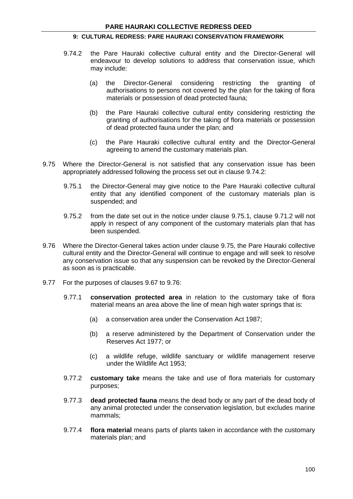- 9.74.2 the Pare Hauraki collective cultural entity and the Director-General will endeavour to develop solutions to address that conservation issue, which may include:
	- (a) the Director-General considering restricting the granting of authorisations to persons not covered by the plan for the taking of flora materials or possession of dead protected fauna;
	- (b) the Pare Hauraki collective cultural entity considering restricting the granting of authorisations for the taking of flora materials or possession of dead protected fauna under the plan; and
	- (c) the Pare Hauraki collective cultural entity and the Director-General agreeing to amend the customary materials plan.
- 9.75 Where the Director-General is not satisfied that any conservation issue has been appropriately addressed following the process set out in clause 9.74.2:
	- 9.75.1 the Director-General may give notice to the Pare Hauraki collective cultural entity that any identified component of the customary materials plan is suspended; and
	- 9.75.2 from the date set out in the notice under clause 9.75.1, clause 9.71.2 will not apply in respect of any component of the customary materials plan that has been suspended.
- 9.76 Where the Director-General takes action under clause 9.75, the Pare Hauraki collective cultural entity and the Director-General will continue to engage and will seek to resolve any conservation issue so that any suspension can be revoked by the Director-General as soon as is practicable.
- 9.77 For the purposes of clauses 9.67 to 9.76:
	- 9.77.1 **conservation protected area** in relation to the customary take of flora material means an area above the line of mean high water springs that is:
		- (a) a conservation area under the Conservation Act 1987;
		- (b) a reserve administered by the Department of Conservation under the Reserves Act 1977; or
		- (c) a wildlife refuge, wildlife sanctuary or wildlife management reserve under the Wildlife Act 1953;
	- 9.77.2 **customary take** means the take and use of flora materials for customary purposes;
	- 9.77.3 **dead protected fauna** means the dead body or any part of the dead body of any animal protected under the conservation legislation, but excludes marine mammals;
	- 9.77.4 **flora material** means parts of plants taken in accordance with the customary materials plan; and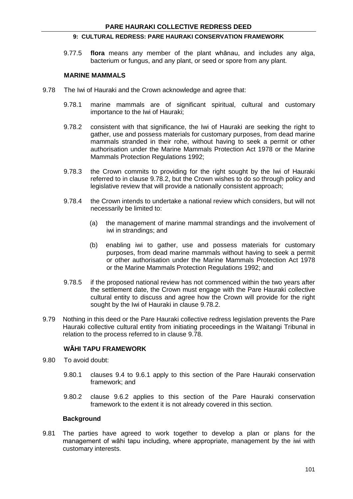9.77.5 **flora** means any member of the plant whānau, and includes any alga, bacterium or fungus, and any plant, or seed or spore from any plant.

### **MARINE MAMMALS**

- 9.78 The Iwi of Hauraki and the Crown acknowledge and agree that:
	- 9.78.1 marine mammals are of significant spiritual, cultural and customary importance to the Iwi of Hauraki;
	- 9.78.2 consistent with that significance, the Iwi of Hauraki are seeking the right to gather, use and possess materials for customary purposes, from dead marine mammals stranded in their rohe, without having to seek a permit or other authorisation under the Marine Mammals Protection Act 1978 or the Marine Mammals Protection Regulations 1992;
	- 9.78.3 the Crown commits to providing for the right sought by the Iwi of Hauraki referred to in clause 9.78.2, but the Crown wishes to do so through policy and legislative review that will provide a nationally consistent approach;
	- 9.78.4 the Crown intends to undertake a national review which considers, but will not necessarily be limited to:
		- (a) the management of marine mammal strandings and the involvement of iwi in strandings; and
		- (b) enabling iwi to gather, use and possess materials for customary purposes, from dead marine mammals without having to seek a permit or other authorisation under the Marine Mammals Protection Act 1978 or the Marine Mammals Protection Regulations 1992; and
	- 9.78.5 if the proposed national review has not commenced within the two years after the settlement date, the Crown must engage with the Pare Hauraki collective cultural entity to discuss and agree how the Crown will provide for the right sought by the Iwi of Hauraki in clause 9.78.2.
- 9.79 Nothing in this deed or the Pare Hauraki collective redress legislation prevents the Pare Hauraki collective cultural entity from initiating proceedings in the Waitangi Tribunal in relation to the process referred to in clause 9.78.

### **WĀHI TAPU FRAMEWORK**

- 9.80 To avoid doubt:
	- 9.80.1 clauses 9.4 to 9.6.1 apply to this section of the Pare Hauraki conservation framework; and
	- 9.80.2 clause 9.6.2 applies to this section of the Pare Hauraki conservation framework to the extent it is not already covered in this section.

#### **Background**

9.81 The parties have agreed to work together to develop a plan or plans for the management of wāhi tapu including, where appropriate, management by the iwi with customary interests.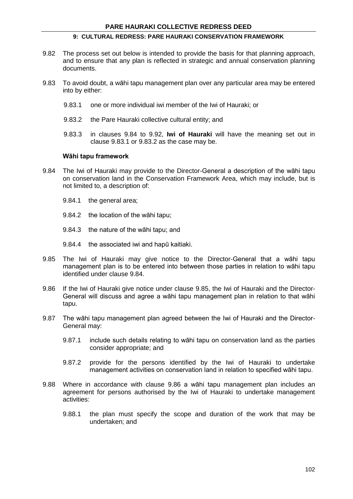- 9.82 The process set out below is intended to provide the basis for that planning approach, and to ensure that any plan is reflected in strategic and annual conservation planning documents.
- 9.83 To avoid doubt, a wāhi tapu management plan over any particular area may be entered into by either:
	- 9.83.1 one or more individual iwi member of the Iwi of Hauraki; or
	- 9.83.2 the Pare Hauraki collective cultural entity; and
	- 9.83.3 in clauses 9.84 to 9.92, **Iwi of Hauraki** will have the meaning set out in clause 9.83.1 or 9.83.2 as the case may be.

#### **Wāhi tapu framework**

- 9.84 The Iwi of Hauraki may provide to the Director-General a description of the wāhi tapu on conservation land in the Conservation Framework Area, which may include, but is not limited to, a description of:
	- 9.84.1 the general area;
	- 9.84.2 the location of the wāhi tapu;
	- 9.84.3 the nature of the wāhi tapu; and
	- 9.84.4 the associated iwi and hapū kaitiaki.
- 9.85 The Iwi of Hauraki may give notice to the Director-General that a wāhi tapu management plan is to be entered into between those parties in relation to wāhi tapu identified under clause 9.84.
- 9.86 If the Iwi of Hauraki give notice under clause 9.85, the Iwi of Hauraki and the Director-General will discuss and agree a wāhi tapu management plan in relation to that wāhi tapu.
- 9.87 The wāhi tapu management plan agreed between the Iwi of Hauraki and the Director-General may:
	- 9.87.1 include such details relating to wāhi tapu on conservation land as the parties consider appropriate; and
	- 9.87.2 provide for the persons identified by the Iwi of Hauraki to undertake management activities on conservation land in relation to specified wāhi tapu.
- 9.88 Where in accordance with clause 9.86 a wāhi tapu management plan includes an agreement for persons authorised by the Iwi of Hauraki to undertake management activities:
	- 9.88.1 the plan must specify the scope and duration of the work that may be undertaken; and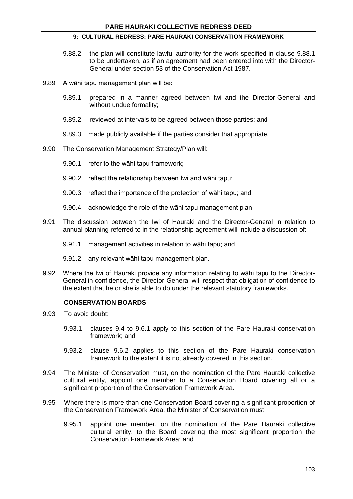- 9.88.2 the plan will constitute lawful authority for the work specified in clause 9.88.1 to be undertaken, as if an agreement had been entered into with the Director-General under section 53 of the Conservation Act 1987.
- 9.89 A wāhi tapu management plan will be:
	- 9.89.1 prepared in a manner agreed between Iwi and the Director-General and without undue formality;
	- 9.89.2 reviewed at intervals to be agreed between those parties; and
	- 9.89.3 made publicly available if the parties consider that appropriate.
- 9.90 The Conservation Management Strategy/Plan will:
	- 9.90.1 refer to the wāhi tapu framework;
	- 9.90.2 reflect the relationship between Iwi and wāhi tapu;
	- 9.90.3 reflect the importance of the protection of wāhi tapu; and
	- 9.90.4 acknowledge the role of the wāhi tapu management plan.
- 9.91 The discussion between the Iwi of Hauraki and the Director-General in relation to annual planning referred to in the relationship agreement will include a discussion of:
	- 9.91.1 management activities in relation to wāhi tapu; and
	- 9.91.2 any relevant wāhi tapu management plan.
- 9.92 Where the Iwi of Hauraki provide any information relating to wāhi tapu to the Director-General in confidence, the Director-General will respect that obligation of confidence to the extent that he or she is able to do under the relevant statutory frameworks.

### **CONSERVATION BOARDS**

- 9.93 To avoid doubt:
	- 9.93.1 clauses 9.4 to 9.6.1 apply to this section of the Pare Hauraki conservation framework; and
	- 9.93.2 clause 9.6.2 applies to this section of the Pare Hauraki conservation framework to the extent it is not already covered in this section.
- 9.94 The Minister of Conservation must, on the nomination of the Pare Hauraki collective cultural entity, appoint one member to a Conservation Board covering all or a significant proportion of the Conservation Framework Area.
- 9.95 Where there is more than one Conservation Board covering a significant proportion of the Conservation Framework Area, the Minister of Conservation must:
	- 9.95.1 appoint one member, on the nomination of the Pare Hauraki collective cultural entity, to the Board covering the most significant proportion the Conservation Framework Area; and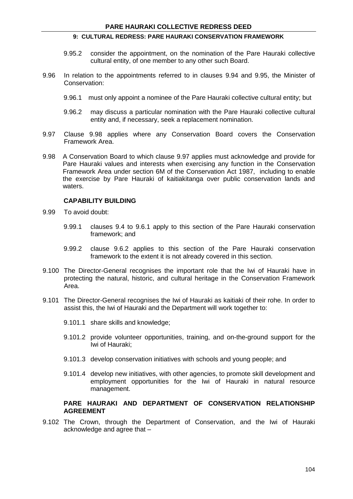- 9.95.2 consider the appointment, on the nomination of the Pare Hauraki collective cultural entity, of one member to any other such Board.
- 9.96 In relation to the appointments referred to in clauses 9.94 and 9.95, the Minister of Conservation:
	- 9.96.1 must only appoint a nominee of the Pare Hauraki collective cultural entity; but
	- 9.96.2 may discuss a particular nomination with the Pare Hauraki collective cultural entity and, if necessary, seek a replacement nomination.
- 9.97 Clause 9.98 applies where any Conservation Board covers the Conservation Framework Area.
- 9.98 A Conservation Board to which clause 9.97 applies must acknowledge and provide for Pare Hauraki values and interests when exercising any function in the Conservation Framework Area under section 6M of the Conservation Act 1987, including to enable the exercise by Pare Hauraki of kaitiakitanga over public conservation lands and waters.

#### **CAPABILITY BUILDING**

- 9.99 To avoid doubt:
	- 9.99.1 clauses 9.4 to 9.6.1 apply to this section of the Pare Hauraki conservation framework; and
	- 9.99.2 clause 9.6.2 applies to this section of the Pare Hauraki conservation framework to the extent it is not already covered in this section.
- 9.100 The Director-General recognises the important role that the Iwi of Hauraki have in protecting the natural, historic, and cultural heritage in the Conservation Framework Area.
- 9.101 The Director-General recognises the Iwi of Hauraki as kaitiaki of their rohe. In order to assist this, the Iwi of Hauraki and the Department will work together to:
	- 9.101.1 share skills and knowledge;
	- 9.101.2 provide volunteer opportunities, training, and on-the-ground support for the Iwi of Hauraki;
	- 9.101.3 develop conservation initiatives with schools and young people; and
	- 9.101.4 develop new initiatives, with other agencies, to promote skill development and employment opportunities for the Iwi of Hauraki in natural resource management.

#### **PARE HAURAKI AND DEPARTMENT OF CONSERVATION RELATIONSHIP AGREEMENT**

9.102 The Crown, through the Department of Conservation, and the Iwi of Hauraki acknowledge and agree that –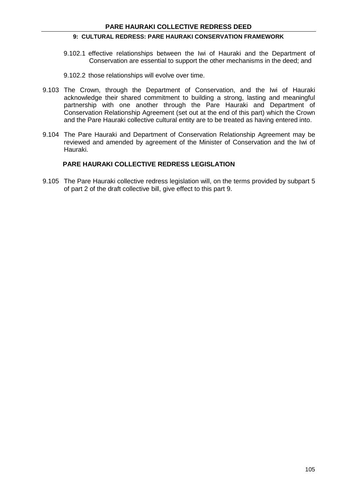- 9.102.1 effective relationships between the Iwi of Hauraki and the Department of Conservation are essential to support the other mechanisms in the deed; and
- 9.102.2 those relationships will evolve over time.
- 9.103 The Crown, through the Department of Conservation, and the Iwi of Hauraki acknowledge their shared commitment to building a strong, lasting and meaningful partnership with one another through the Pare Hauraki and Department of Conservation Relationship Agreement (set out at the end of this part) which the Crown and the Pare Hauraki collective cultural entity are to be treated as having entered into.
- 9.104 The Pare Hauraki and Department of Conservation Relationship Agreement may be reviewed and amended by agreement of the Minister of Conservation and the Iwi of Hauraki.

#### **PARE HAURAKI COLLECTIVE REDRESS LEGISLATION**

9.105 The Pare Hauraki collective redress legislation will, on the terms provided by subpart 5 of part 2 of the draft collective bill, give effect to this part 9.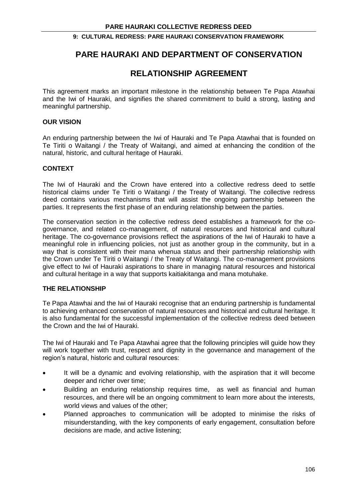## **PARE HAURAKI AND DEPARTMENT OF CONSERVATION**

## **RELATIONSHIP AGREEMENT**

This agreement marks an important milestone in the relationship between Te Papa Atawhai and the Iwi of Hauraki, and signifies the shared commitment to build a strong, lasting and meaningful partnership.

#### **OUR VISION**

An enduring partnership between the Iwi of Hauraki and Te Papa Atawhai that is founded on Te Tiriti o Waitangi / the Treaty of Waitangi, and aimed at enhancing the condition of the natural, historic, and cultural heritage of Hauraki.

#### **CONTEXT**

The Iwi of Hauraki and the Crown have entered into a collective redress deed to settle historical claims under Te Tiriti o Waitangi / the Treaty of Waitangi. The collective redress deed contains various mechanisms that will assist the ongoing partnership between the parties. It represents the first phase of an enduring relationship between the parties.

The conservation section in the collective redress deed establishes a framework for the cogovernance, and related co-management, of natural resources and historical and cultural heritage. The co-governance provisions reflect the aspirations of the Iwi of Hauraki to have a meaningful role in influencing policies, not just as another group in the community, but in a way that is consistent with their mana whenua status and their partnership relationship with the Crown under Te Tiriti o Waitangi / the Treaty of Waitangi. The co-management provisions give effect to Iwi of Hauraki aspirations to share in managing natural resources and historical and cultural heritage in a way that supports kaitiakitanga and mana motuhake.

#### **THE RELATIONSHIP**

Te Papa Atawhai and the Iwi of Hauraki recognise that an enduring partnership is fundamental to achieving enhanced conservation of natural resources and historical and cultural heritage. It is also fundamental for the successful implementation of the collective redress deed between the Crown and the Iwi of Hauraki.

The Iwi of Hauraki and Te Papa Atawhai agree that the following principles will guide how they will work together with trust, respect and dignity in the governance and management of the region's natural, historic and cultural resources:

- It will be a dynamic and evolving relationship, with the aspiration that it will become deeper and richer over time;
- Building an enduring relationship requires time, as well as financial and human resources, and there will be an ongoing commitment to learn more about the interests, world views and values of the other;
- Planned approaches to communication will be adopted to minimise the risks of misunderstanding, with the key components of early engagement, consultation before decisions are made, and active listening;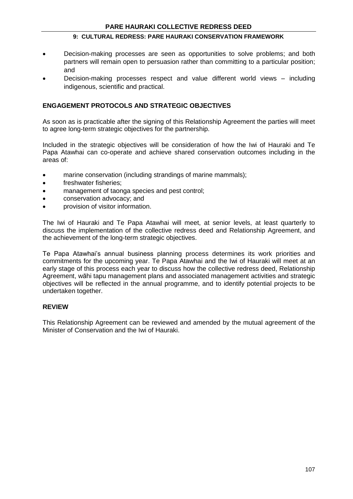- Decision-making processes are seen as opportunities to solve problems; and both partners will remain open to persuasion rather than committing to a particular position; and
- Decision-making processes respect and value different world views including indigenous, scientific and practical.

#### **ENGAGEMENT PROTOCOLS AND STRATEGIC OBJECTIVES**

As soon as is practicable after the signing of this Relationship Agreement the parties will meet to agree long-term strategic objectives for the partnership.

Included in the strategic objectives will be consideration of how the Iwi of Hauraki and Te Papa Atawhai can co-operate and achieve shared conservation outcomes including in the areas of:

- marine conservation (including strandings of marine mammals);
- freshwater fisheries;
- management of taonga species and pest control;
- conservation advocacy; and
- provision of visitor information.

The Iwi of Hauraki and Te Papa Atawhai will meet, at senior levels, at least quarterly to discuss the implementation of the collective redress deed and Relationship Agreement, and the achievement of the long-term strategic objectives.

Te Papa Atawhai's annual business planning process determines its work priorities and commitments for the upcoming year. Te Papa Atawhai and the Iwi of Hauraki will meet at an early stage of this process each year to discuss how the collective redress deed, Relationship Agreement, wāhi tapu management plans and associated management activities and strategic objectives will be reflected in the annual programme, and to identify potential projects to be undertaken together.

#### **REVIEW**

This Relationship Agreement can be reviewed and amended by the mutual agreement of the Minister of Conservation and the Iwi of Hauraki.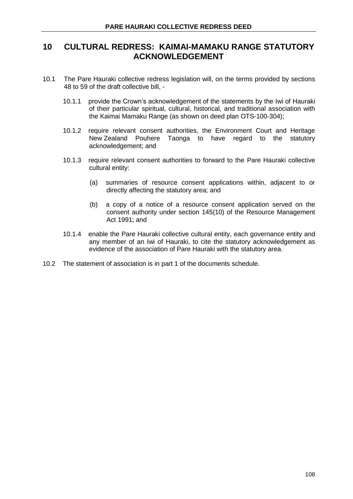## **10 CULTURAL REDRESS: KAIMAI-MAMAKU RANGE STATUTORY ACKNOWLEDGEMENT**

- 10.1 The Pare Hauraki collective redress legislation will, on the terms provided by sections 48 to 59 of the draft collective bill, -
	- 10.1.1 provide the Crown's acknowledgement of the statements by the Iwi of Hauraki of their particular spiritual, cultural, historical, and traditional association with the Kaimai Mamaku Range (as shown on deed plan OTS-100-304);
	- 10.1.2 require relevant consent authorities, the Environment Court and Heritage New Zealand Pouhere Taonga to have regard to the statutory acknowledgement; and
	- 10.1.3 require relevant consent authorities to forward to the Pare Hauraki collective cultural entity:
		- (a) summaries of resource consent applications within, adjacent to or directly affecting the statutory area; and
		- (b) a copy of a notice of a resource consent application served on the consent authority under section 145(10) of the Resource Management Act 1991; and
	- 10.1.4 enable the Pare Hauraki collective cultural entity, each governance entity and any member of an Iwi of Hauraki, to cite the statutory acknowledgement as evidence of the association of Pare Hauraki with the statutory area.
- 10.2 The statement of association is in part 1 of the documents schedule.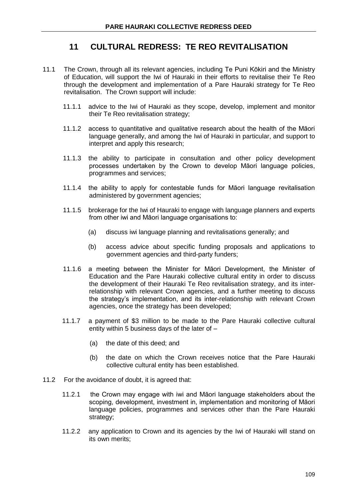# **11 CULTURAL REDRESS: TE REO REVITALISATION**

- 11.1 The Crown, through all its relevant agencies, including Te Puni Kōkiri and the Ministry of Education, will support the Iwi of Hauraki in their efforts to revitalise their Te Reo through the development and implementation of a Pare Hauraki strategy for Te Reo revitalisation. The Crown support will include:
	- 11.1.1 advice to the Iwi of Hauraki as they scope, develop, implement and monitor their Te Reo revitalisation strategy;
	- 11.1.2 access to quantitative and qualitative research about the health of the Māori language generally, and among the Iwi of Hauraki in particular, and support to interpret and apply this research;
	- 11.1.3 the ability to participate in consultation and other policy development processes undertaken by the Crown to develop Māori language policies, programmes and services;
	- 11.1.4 the ability to apply for contestable funds for Māori language revitalisation administered by government agencies;
	- 11.1.5 brokerage for the Iwi of Hauraki to engage with language planners and experts from other iwi and Māori language organisations to:
		- (a) discuss iwi language planning and revitalisations generally; and
		- (b) access advice about specific funding proposals and applications to government agencies and third-party funders;
	- 11.1.6 a meeting between the Minister for Māori Development, the Minister of Education and the Pare Hauraki collective cultural entity in order to discuss the development of their Hauraki Te Reo revitalisation strategy, and its interrelationship with relevant Crown agencies, and a further meeting to discuss the strategy's implementation, and its inter-relationship with relevant Crown agencies, once the strategy has been developed;
	- 11.1.7 a payment of \$3 million to be made to the Pare Hauraki collective cultural entity within 5 business days of the later of –
		- (a) the date of this deed; and
		- (b) the date on which the Crown receives notice that the Pare Hauraki collective cultural entity has been established.
- 11.2 For the avoidance of doubt, it is agreed that:
	- 11.2.1 the Crown may engage with iwi and Māori language stakeholders about the scoping, development, investment in, implementation and monitoring of Māori language policies, programmes and services other than the Pare Hauraki strategy;
	- 11.2.2 any application to Crown and its agencies by the Iwi of Hauraki will stand on its own merits;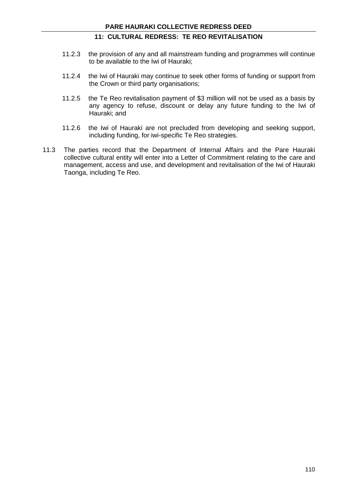## **11: CULTURAL REDRESS: TE REO REVITALISATION**

- 11.2.3 the provision of any and all mainstream funding and programmes will continue to be available to the Iwi of Hauraki;
- 11.2.4 the Iwi of Hauraki may continue to seek other forms of funding or support from the Crown or third party organisations;
- 11.2.5 the Te Reo revitalisation payment of \$3 million will not be used as a basis by any agency to refuse, discount or delay any future funding to the Iwi of Hauraki; and
- 11.2.6 the Iwi of Hauraki are not precluded from developing and seeking support, including funding, for iwi-specific Te Reo strategies.
- 11.3 The parties record that the Department of Internal Affairs and the Pare Hauraki collective cultural entity will enter into a Letter of Commitment relating to the care and management, access and use, and development and revitalisation of the Iwi of Hauraki Taonga, including Te Reo.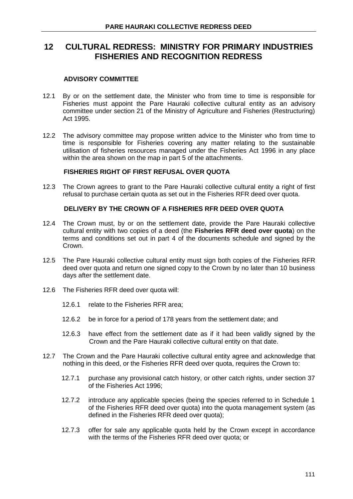## **12 CULTURAL REDRESS: MINISTRY FOR PRIMARY INDUSTRIES FISHERIES AND RECOGNITION REDRESS**

#### **ADVISORY COMMITTEE**

- 12.1 By or on the settlement date, the Minister who from time to time is responsible for Fisheries must appoint the Pare Hauraki collective cultural entity as an advisory committee under section 21 of the Ministry of Agriculture and Fisheries (Restructuring) Act 1995.
- 12.2 The advisory committee may propose written advice to the Minister who from time to time is responsible for Fisheries covering any matter relating to the sustainable utilisation of fisheries resources managed under the Fisheries Act 1996 in any place within the area shown on the map in part 5 of the attachments.

#### **FISHERIES RIGHT OF FIRST REFUSAL OVER QUOTA**

12.3 The Crown agrees to grant to the Pare Hauraki collective cultural entity a right of first refusal to purchase certain quota as set out in the Fisheries RFR deed over quota.

### **DELIVERY BY THE CROWN OF A FISHERIES RFR DEED OVER QUOTA**

- 12.4 The Crown must, by or on the settlement date, provide the Pare Hauraki collective cultural entity with two copies of a deed (the **Fisheries RFR deed over quota**) on the terms and conditions set out in part 4 of the documents schedule and signed by the Crown.
- 12.5 The Pare Hauraki collective cultural entity must sign both copies of the Fisheries RFR deed over quota and return one signed copy to the Crown by no later than 10 business days after the settlement date.
- 12.6 The Fisheries RFR deed over quota will:
	- 12.6.1 relate to the Fisheries RFR area;
	- 12.6.2 be in force for a period of 178 years from the settlement date; and
	- 12.6.3 have effect from the settlement date as if it had been validly signed by the Crown and the Pare Hauraki collective cultural entity on that date.
- 12.7 The Crown and the Pare Hauraki collective cultural entity agree and acknowledge that nothing in this deed, or the Fisheries RFR deed over quota, requires the Crown to:
	- 12.7.1 purchase any provisional catch history, or other catch rights, under section 37 of the Fisheries Act 1996;
	- 12.7.2 introduce any applicable species (being the species referred to in Schedule 1 of the Fisheries RFR deed over quota) into the quota management system (as defined in the Fisheries RFR deed over quota);
	- 12.7.3 offer for sale any applicable quota held by the Crown except in accordance with the terms of the Fisheries RFR deed over quota; or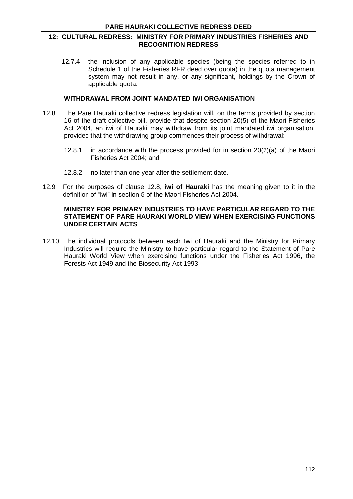#### **12: CULTURAL REDRESS: MINISTRY FOR PRIMARY INDUSTRIES FISHERIES AND RECOGNITION REDRESS**

12.7.4 the inclusion of any applicable species (being the species referred to in Schedule 1 of the Fisheries RFR deed over quota) in the quota management system may not result in any, or any significant, holdings by the Crown of applicable quota.

#### **WITHDRAWAL FROM JOINT MANDATED IWI ORGANISATION**

- 12.8 The Pare Hauraki collective redress legislation will, on the terms provided by section 16 of the draft collective bill, provide that despite section 20(5) of the Maori Fisheries Act 2004, an iwi of Hauraki may withdraw from its joint mandated iwi organisation, provided that the withdrawing group commences their process of withdrawal:
	- 12.8.1 in accordance with the process provided for in section 20(2)(a) of the Maori Fisheries Act 2004; and
	- 12.8.2 no later than one year after the settlement date.
- 12.9 For the purposes of clause 12.8, **iwi of Hauraki** has the meaning given to it in the definition of "iwi" in section 5 of the Maori Fisheries Act 2004.

#### **MINISTRY FOR PRIMARY INDUSTRIES TO HAVE PARTICULAR REGARD TO THE STATEMENT OF PARE HAURAKI WORLD VIEW WHEN EXERCISING FUNCTIONS UNDER CERTAIN ACTS**

12.10 The individual protocols between each Iwi of Hauraki and the Ministry for Primary Industries will require the Ministry to have particular regard to the Statement of Pare Hauraki World View when exercising functions under the Fisheries Act 1996, the Forests Act 1949 and the Biosecurity Act 1993.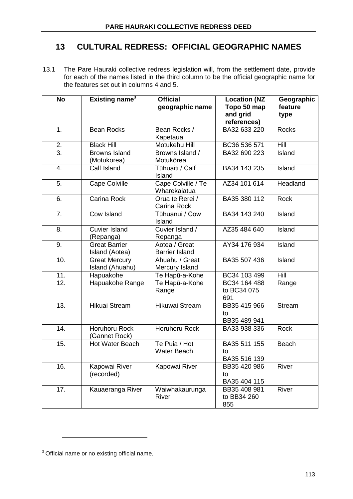# **13 CULTURAL REDRESS: OFFICIAL GEOGRAPHIC NAMES**

13.1 The Pare Hauraki collective redress legislation will, from the settlement date, provide for each of the names listed in the third column to be the official geographic name for the features set out in columns 4 and 5.

| <b>No</b>     | Existing name <sup>3</sup>              | <b>Official</b><br>geographic name     | <b>Location (NZ</b><br>Topo 50 map<br>and grid<br>references) | Geographic<br>feature<br>type |
|---------------|-----------------------------------------|----------------------------------------|---------------------------------------------------------------|-------------------------------|
| 1.            | <b>Bean Rocks</b>                       | Bean Rocks /<br>Kapetaua               | BA32 633 220                                                  | <b>Rocks</b>                  |
| $\frac{2}{3}$ | <b>Black Hill</b>                       | Motukehu Hill                          | BC36 536 571                                                  | Hill                          |
|               | <b>Browns Island</b><br>(Motukorea)     | Browns Island /<br>Motukōrea           | BA32 690 223                                                  | Island                        |
| 4.            | Calf Island                             | Tūhuaiti / Calf<br>Island              | BA34 143 235                                                  | Island                        |
| 5.            | Cape Colville                           | Cape Colville / Te<br>Wharekaiatua     | AZ34 101 614                                                  | Headland                      |
| 6.            | Carina Rock                             | Orua te Rerei /<br>Carina Rock         | BA35 380 112                                                  | <b>Rock</b>                   |
| 7.            | Cow Island                              | Tūhuanui / Cow<br>Island               | BA34 143 240                                                  | Island                        |
| 8.            | <b>Cuvier Island</b><br>(Repanga)       | Cuvier Island /<br>Repanga             | AZ35 484 640                                                  | Island                        |
| 9.            | <b>Great Barrier</b><br>Island (Aotea)  | Aotea / Great<br><b>Barrier Island</b> | AY34 176 934                                                  | Island                        |
| 10.           | <b>Great Mercury</b><br>Island (Ahuahu) | Ahuahu / Great<br>Mercury Island       | BA35 507 436                                                  | Island                        |
| 11.           | Hapuakohe                               | Te Hapū-a-Kohe                         | BC34 103 499                                                  | Hill                          |
| 12.           | Hapuakohe Range                         | Te Hapū-a-Kohe<br>Range                | BC34 164 488<br>to BC34 075<br>691                            | Range                         |
| 13.           | Hikuai Stream                           | Hikuwai Stream                         | BB35 415 966<br>to<br>BB35 489 941                            | <b>Stream</b>                 |
| 14.           | <b>Horuhoru Rock</b><br>(Gannet Rock)   | Horuhoru Rock                          | BA33 938 336                                                  | <b>Rock</b>                   |
| 15.           | <b>Hot Water Beach</b>                  | Te Puia / Hot<br><b>Water Beach</b>    | BA35 511 155<br>to<br>BA35 516 139                            | Beach                         |
| 16.           | Kapowai River<br>(recorded)             | Kapowai River                          | BB35 420 986<br>to<br>BA35 404 115                            | River                         |
| 17.           | Kauaeranga River                        | Waiwhakaurunga<br>River                | BB35 408 981<br>to BB34 260<br>855                            | River                         |

<sup>&</sup>lt;sup>3</sup> Official name or no existing official name.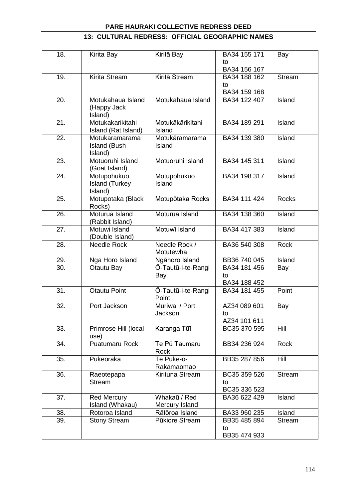## **13: CULTURAL REDRESS: OFFICIAL GEOGRAPHIC NAMES**

| 18. | Kirita Bay            | Kiritā Bay         | BA34 155 171<br>to | Bay           |
|-----|-----------------------|--------------------|--------------------|---------------|
|     |                       |                    | BA34 156 167       |               |
| 19. | Kirita Stream         | Kiritā Stream      | BA34 188 162       | <b>Stream</b> |
|     |                       |                    | to                 |               |
|     |                       |                    | BA34 159 168       |               |
| 20. | Motukahaua Island     | Motukahaua Island  | BA34 122 407       | Island        |
|     | (Happy Jack           |                    |                    |               |
|     | Island)               |                    |                    |               |
| 21. | Motukakarikitahi      | Motukākārikitahi   | BA34 189 291       | Island        |
|     | Island (Rat Island)   | Island             |                    |               |
| 22. | Motukaramarama        |                    |                    |               |
|     |                       | Motukāramarama     | BA34 139 380       | Island        |
|     | <b>Island (Bush</b>   | Island             |                    |               |
|     | Island)               |                    |                    |               |
| 23. | Motuoruhi Island      | Motuoruhi Island   | BA34 145 311       | Island        |
|     | (Goat Island)         |                    |                    |               |
| 24. | Motupohukuo           | Motupohukuo        | BA34 198 317       | Island        |
|     | <b>Island (Turkey</b> | Island             |                    |               |
|     | Island)               |                    |                    |               |
| 25. | Motupotaka (Black     | Motupōtaka Rocks   | BA34 111 424       | <b>Rocks</b>  |
|     | Rocks)                |                    |                    |               |
| 26. | Moturua Island        | Moturua Island     | BA34 138 360       | Island        |
|     | (Rabbit Island)       |                    |                    |               |
| 27. | Motuwi Island         | Motuwī Island      | BA34 417 383       | Island        |
|     |                       |                    |                    |               |
|     | (Double Island)       |                    |                    |               |
| 28. | <b>Needle Rock</b>    | Needle Rock /      | BA36 540 308       | <b>Rock</b>   |
|     |                       | Motutewha          |                    |               |
| 29. | Nga Horo Island       | Ngāhoro Island     | BB36 740 045       | Island        |
| 30. | Otautu Bay            | Ō-Tautū-i-te-Rangi | BA34 181 456       | Bay           |
|     |                       | Bay                | to                 |               |
|     |                       |                    | BA34 188 452       |               |
| 31. | <b>Otautu Point</b>   | Ō-Tautū-i-te-Rangi | BA34 181 455       | Point         |
|     |                       | Point              |                    |               |
| 32. | Port Jackson          | Muriwai / Port     | AZ34 089 601       | Bay           |
|     |                       | Jackson            | to                 |               |
|     |                       |                    | AZ34 101 611       |               |
| 33. | Primrose Hill (local  | Karanga Tūī        | BC35 370 595       | <b>Hill</b>   |
|     | use)                  |                    |                    |               |
| 34. | Puatumaru Rock        | Te Pū Taumaru      | BB34 236 924       | Rock          |
|     |                       | Rock               |                    |               |
| 35. | Pukeoraka             | Te Puke-o-         | BB35 287 856       | Hill          |
|     |                       |                    |                    |               |
|     |                       | Rakamaomao         |                    |               |
| 36. | Raeotepapa            | Kirituna Stream    | BC35 359 526       | <b>Stream</b> |
|     | <b>Stream</b>         |                    | to                 |               |
|     |                       |                    | BC35 336 523       |               |
| 37. | <b>Red Mercury</b>    | Whakaū / Red       | BA36 622 429       | Island        |
|     | Island (Whakau)       | Mercury Island     |                    |               |
| 38. | Rotoroa Island        | Rātōroa Island     | BA33 960 235       | Island        |
| 39. | <b>Stony Stream</b>   | Pūkiore Stream     | BB35 485 894       | <b>Stream</b> |
|     |                       |                    | to                 |               |
|     |                       |                    | BB35 474 933       |               |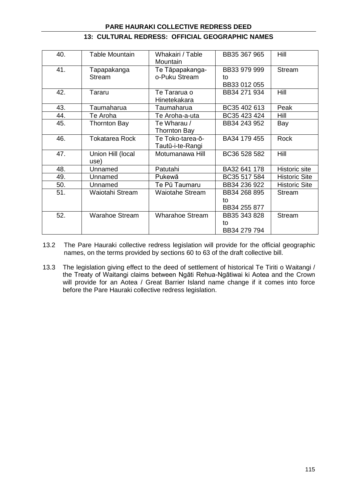| 40. | <b>Table Mountain</b> | Whakairi / Table<br>Mountain | BB35 367 965 | Hill                 |
|-----|-----------------------|------------------------------|--------------|----------------------|
| 41. | Tapapakanga           | Te Tāpapakanga-              | BB33 979 999 | Stream               |
|     | <b>Stream</b>         | o-Puku Stream                | to           |                      |
|     |                       |                              | BB33 012 055 |                      |
| 42. | Tararu                | Te Tararua o                 | BB34 271 934 | Hill                 |
|     |                       | Hinetekakara                 |              |                      |
| 43. | Taumaharua            | Taumaharua                   | BC35 402 613 | Peak                 |
| 44. | Te Aroha              | Te Aroha-a-uta               | BC35 423 424 | Hill                 |
| 45. | <b>Thornton Bay</b>   | Te Wharau /                  | BB34 243 952 | Bay                  |
|     |                       | <b>Thornton Bay</b>          |              |                      |
| 46. | <b>Tokatarea Rock</b> | Te Toko-tarea-ō-             | BA34 179 455 | <b>Rock</b>          |
|     |                       | Tautū-i-te-Rangi             |              |                      |
| 47. | Union Hill (local     | Motumanawa Hill              | BC36 528 582 | Hill                 |
|     | use)                  |                              |              |                      |
| 48. | Unnamed               | Patutahi                     | BA32 641 178 | <b>Historic</b> site |
| 49. | Unnamed               | Pukewā                       | BC35 517 584 | <b>Historic Site</b> |
| 50. | Unnamed               | Te Pū Taumaru                | BB34 236 922 | <b>Historic Site</b> |
| 51. | Waiotahi Stream       | <b>Waiotahe Stream</b>       | BB34 268 895 | <b>Stream</b>        |
|     |                       |                              | to           |                      |
|     |                       |                              | BB34 255 877 |                      |
| 52. | <b>Warahoe Stream</b> | <b>Wharahoe Stream</b>       | BB35 343 828 | <b>Stream</b>        |
|     |                       |                              | to           |                      |
|     |                       |                              | BB34 279 794 |                      |

## **13: CULTURAL REDRESS: OFFICIAL GEOGRAPHIC NAMES**

- 13.2 The Pare Hauraki collective redress legislation will provide for the official geographic names, on the terms provided by sections 60 to 63 of the draft collective bill.
- 13.3 The legislation giving effect to the deed of settlement of historical Te Tiriti o Waitangi / the Treaty of Waitangi claims between Ngāti Rehua-Ngātiwai ki Aotea and the Crown will provide for an Aotea / Great Barrier Island name change if it comes into force before the Pare Hauraki collective redress legislation.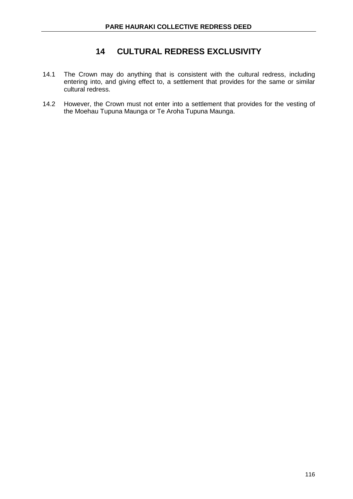# **14 CULTURAL REDRESS EXCLUSIVITY**

- 14.1 The Crown may do anything that is consistent with the cultural redress, including entering into, and giving effect to, a settlement that provides for the same or similar cultural redress.
- 14.2 However, the Crown must not enter into a settlement that provides for the vesting of the Moehau Tupuna Maunga or Te Aroha Tupuna Maunga.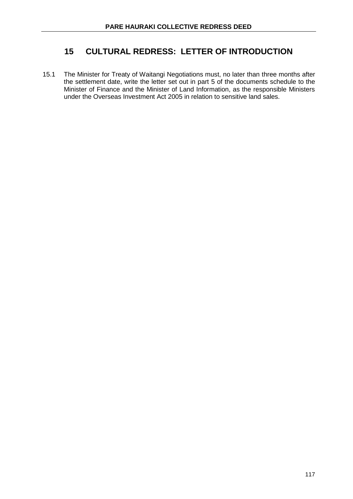# **15 CULTURAL REDRESS: LETTER OF INTRODUCTION**

15.1 The Minister for Treaty of Waitangi Negotiations must, no later than three months after the settlement date, write the letter set out in part 5 of the documents schedule to the Minister of Finance and the Minister of Land Information, as the responsible Ministers under the Overseas Investment Act 2005 in relation to sensitive land sales.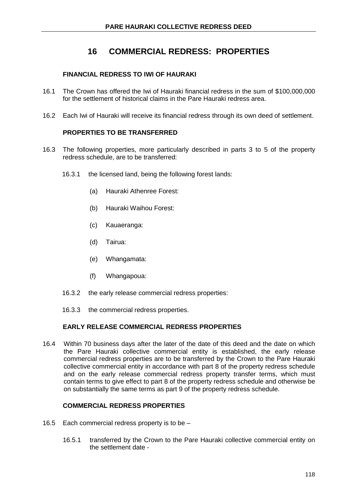## **FINANCIAL REDRESS TO IWI OF HAURAKI**

- 16.1 The Crown has offered the Iwi of Hauraki financial redress in the sum of \$100,000,000 for the settlement of historical claims in the Pare Hauraki redress area.
- 16.2 Each Iwi of Hauraki will receive its financial redress through its own deed of settlement.

## **PROPERTIES TO BE TRANSFERRED**

- 16.3 The following properties, more particularly described in parts 3 to 5 of the property redress schedule, are to be transferred:
	- 16.3.1 the licensed land, being the following forest lands:
		- (a) Hauraki Athenree Forest:
		- (b) Hauraki Waihou Forest:
		- (c) Kauaeranga:
		- (d) Tairua:
		- (e) Whangamata:
		- (f) Whangapoua:
	- 16.3.2 the early release commercial redress properties:
	- 16.3.3 the commercial redress properties.

## **EARLY RELEASE COMMERCIAL REDRESS PROPERTIES**

16.4 Within 70 business days after the later of the date of this deed and the date on which the Pare Hauraki collective commercial entity is established, the early release commercial redress properties are to be transferred by the Crown to the Pare Hauraki collective commercial entity in accordance with part 8 of the property redress schedule and on the early release commercial redress property transfer terms, which must contain terms to give effect to part 8 of the property redress schedule and otherwise be on substantially the same terms as part 9 of the property redress schedule.

#### **COMMERCIAL REDRESS PROPERTIES**

- 16.5 Each commercial redress property is to be
	- 16.5.1 transferred by the Crown to the Pare Hauraki collective commercial entity on the settlement date -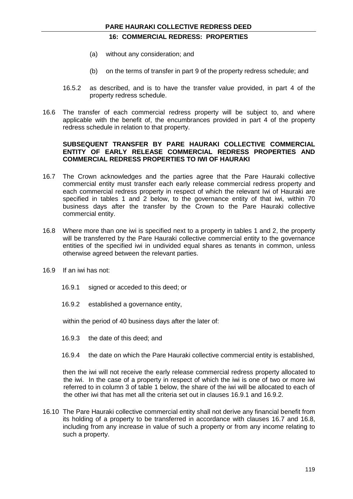- (a) without any consideration; and
- (b) on the terms of transfer in part 9 of the property redress schedule; and
- 16.5.2 as described, and is to have the transfer value provided, in part 4 of the property redress schedule.
- 16.6 The transfer of each commercial redress property will be subject to, and where applicable with the benefit of, the encumbrances provided in part 4 of the property redress schedule in relation to that property.

#### **SUBSEQUENT TRANSFER BY PARE HAURAKI COLLECTIVE COMMERCIAL ENTITY OF EARLY RELEASE COMMERCIAL REDRESS PROPERTIES AND COMMERCIAL REDRESS PROPERTIES TO IWI OF HAURAKI**

- 16.7 The Crown acknowledges and the parties agree that the Pare Hauraki collective commercial entity must transfer each early release commercial redress property and each commercial redress property in respect of which the relevant Iwi of Hauraki are specified in tables 1 and 2 below, to the governance entity of that iwi, within 70 business days after the transfer by the Crown to the Pare Hauraki collective commercial entity.
- 16.8 Where more than one iwi is specified next to a property in tables 1 and 2, the property will be transferred by the Pare Hauraki collective commercial entity to the governance entities of the specified iwi in undivided equal shares as tenants in common, unless otherwise agreed between the relevant parties.
- 16.9 If an iwi has not:
	- 16.9.1 signed or acceded to this deed; or
	- 16.9.2 established a governance entity,

within the period of 40 business days after the later of:

- 16.9.3 the date of this deed; and
- 16.9.4 the date on which the Pare Hauraki collective commercial entity is established,

then the iwi will not receive the early release commercial redress property allocated to the iwi. In the case of a property in respect of which the iwi is one of two or more iwi referred to in column 3 of table 1 below, the share of the iwi will be allocated to each of the other iwi that has met all the criteria set out in clauses 16.9.1 and 16.9.2.

16.10 The Pare Hauraki collective commercial entity shall not derive any financial benefit from its holding of a property to be transferred in accordance with clauses 16.7 and 16.8, including from any increase in value of such a property or from any income relating to such a property.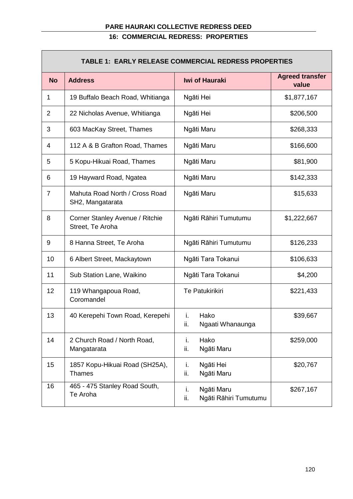| <b>TABLE 1: EARLY RELEASE COMMERCIAL REDRESS PROPERTIES</b> |                                                     |                                                  |                                 |  |
|-------------------------------------------------------------|-----------------------------------------------------|--------------------------------------------------|---------------------------------|--|
| <b>No</b>                                                   | <b>Address</b>                                      | <b>Iwi of Hauraki</b>                            | <b>Agreed transfer</b><br>value |  |
| 1                                                           | 19 Buffalo Beach Road, Whitianga                    | Ngāti Hei                                        | \$1,877,167                     |  |
| $\overline{2}$                                              | 22 Nicholas Avenue, Whitianga                       | Ngāti Hei                                        | \$206,500                       |  |
| 3                                                           | 603 MacKay Street, Thames                           | Ngāti Maru                                       | \$268,333                       |  |
| 4                                                           | 112 A & B Grafton Road, Thames                      | Ngāti Maru                                       | \$166,600                       |  |
| 5                                                           | 5 Kopu-Hikuai Road, Thames                          | Ngāti Maru                                       | \$81,900                        |  |
| 6                                                           | 19 Hayward Road, Ngatea                             | Ngāti Maru                                       | \$142,333                       |  |
| $\overline{7}$                                              | Mahuta Road North / Cross Road<br>SH2, Mangatarata  | Ngāti Maru                                       | \$15,633                        |  |
| 8                                                           | Corner Stanley Avenue / Ritchie<br>Street, Te Aroha | Ngāti Rāhiri Tumutumu                            | \$1,222,667                     |  |
| 9                                                           | 8 Hanna Street, Te Aroha                            | Ngāti Rāhiri Tumutumu                            | \$126,233                       |  |
| 10                                                          | 6 Albert Street, Mackaytown                         | Ngāti Tara Tokanui                               | \$106,633                       |  |
| 11                                                          | Sub Station Lane, Waikino                           | Ngāti Tara Tokanui                               | \$4,200                         |  |
| 12                                                          | 119 Whangapoua Road,<br>Coromandel                  | <b>Te Patukirikiri</b>                           | \$221,433                       |  |
| 13                                                          | 40 Kerepehi Town Road, Kerepehi                     | i. Hako<br>ii.<br>Ngaati Whanaunga               | \$39,667                        |  |
| 14                                                          | 2 Church Road / North Road,<br>Mangatarata          | i.<br>Hako<br>ii.<br>Ngāti Maru                  | \$259,000                       |  |
| 15                                                          | 1857 Kopu-Hikuai Road (SH25A),<br><b>Thames</b>     | Ngāti Hei<br>i.<br>ii.<br>Ngāti Maru             | \$20,767                        |  |
| 16                                                          | 465 - 475 Stanley Road South,<br>Te Aroha           | i.<br>Ngāti Maru<br>ii.<br>Ngāti Rāhiri Tumutumu | \$267,167                       |  |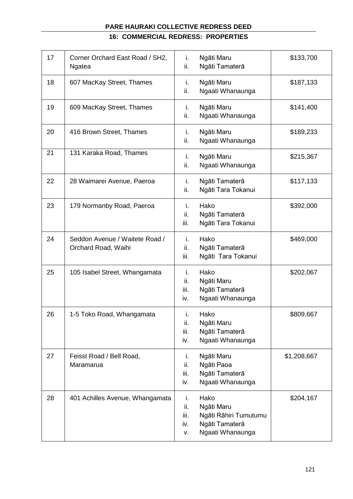## **16: COMMERCIAL REDRESS: PROPERTIES**

| 17 | Corner Orchard East Road / SH2,<br>Ngatea             | i.<br>ii.                      | Ngāti Maru<br>Ngāti Tamaterā                                                      | \$133,700   |
|----|-------------------------------------------------------|--------------------------------|-----------------------------------------------------------------------------------|-------------|
| 18 | 607 MacKay Street, Thames                             | i.<br>ii.                      | Ngāti Maru<br>Ngaati Whanaunga                                                    | \$187,133   |
| 19 | 609 MacKay Street, Thames                             | i.<br>ii.                      | Ngāti Maru<br>Ngaati Whanaunga                                                    | \$141,400   |
| 20 | 416 Brown Street, Thames                              | i.<br>ii.                      | Ngāti Maru<br>Ngaati Whanaunga                                                    | \$189,233   |
| 21 | 131 Karaka Road, Thames                               | i.<br>ii.                      | Ngāti Maru<br>Ngaati Whanaunga                                                    | \$215,367   |
| 22 | 28 Waimarei Avenue, Paeroa                            | i.<br>ii.                      | Ngāti Tamaterā<br>Ngāti Tara Tokanui                                              | \$117,133   |
| 23 | 179 Normanby Road, Paeroa                             | i.<br>ii.<br>iii.              | Hako<br>Ngāti Tamaterā<br>Ngāti Tara Tokanui                                      | \$392,000   |
| 24 | Seddon Avenue / Waitete Road /<br>Orchard Road, Waihi | i.<br>ii.<br>iii.              | Hako<br>Ngāti Tamaterā<br>Ngāti Tara Tokanui                                      | \$469,000   |
| 25 | 105 Isabel Street, Whangamata                         | i.<br>ii.<br>iii.<br>iv.       | Hako<br>Ngāti Maru<br>Ngāti Tamaterā<br>Ngaati Whanaunga                          | \$202,067   |
| 26 | 1-5 Toko Road, Whangamata                             | i.<br>ii.<br>iii.<br>iv.       | Hako<br>Ngāti Maru<br>Ngāti Tamaterā<br>Ngaati Whanaunga                          | \$809,667   |
| 27 | Feisst Road / Bell Road,<br>Maramarua                 | i.<br>ii.<br>iii.<br>iv.       | Ngāti Maru<br>Ngāti Paoa<br>Ngāti Tamaterā<br>Ngaati Whanaunga                    | \$1,208,667 |
| 28 | 401 Achilles Avenue, Whangamata                       | i.<br>ii.<br>iii.<br>iv.<br>v. | Hako<br>Ngāti Maru<br>Ngāti Rāhiri Tumutumu<br>Ngāti Tamaterā<br>Ngaati Whanaunga | \$204,167   |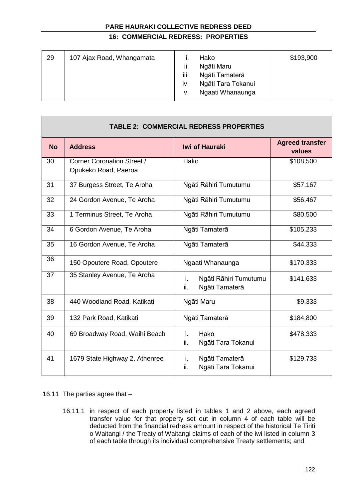## **16: COMMERCIAL REDRESS: PROPERTIES**

| 29 | 107 Ajax Road, Whangamata | ii.<br>iii.<br>IV. | Hako<br>Ngāti Maru<br>Ngāti Tamaterā<br>Ngāti Tara Tokanui | \$193,900 |
|----|---------------------------|--------------------|------------------------------------------------------------|-----------|
|    |                           | v.                 | Ngaati Whanaunga                                           |           |
|    |                           |                    |                                                            |           |

| <b>TABLE 2: COMMERCIAL REDRESS PROPERTIES</b> |                                                           |                                                      |                                  |  |  |
|-----------------------------------------------|-----------------------------------------------------------|------------------------------------------------------|----------------------------------|--|--|
| <b>No</b>                                     | <b>Address</b>                                            | <b>Iwi of Hauraki</b>                                | <b>Agreed transfer</b><br>values |  |  |
| 30                                            | <b>Corner Coronation Street /</b><br>Opukeko Road, Paeroa | Hako                                                 | \$108,500                        |  |  |
| 31                                            | 37 Burgess Street, Te Aroha                               | Ngāti Rāhiri Tumutumu                                | \$57,167                         |  |  |
| 32                                            | 24 Gordon Avenue, Te Aroha                                | Ngāti Rāhiri Tumutumu                                | \$56,467                         |  |  |
| 33                                            | 1 Terminus Street, Te Aroha                               | Ngāti Rāhiri Tumutumu                                | \$80,500                         |  |  |
| 34                                            | 6 Gordon Avenue, Te Aroha                                 | Ngāti Tamaterā                                       | \$105,233                        |  |  |
| 35                                            | 16 Gordon Avenue, Te Aroha                                | Ngāti Tamaterā                                       | \$44,333                         |  |  |
| 36                                            | 150 Opoutere Road, Opoutere                               | Ngaati Whanaunga                                     | \$170,333                        |  |  |
| 37                                            | 35 Stanley Avenue, Te Aroha                               | i.<br>Ngāti Rāhiri Tumutumu<br>ii.<br>Ngāti Tamaterā | \$141,633                        |  |  |
| 38                                            | 440 Woodland Road, Katikati                               | Ngāti Maru                                           | \$9,333                          |  |  |
| 39                                            | 132 Park Road, Katikati                                   | Ngāti Tamaterā                                       | \$184,800                        |  |  |
| 40                                            | 69 Broadway Road, Waihi Beach                             | i.<br>Hako<br>ii.<br>Ngāti Tara Tokanui              | \$478,333                        |  |  |
| 41                                            | 1679 State Highway 2, Athenree                            | Ngāti Tamaterā<br>i.<br>Ngāti Tara Tokanui<br>ii.    | \$129,733                        |  |  |

## 16.11 The parties agree that –

**The Co** 

16.11.1 in respect of each property listed in tables 1 and 2 above, each agreed transfer value for that property set out in column 4 of each table will be deducted from the financial redress amount in respect of the historical Te Tiriti o Waitangi / the Treaty of Waitangi claims of each of the iwi listed in column 3 of each table through its individual comprehensive Treaty settlements; and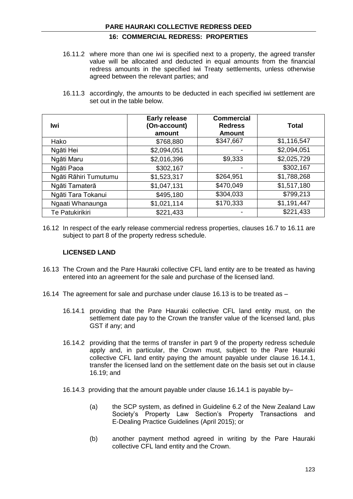## **16: COMMERCIAL REDRESS: PROPERTIES**

- 16.11.2 where more than one iwi is specified next to a property, the agreed transfer value will be allocated and deducted in equal amounts from the financial redress amounts in the specified iwi Treaty settlements, unless otherwise agreed between the relevant parties; and
- 16.11.3 accordingly, the amounts to be deducted in each specified iwi settlement are set out in the table below.

| lwi                   | <b>Early release</b><br>(On-account)<br>amount | <b>Commercial</b><br><b>Redress</b><br><b>Amount</b> | Total       |
|-----------------------|------------------------------------------------|------------------------------------------------------|-------------|
| Hako                  | \$768,880                                      | \$347,667                                            | \$1,116,547 |
| Ngāti Hei             | \$2,094,051                                    |                                                      | \$2,094,051 |
| Ngāti Maru            | \$2,016,396                                    | \$9,333                                              | \$2,025,729 |
| Ngāti Paoa            | \$302,167                                      |                                                      | \$302,167   |
| Ngāti Rāhiri Tumutumu | \$1,523,317                                    | \$264,951                                            | \$1,788,268 |
| Ngāti Tamaterā        | \$1,047,131                                    | \$470,049                                            | \$1,517,180 |
| Ngāti Tara Tokanui    | \$495,180                                      | \$304,033                                            | \$799,213   |
| Ngaati Whanaunga      | \$1,021,114                                    | \$170,333                                            | \$1,191,447 |
| Te Patukirikiri       | \$221,433                                      |                                                      | \$221,433   |

16.12 In respect of the early release commercial redress properties, clauses 16.7 to 16.11 are subject to part 8 of the property redress schedule.

### **LICENSED LAND**

- 16.13 The Crown and the Pare Hauraki collective CFL land entity are to be treated as having entered into an agreement for the sale and purchase of the licensed land.
- 16.14 The agreement for sale and purchase under clause 16.13 is to be treated as
	- 16.14.1 providing that the Pare Hauraki collective CFL land entity must, on the settlement date pay to the Crown the transfer value of the licensed land, plus GST if any; and
	- 16.14.2 providing that the terms of transfer in part 9 of the property redress schedule apply and, in particular, the Crown must, subject to the Pare Hauraki collective CFL land entity paying the amount payable under clause 16.14.1, transfer the licensed land on the settlement date on the basis set out in clause 16.19; and
	- 16.14.3 providing that the amount payable under clause 16.14.1 is payable by–
		- (a) the SCP system, as defined in Guideline 6.2 of the New Zealand Law Society's Property Law Section's Property Transactions and E-Dealing Practice Guidelines (April 2015); or
		- (b) another payment method agreed in writing by the Pare Hauraki collective CFL land entity and the Crown.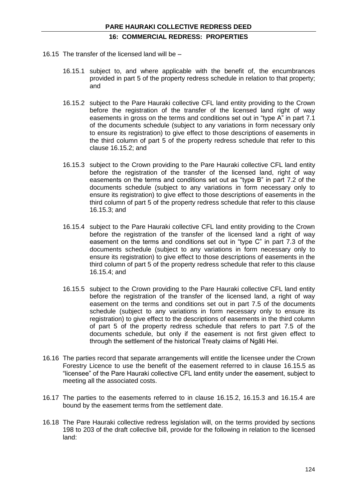- 16.15 The transfer of the licensed land will be
	- 16.15.1 subject to, and where applicable with the benefit of, the encumbrances provided in part 5 of the property redress schedule in relation to that property; and
	- 16.15.2 subject to the Pare Hauraki collective CFL land entity providing to the Crown before the registration of the transfer of the licensed land right of way easements in gross on the terms and conditions set out in "type A" in part 7.1 of the documents schedule (subject to any variations in form necessary only to ensure its registration) to give effect to those descriptions of easements in the third column of part 5 of the property redress schedule that refer to this clause 16.15.2; and
	- 16.15.3 subject to the Crown providing to the Pare Hauraki collective CFL land entity before the registration of the transfer of the licensed land, right of way easements on the terms and conditions set out as "type B" in part 7.2 of the documents schedule (subject to any variations in form necessary only to ensure its registration) to give effect to those descriptions of easements in the third column of part 5 of the property redress schedule that refer to this clause 16.15.3; and
	- 16.15.4 subject to the Pare Hauraki collective CFL land entity providing to the Crown before the registration of the transfer of the licensed land a right of way easement on the terms and conditions set out in "type C" in part 7.3 of the documents schedule (subject to any variations in form necessary only to ensure its registration) to give effect to those descriptions of easements in the third column of part 5 of the property redress schedule that refer to this clause 16.15.4; and
	- 16.15.5 subject to the Crown providing to the Pare Hauraki collective CFL land entity before the registration of the transfer of the licensed land, a right of way easement on the terms and conditions set out in part 7.5 of the documents schedule (subject to any variations in form necessary only to ensure its registration) to give effect to the descriptions of easements in the third column of part 5 of the property redress schedule that refers to part 7.5 of the documents schedule, but only if the easement is not first given effect to through the settlement of the historical Treaty claims of Ngāti Hei.
- 16.16 The parties record that separate arrangements will entitle the licensee under the Crown Forestry Licence to use the benefit of the easement referred to in clause 16.15.5 as "licensee" of the Pare Hauraki collective CFL land entity under the easement, subject to meeting all the associated costs.
- 16.17 The parties to the easements referred to in clause 16.15.2, 16.15.3 and 16.15.4 are bound by the easement terms from the settlement date.
- 16.18 The Pare Hauraki collective redress legislation will, on the terms provided by sections 198 to 203 of the draft collective bill, provide for the following in relation to the licensed land: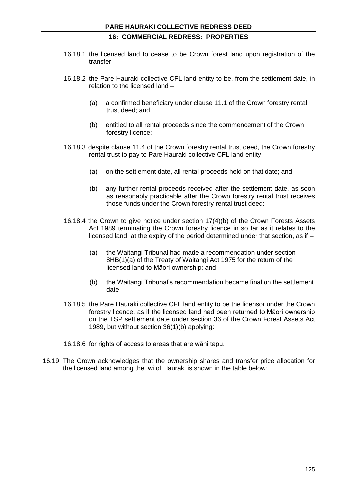- 16.18.1 the licensed land to cease to be Crown forest land upon registration of the transfer:
- 16.18.2 the Pare Hauraki collective CFL land entity to be, from the settlement date, in relation to the licensed land –
	- (a) a confirmed beneficiary under clause 11.1 of the Crown forestry rental trust deed; and
	- (b) entitled to all rental proceeds since the commencement of the Crown forestry licence:
- 16.18.3 despite clause 11.4 of the Crown forestry rental trust deed, the Crown forestry rental trust to pay to Pare Hauraki collective CFL land entity –
	- (a) on the settlement date, all rental proceeds held on that date; and
	- (b) any further rental proceeds received after the settlement date, as soon as reasonably practicable after the Crown forestry rental trust receives those funds under the Crown forestry rental trust deed:
- 16.18.4 the Crown to give notice under section 17(4)(b) of the Crown Forests Assets Act 1989 terminating the Crown forestry licence in so far as it relates to the licensed land, at the expiry of the period determined under that section, as if –
	- (a) the Waitangi Tribunal had made a recommendation under section 8HB(1)(a) of the Treaty of Waitangi Act 1975 for the return of the licensed land to Māori ownership; and
	- (b) the Waitangi Tribunal's recommendation became final on the settlement date:
- 16.18.5 the Pare Hauraki collective CFL land entity to be the licensor under the Crown forestry licence, as if the licensed land had been returned to Māori ownership on the TSP settlement date under section 36 of the Crown Forest Assets Act 1989, but without section 36(1)(b) applying:
- 16.18.6 for rights of access to areas that are wāhi tapu.
- 16.19 The Crown acknowledges that the ownership shares and transfer price allocation for the licensed land among the Iwi of Hauraki is shown in the table below: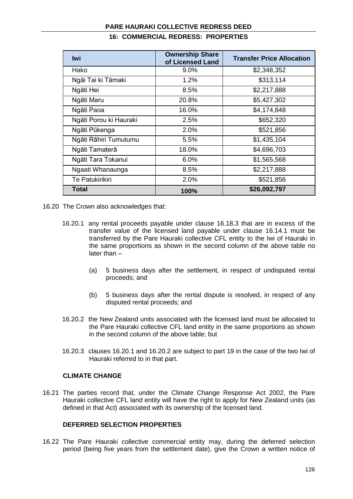| <b>Iwi</b>             | <b>Ownership Share</b><br>of Licensed Land | <b>Transfer Price Allocation</b> |
|------------------------|--------------------------------------------|----------------------------------|
| Hako                   | 9.0%                                       | \$2,348,352                      |
| Ngāi Tai ki Tāmaki     | 1.2%                                       | \$313,114                        |
| Ngāti Hei              | 8.5%                                       | \$2,217,888                      |
| Ngāti Maru             | 20.8%                                      | \$5,427,302                      |
| Ngāti Paoa             | 16.0%                                      | \$4,174,848                      |
| Ngāti Porou ki Hauraki | 2.5%                                       | \$652,320                        |
| Ngāti Pūkenga          | 2.0%                                       | \$521,856                        |
| Ngāti Rāhiri Tumutumu  | 5.5%                                       | \$1,435,104                      |
| Ngāti Tamaterā         | 18.0%                                      | \$4,696,703                      |
| Ngāti Tara Tokanui     | 6.0%                                       | \$1,565,568                      |
| Ngaati Whanaunga       | 8.5%                                       | \$2,217,888                      |
| <b>Te Patukirikiri</b> | 2.0%                                       | \$521,856                        |
| Total                  | 100%                                       | \$26,092,797                     |

## **16: COMMERCIAL REDRESS: PROPERTIES**

- 16.20 The Crown also acknowledges that:
	- 16.20.1 any rental proceeds payable under clause 16.18.3 that are in excess of the transfer value of the licensed land payable under clause 16.14.1 must be transferred by the Pare Hauraki collective CFL entity to the Iwi of Hauraki in the same proportions as shown in the second column of the above table no later than –
		- (a) 5 business days after the settlement, in respect of undisputed rental proceeds; and
		- (b) 5 business days after the rental dispute is resolved, in respect of any disputed rental proceeds; and
	- 16.20.2 the New Zealand units associated with the licensed land must be allocated to the Pare Hauraki collective CFL land entity in the same proportions as shown in the second column of the above table; but
	- 16.20.3 clauses 16.20.1 and 16.20.2 are subject to part 19 in the case of the two Iwi of Hauraki referred to in that part.

## **CLIMATE CHANGE**

16.21 The parties record that, under the Climate Change Response Act 2002, the Pare Hauraki collective CFL land entity will have the right to apply for New Zealand units (as defined in that Act) associated with its ownership of the licensed land.

#### **DEFERRED SELECTION PROPERTIES**

16.22 The Pare Hauraki collective commercial entity may, during the deferred selection period (being five years from the settlement date), give the Crown a written notice of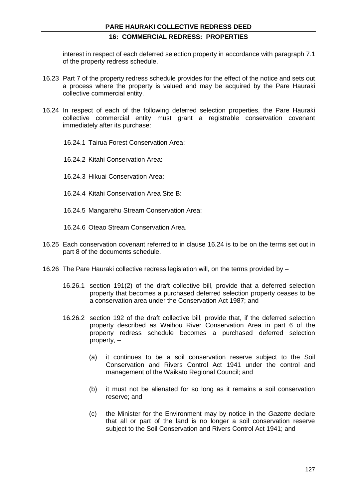interest in respect of each deferred selection property in accordance with paragraph 7.1 of the property redress schedule.

- 16.23 Part 7 of the property redress schedule provides for the effect of the notice and sets out a process where the property is valued and may be acquired by the Pare Hauraki collective commercial entity.
- 16.24 In respect of each of the following deferred selection properties, the Pare Hauraki collective commercial entity must grant a registrable conservation covenant immediately after its purchase:
	- 16.24.1 Tairua Forest Conservation Area:
	- 16.24.2 Kitahi Conservation Area:
	- 16.24.3 Hikuai Conservation Area:
	- 16.24.4 Kitahi Conservation Area Site B:
	- 16.24.5 Mangarehu Stream Conservation Area:
	- 16.24.6 Oteao Stream Conservation Area.
- 16.25 Each conservation covenant referred to in clause 16.24 is to be on the terms set out in part 8 of the documents schedule.
- 16.26 The Pare Hauraki collective redress legislation will, on the terms provided by
	- 16.26.1 section 191(2) of the draft collective bill, provide that a deferred selection property that becomes a purchased deferred selection property ceases to be a conservation area under the Conservation Act 1987; and
	- 16.26.2 section 192 of the draft collective bill, provide that, if the deferred selection property described as Waihou River Conservation Area in part 6 of the property redress schedule becomes a purchased deferred selection property, –
		- (a) it continues to be a soil conservation reserve subject to the Soil Conservation and Rivers Control Act 1941 under the control and management of the Waikato Regional Council; and
		- (b) it must not be alienated for so long as it remains a soil conservation reserve; and
		- (c) the Minister for the Environment may by notice in the *Gazette* declare that all or part of the land is no longer a soil conservation reserve subject to the Soil Conservation and Rivers Control Act 1941; and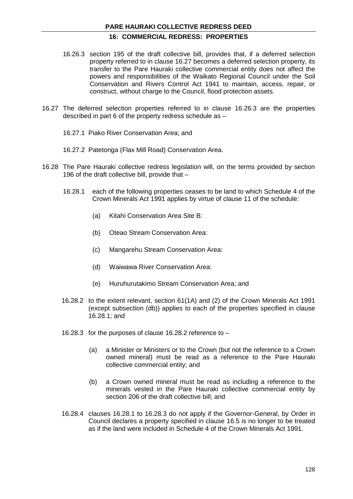## **16: COMMERCIAL REDRESS: PROPERTIES**

- 16.26.3 section 195 of the draft collective bill, provides that, if a deferred selection property referred to in clause 16.27 becomes a deferred selection property, its transfer to the Pare Hauraki collective commercial entity does not affect the powers and responsibilities of the Waikato Regional Council under the Soil Conservation and Rivers Control Act 1941 to maintain, access, repair, or construct, without charge to the Council, flood protection assets.
- 16.27 The deferred selection properties referred to in clause 16.26.3 are the properties described in part 6 of the property redress schedule as –
	- 16.27.1 Piako River Conservation Area; and
	- 16.27.2 Patetonga (Flax Mill Road) Conservation Area.
- 16.28 The Pare Hauraki collective redress legislation will, on the terms provided by section 196 of the draft collective bill, provide that –
	- 16.28.1 each of the following properties ceases to be land to which Schedule 4 of the Crown Minerals Act 1991 applies by virtue of clause 11 of the schedule:
		- (a) Kitahi Conservation Area Site B:
		- (b) Oteao Stream Conservation Area:
		- (c) Mangarehu Stream Conservation Area:
		- (d) Waiwawa River Conservation Area:
		- (e) Huruhurutakimo Stream Conservation Area; and
	- 16.28.2 to the extent relevant, section 61(1A) and (2) of the Crown Minerals Act 1991 (except subsection (db)) applies to each of the properties specified in clause 16.28.1; and
	- 16.28.3 for the purposes of clause 16.28.2 reference to
		- (a) a Minister or Ministers or to the Crown (but not the reference to a Crown owned mineral) must be read as a reference to the Pare Hauraki collective commercial entity; and
		- (b) a Crown owned mineral must be read as including a reference to the minerals vested in the Pare Hauraki collective commercial entity by section 206 of the draft collective bill; and
	- 16.28.4 clauses 16.28.1 to 16.28.3 do not apply if the Governor-General, by Order in Council declares a property specified in clause 16.5 is no longer to be treated as if the land were included in Schedule 4 of the Crown Minerals Act 1991.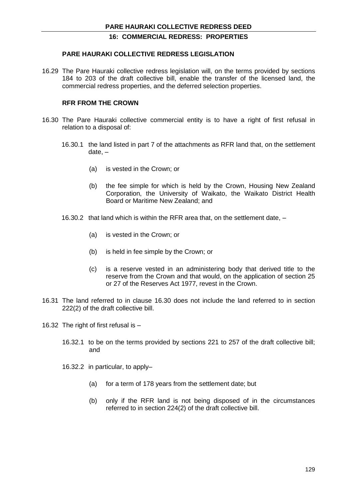#### **PARE HAURAKI COLLECTIVE REDRESS LEGISLATION**

16.29 The Pare Hauraki collective redress legislation will, on the terms provided by sections 184 to 203 of the draft collective bill, enable the transfer of the licensed land, the commercial redress properties, and the deferred selection properties.

#### **RFR FROM THE CROWN**

- 16.30 The Pare Hauraki collective commercial entity is to have a right of first refusal in relation to a disposal of:
	- 16.30.1 the land listed in part 7 of the attachments as RFR land that, on the settlement date, –
		- (a) is vested in the Crown; or
		- (b) the fee simple for which is held by the Crown, Housing New Zealand Corporation, the University of Waikato, the Waikato District Health Board or Maritime New Zealand; and
	- 16.30.2 that land which is within the RFR area that, on the settlement date,
		- (a) is vested in the Crown; or
		- (b) is held in fee simple by the Crown; or
		- (c) is a reserve vested in an administering body that derived title to the reserve from the Crown and that would, on the application of section 25 or 27 of the Reserves Act 1977, revest in the Crown.
- 16.31 The land referred to in clause 16.30 does not include the land referred to in section 222(2) of the draft collective bill.
- 16.32 The right of first refusal is
	- 16.32.1 to be on the terms provided by sections 221 to 257 of the draft collective bill; and
	- 16.32.2 in particular, to apply–
		- (a) for a term of 178 years from the settlement date; but
		- (b) only if the RFR land is not being disposed of in the circumstances referred to in section 224(2) of the draft collective bill.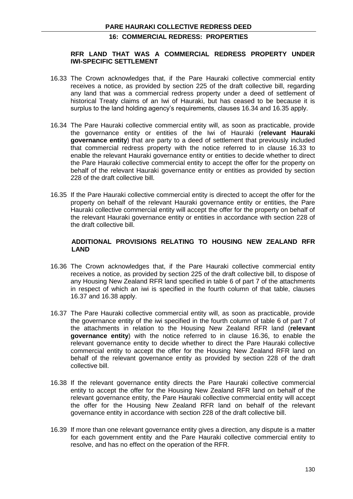#### **RFR LAND THAT WAS A COMMERCIAL REDRESS PROPERTY UNDER IWI-SPECIFIC SETTLEMENT**

- 16.33 The Crown acknowledges that, if the Pare Hauraki collective commercial entity receives a notice, as provided by section 225 of the draft collective bill, regarding any land that was a commercial redress property under a deed of settlement of historical Treaty claims of an Iwi of Hauraki, but has ceased to be because it is surplus to the land holding agency's requirements, clauses 16.34 and 16.35 apply.
- 16.34 The Pare Hauraki collective commercial entity will, as soon as practicable, provide the governance entity or entities of the Iwi of Hauraki (**relevant Hauraki governance entity**) that are party to a deed of settlement that previously included that commercial redress property with the notice referred to in clause 16.33 to enable the relevant Hauraki governance entity or entities to decide whether to direct the Pare Hauraki collective commercial entity to accept the offer for the property on behalf of the relevant Hauraki governance entity or entities as provided by section 228 of the draft collective bill.
- 16.35 If the Pare Hauraki collective commercial entity is directed to accept the offer for the property on behalf of the relevant Hauraki governance entity or entities, the Pare Hauraki collective commercial entity will accept the offer for the property on behalf of the relevant Hauraki governance entity or entities in accordance with section 228 of the draft collective bill.

#### **ADDITIONAL PROVISIONS RELATING TO HOUSING NEW ZEALAND RFR LAND**

- 16.36 The Crown acknowledges that, if the Pare Hauraki collective commercial entity receives a notice, as provided by section 225 of the draft collective bill, to dispose of any Housing New Zealand RFR land specified in table 6 of part 7 of the attachments in respect of which an iwi is specified in the fourth column of that table, clauses 16.37 and 16.38 apply.
- 16.37 The Pare Hauraki collective commercial entity will, as soon as practicable, provide the governance entity of the iwi specified in the fourth column of table 6 of part 7 of the attachments in relation to the Housing New Zealand RFR land (**relevant governance entity**) with the notice referred to in clause 16.36, to enable the relevant governance entity to decide whether to direct the Pare Hauraki collective commercial entity to accept the offer for the Housing New Zealand RFR land on behalf of the relevant governance entity as provided by section 228 of the draft collective bill.
- 16.38 If the relevant governance entity directs the Pare Hauraki collective commercial entity to accept the offer for the Housing New Zealand RFR land on behalf of the relevant governance entity, the Pare Hauraki collective commercial entity will accept the offer for the Housing New Zealand RFR land on behalf of the relevant governance entity in accordance with section 228 of the draft collective bill.
- 16.39 If more than one relevant governance entity gives a direction, any dispute is a matter for each government entity and the Pare Hauraki collective commercial entity to resolve, and has no effect on the operation of the RFR.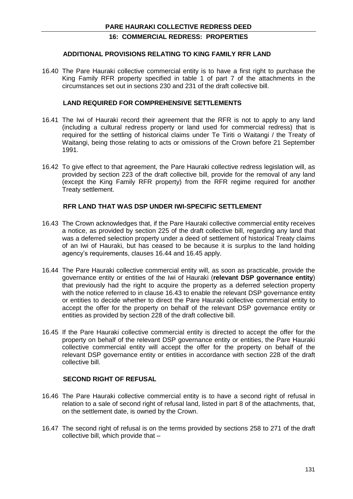#### **ADDITIONAL PROVISIONS RELATING TO KING FAMILY RFR LAND**

16.40 The Pare Hauraki collective commercial entity is to have a first right to purchase the King Family RFR property specified in table 1 of part 7 of the attachments in the circumstances set out in sections 230 and 231 of the draft collective bill.

## **LAND REQUIRED FOR COMPREHENSIVE SETTLEMENTS**

- 16.41 The Iwi of Hauraki record their agreement that the RFR is not to apply to any land (including a cultural redress property or land used for commercial redress) that is required for the settling of historical claims under Te Tiriti o Waitangi / the Treaty of Waitangi, being those relating to acts or omissions of the Crown before 21 September 1991.
- 16.42 To give effect to that agreement, the Pare Hauraki collective redress legislation will, as provided by section 223 of the draft collective bill, provide for the removal of any land (except the King Family RFR property) from the RFR regime required for another Treaty settlement.

#### **RFR LAND THAT WAS DSP UNDER IWI-SPECIFIC SETTLEMENT**

- 16.43 The Crown acknowledges that, if the Pare Hauraki collective commercial entity receives a notice, as provided by section 225 of the draft collective bill, regarding any land that was a deferred selection property under a deed of settlement of historical Treaty claims of an Iwi of Hauraki, but has ceased to be because it is surplus to the land holding agency's requirements, clauses 16.44 and 16.45 apply.
- 16.44 The Pare Hauraki collective commercial entity will, as soon as practicable, provide the governance entity or entities of the Iwi of Hauraki (**relevant DSP governance entity**) that previously had the right to acquire the property as a deferred selection property with the notice referred to in clause 16.43 to enable the relevant DSP governance entity or entities to decide whether to direct the Pare Hauraki collective commercial entity to accept the offer for the property on behalf of the relevant DSP governance entity or entities as provided by section 228 of the draft collective bill.
- 16.45 If the Pare Hauraki collective commercial entity is directed to accept the offer for the property on behalf of the relevant DSP governance entity or entities, the Pare Hauraki collective commercial entity will accept the offer for the property on behalf of the relevant DSP governance entity or entities in accordance with section 228 of the draft collective bill.

#### **SECOND RIGHT OF REFUSAL**

- 16.46 The Pare Hauraki collective commercial entity is to have a second right of refusal in relation to a sale of second right of refusal land, listed in part 8 of the attachments, that, on the settlement date, is owned by the Crown.
- 16.47 The second right of refusal is on the terms provided by sections 258 to 271 of the draft collective bill, which provide that –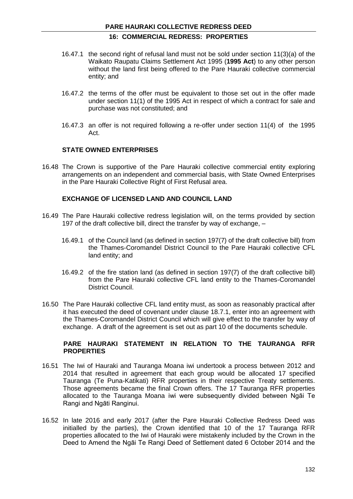- 16.47.1 the second right of refusal land must not be sold under section 11(3)(a) of the Waikato Raupatu Claims Settlement Act 1995 (**1995 Act**) to any other person without the land first being offered to the Pare Hauraki collective commercial entity; and
- 16.47.2 the terms of the offer must be equivalent to those set out in the offer made under section 11(1) of the 1995 Act in respect of which a contract for sale and purchase was not constituted; and
- 16.47.3 an offer is not required following a re-offer under section 11(4) of the 1995 Act.

## **STATE OWNED ENTERPRISES**

16.48 The Crown is supportive of the Pare Hauraki collective commercial entity exploring arrangements on an independent and commercial basis, with State Owned Enterprises in the Pare Hauraki Collective Right of First Refusal area.

#### **EXCHANGE OF LICENSED LAND AND COUNCIL LAND**

- 16.49 The Pare Hauraki collective redress legislation will, on the terms provided by section 197 of the draft collective bill, direct the transfer by way of exchange, –
	- 16.49.1 of the Council land (as defined in section 197(7) of the draft collective bill) from the Thames-Coromandel District Council to the Pare Hauraki collective CFL land entity; and
	- 16.49.2 of the fire station land (as defined in section 197(7) of the draft collective bill) from the Pare Hauraki collective CFL land entity to the Thames-Coromandel District Council.
- 16.50 The Pare Hauraki collective CFL land entity must, as soon as reasonably practical after it has executed the deed of covenant under clause 18.7.1, enter into an agreement with the Thames-Coromandel District Council which will give effect to the transfer by way of exchange. A draft of the agreement is set out as part 10 of the documents schedule.

#### **PARE HAURAKI STATEMENT IN RELATION TO THE TAURANGA RFR PROPERTIES**

- 16.51 The Iwi of Hauraki and Tauranga Moana iwi undertook a process between 2012 and 2014 that resulted in agreement that each group would be allocated 17 specified Tauranga (Te Puna-Katikati) RFR properties in their respective Treaty settlements. Those agreements became the final Crown offers. The 17 Tauranga RFR properties allocated to the Tauranga Moana iwi were subsequently divided between Ngāi Te Rangi and Ngāti Ranginui.
- 16.52 In late 2016 and early 2017 (after the Pare Hauraki Collective Redress Deed was initialled by the parties), the Crown identified that 10 of the 17 Tauranga RFR properties allocated to the Iwi of Hauraki were mistakenly included by the Crown in the Deed to Amend the Ngāi Te Rangi Deed of Settlement dated 6 October 2014 and the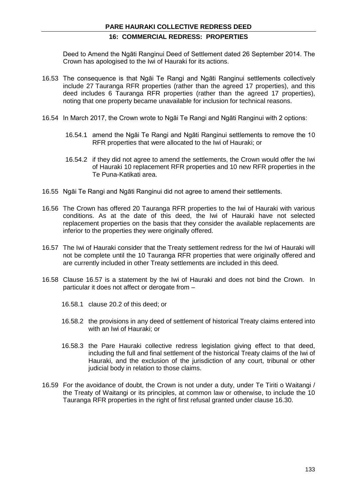Deed to Amend the Ngāti Ranginui Deed of Settlement dated 26 September 2014. The Crown has apologised to the Iwi of Hauraki for its actions.

- 16.53 The consequence is that Ngāi Te Rangi and Ngāti Ranginui settlements collectively include 27 Tauranga RFR properties (rather than the agreed 17 properties), and this deed includes 6 Tauranga RFR properties (rather than the agreed 17 properties), noting that one property became unavailable for inclusion for technical reasons.
- 16.54 In March 2017, the Crown wrote to Ngāi Te Rangi and Ngāti Ranginui with 2 options:
	- 16.54.1 amend the Ngāi Te Rangi and Ngāti Ranginui settlements to remove the 10 RFR properties that were allocated to the Iwi of Hauraki; or
	- 16.54.2 if they did not agree to amend the settlements, the Crown would offer the Iwi of Hauraki 10 replacement RFR properties and 10 new RFR properties in the Te Puna-Katikati area.
- 16.55 Ngāi Te Rangi and Ngāti Ranginui did not agree to amend their settlements.
- 16.56 The Crown has offered 20 Tauranga RFR properties to the Iwi of Hauraki with various conditions. As at the date of this deed, the Iwi of Hauraki have not selected replacement properties on the basis that they consider the available replacements are inferior to the properties they were originally offered.
- 16.57 The Iwi of Hauraki consider that the Treaty settlement redress for the Iwi of Hauraki will not be complete until the 10 Tauranga RFR properties that were originally offered and are currently included in other Treaty settlements are included in this deed.
- 16.58 Clause 16.57 is a statement by the Iwi of Hauraki and does not bind the Crown. In particular it does not affect or derogate from –
	- 16.58.1 clause 20.2 of this deed; or
	- 16.58.2 the provisions in any deed of settlement of historical Treaty claims entered into with an Iwi of Hauraki; or
	- 16.58.3 the Pare Hauraki collective redress legislation giving effect to that deed, including the full and final settlement of the historical Treaty claims of the Iwi of Hauraki, and the exclusion of the jurisdiction of any court, tribunal or other judicial body in relation to those claims.
- 16.59 For the avoidance of doubt, the Crown is not under a duty, under Te Tiriti o Waitangi / the Treaty of Waitangi or its principles, at common law or otherwise, to include the 10 Tauranga RFR properties in the right of first refusal granted under clause 16.30.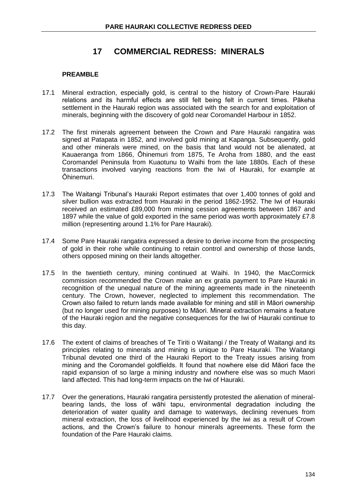# **17 COMMERCIAL REDRESS: MINERALS**

#### **PREAMBLE**

- 17.1 Mineral extraction, especially gold, is central to the history of Crown-Pare Hauraki relations and its harmful effects are still felt being felt in current times. Pākeha settlement in the Hauraki region was associated with the search for and exploitation of minerals, beginning with the discovery of gold near Coromandel Harbour in 1852.
- 17.2 The first minerals agreement between the Crown and Pare Hauraki rangatira was signed at Patapata in 1852, and involved gold mining at Kapanga. Subsequently, gold and other minerals were mined, on the basis that land would not be alienated, at Kauaeranga from 1866, Ōhinemuri from 1875, Te Aroha from 1880, and the east Coromandel Peninsula from Kuaotunu to Waihi from the late 1880s. Each of these transactions involved varying reactions from the Iwi of Hauraki, for example at Ōhinemuri.
- 17.3 The Waitangi Tribunal's Hauraki Report estimates that over 1,400 tonnes of gold and silver bullion was extracted from Hauraki in the period 1862-1952. The Iwi of Hauraki received an estimated £89,000 from mining cession agreements between 1867 and 1897 while the value of gold exported in the same period was worth approximately £7.8 million (representing around 1.1% for Pare Hauraki).
- 17.4 Some Pare Hauraki rangatira expressed a desire to derive income from the prospecting of gold in their rohe while continuing to retain control and ownership of those lands, others opposed mining on their lands altogether.
- 17.5 In the twentieth century, mining continued at Waihi. In 1940, the MacCormick commission recommended the Crown make an ex gratia payment to Pare Hauraki in recognition of the unequal nature of the mining agreements made in the nineteenth century. The Crown, however, neglected to implement this recommendation. The Crown also failed to return lands made available for mining and still in Māori ownership (but no longer used for mining purposes) to Māori. Mineral extraction remains a feature of the Hauraki region and the negative consequences for the Iwi of Hauraki continue to this day.
- 17.6 The extent of claims of breaches of Te Tiriti o Waitangi / the Treaty of Waitangi and its principles relating to minerals and mining is unique to Pare Hauraki. The Waitangi Tribunal devoted one third of the Hauraki Report to the Treaty issues arising from mining and the Coromandel goldfields. It found that nowhere else did Māori face the rapid expansion of so large a mining industry and nowhere else was so much Maori land affected. This had long-term impacts on the Iwi of Hauraki.
- 17.7 Over the generations, Hauraki rangatira persistently protested the alienation of mineralbearing lands, the loss of wāhi tapu, environmental degradation including the deterioration of water quality and damage to waterways, declining revenues from mineral extraction, the loss of livelihood experienced by the iwi as a result of Crown actions, and the Crown's failure to honour minerals agreements. These form the foundation of the Pare Hauraki claims.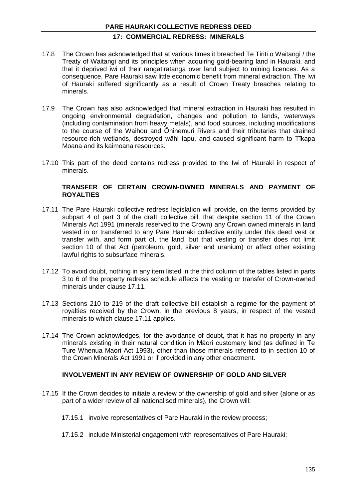## **17: COMMERCIAL REDRESS: MINERALS**

- 17.8 The Crown has acknowledged that at various times it breached Te Tiriti o Waitangi / the Treaty of Waitangi and its principles when acquiring gold-bearing land in Hauraki, and that it deprived iwi of their rangatiratanga over land subject to mining licences. As a consequence, Pare Hauraki saw little economic benefit from mineral extraction. The Iwi of Hauraki suffered significantly as a result of Crown Treaty breaches relating to minerals.
- 17.9 The Crown has also acknowledged that mineral extraction in Hauraki has resulted in ongoing environmental degradation, changes and pollution to lands, waterways (including contamination from heavy metals), and food sources, including modifications to the course of the Waihou and Ōhinemuri Rivers and their tributaries that drained resource-rich wetlands, destroyed wāhi tapu, and caused significant harm to Tīkapa Moana and its kaimoana resources.
- 17.10 This part of the deed contains redress provided to the Iwi of Hauraki in respect of minerals.

#### **TRANSFER OF CERTAIN CROWN-OWNED MINERALS AND PAYMENT OF ROYALTIES**

- 17.11 The Pare Hauraki collective redress legislation will provide, on the terms provided by subpart 4 of part 3 of the draft collective bill, that despite section 11 of the Crown Minerals Act 1991 (minerals reserved to the Crown) any Crown owned minerals in land vested in or transferred to any Pare Hauraki collective entity under this deed vest or transfer with, and form part of, the land, but that vesting or transfer does not limit section 10 of that Act (petroleum, gold, silver and uranium) or affect other existing lawful rights to subsurface minerals.
- 17.12 To avoid doubt, nothing in any item listed in the third column of the tables listed in parts 3 to 6 of the property redress schedule affects the vesting or transfer of Crown-owned minerals under clause 17.11.
- 17.13 Sections 210 to 219 of the draft collective bill establish a regime for the payment of royalties received by the Crown, in the previous 8 years, in respect of the vested minerals to which clause 17.11 applies.
- 17.14 The Crown acknowledges, for the avoidance of doubt, that it has no property in any minerals existing in their natural condition in Māori customary land (as defined in Te Ture Whenua Maori Act 1993), other than those minerals referred to in section 10 of the Crown Minerals Act 1991 or if provided in any other enactment.

#### **INVOLVEMENT IN ANY REVIEW OF OWNERSHIP OF GOLD AND SILVER**

- 17.15 If the Crown decides to initiate a review of the ownership of gold and silver (alone or as part of a wider review of all nationalised minerals), the Crown will:
	- 17.15.1 involve representatives of Pare Hauraki in the review process;
	- 17.15.2 include Ministerial engagement with representatives of Pare Hauraki;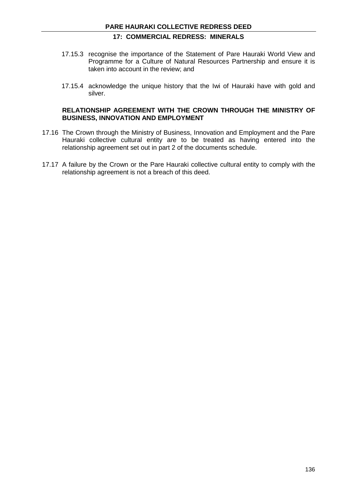## **17: COMMERCIAL REDRESS: MINERALS**

- 17.15.3 recognise the importance of the Statement of Pare Hauraki World View and Programme for a Culture of Natural Resources Partnership and ensure it is taken into account in the review; and
- 17.15.4 acknowledge the unique history that the Iwi of Hauraki have with gold and silver.

#### **RELATIONSHIP AGREEMENT WITH THE CROWN THROUGH THE MINISTRY OF BUSINESS, INNOVATION AND EMPLOYMENT**

- 17.16 The Crown through the Ministry of Business, Innovation and Employment and the Pare Hauraki collective cultural entity are to be treated as having entered into the relationship agreement set out in part 2 of the documents schedule.
- 17.17 A failure by the Crown or the Pare Hauraki collective cultural entity to comply with the relationship agreement is not a breach of this deed.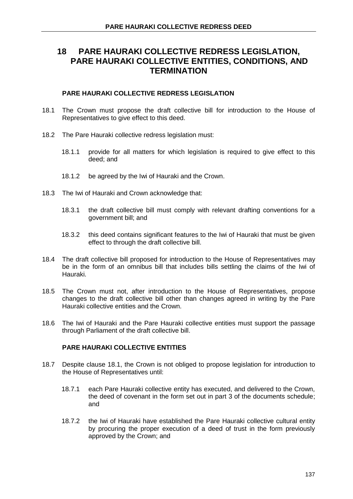# **18 PARE HAURAKI COLLECTIVE REDRESS LEGISLATION, PARE HAURAKI COLLECTIVE ENTITIES, CONDITIONS, AND TERMINATION**

#### **PARE HAURAKI COLLECTIVE REDRESS LEGISLATION**

- 18.1 The Crown must propose the draft collective bill for introduction to the House of Representatives to give effect to this deed.
- 18.2 The Pare Hauraki collective redress legislation must:
	- 18.1.1 provide for all matters for which legislation is required to give effect to this deed; and
	- 18.1.2 be agreed by the Iwi of Hauraki and the Crown.
- 18.3 The Iwi of Hauraki and Crown acknowledge that:
	- 18.3.1 the draft collective bill must comply with relevant drafting conventions for a government bill; and
	- 18.3.2 this deed contains significant features to the Iwi of Hauraki that must be given effect to through the draft collective bill.
- 18.4 The draft collective bill proposed for introduction to the House of Representatives may be in the form of an omnibus bill that includes bills settling the claims of the Iwi of Hauraki.
- 18.5 The Crown must not, after introduction to the House of Representatives, propose changes to the draft collective bill other than changes agreed in writing by the Pare Hauraki collective entities and the Crown.
- 18.6 The Iwi of Hauraki and the Pare Hauraki collective entities must support the passage through Parliament of the draft collective bill.

## **PARE HAURAKI COLLECTIVE ENTITIES**

- 18.7 Despite clause 18.1, the Crown is not obliged to propose legislation for introduction to the House of Representatives until:
	- 18.7.1 each Pare Hauraki collective entity has executed, and delivered to the Crown, the deed of covenant in the form set out in part 3 of the documents schedule; and
	- 18.7.2 the Iwi of Hauraki have established the Pare Hauraki collective cultural entity by procuring the proper execution of a deed of trust in the form previously approved by the Crown; and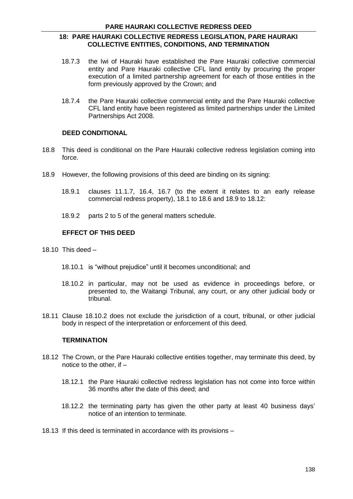## **18: PARE HAURAKI COLLECTIVE REDRESS LEGISLATION, PARE HAURAKI COLLECTIVE ENTITIES, CONDITIONS, AND TERMINATION**

- 18.7.3 the Iwi of Hauraki have established the Pare Hauraki collective commercial entity and Pare Hauraki collective CFL land entity by procuring the proper execution of a limited partnership agreement for each of those entities in the form previously approved by the Crown; and
- 18.7.4 the Pare Hauraki collective commercial entity and the Pare Hauraki collective CFL land entity have been registered as limited partnerships under the Limited Partnerships Act 2008.

## **DEED CONDITIONAL**

- 18.8 This deed is conditional on the Pare Hauraki collective redress legislation coming into force.
- 18.9 However, the following provisions of this deed are binding on its signing:
	- 18.9.1 clauses 11.1.7, 16.4, 16.7 (to the extent it relates to an early release commercial redress property), 18.1 to 18.6 and 18.9 to 18.12:
	- 18.9.2 parts 2 to 5 of the general matters schedule.

## **EFFECT OF THIS DEED**

- 18.10 This deed  $-$ 
	- 18.10.1 is "without prejudice" until it becomes unconditional; and
	- 18.10.2 in particular, may not be used as evidence in proceedings before, or presented to, the Waitangi Tribunal, any court, or any other judicial body or tribunal.
- 18.11 Clause 18.10.2 does not exclude the jurisdiction of a court, tribunal, or other judicial body in respect of the interpretation or enforcement of this deed.

#### **TERMINATION**

- 18.12 The Crown, or the Pare Hauraki collective entities together, may terminate this deed, by notice to the other, if –
	- 18.12.1 the Pare Hauraki collective redress legislation has not come into force within 36 months after the date of this deed; and
	- 18.12.2 the terminating party has given the other party at least 40 business days' notice of an intention to terminate.
- 18.13 If this deed is terminated in accordance with its provisions –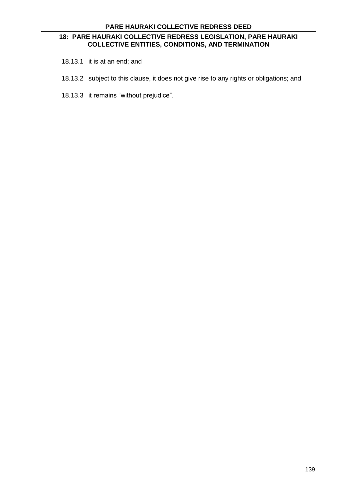## **18: PARE HAURAKI COLLECTIVE REDRESS LEGISLATION, PARE HAURAKI COLLECTIVE ENTITIES, CONDITIONS, AND TERMINATION**

- 18.13.1 it is at an end; and
- 18.13.2 subject to this clause, it does not give rise to any rights or obligations; and
- 18.13.3 it remains "without prejudice".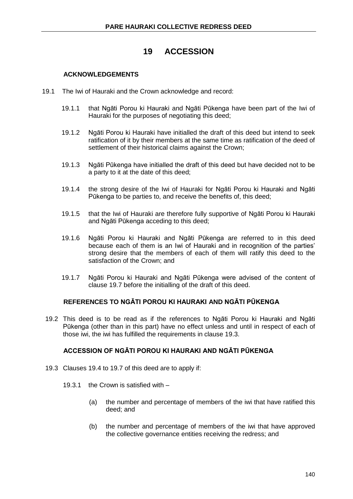# **19 ACCESSION**

### **ACKNOWLEDGEMENTS**

- 19.1 The Iwi of Hauraki and the Crown acknowledge and record:
	- 19.1.1 that Ngāti Porou ki Hauraki and Ngāti Pūkenga have been part of the Iwi of Hauraki for the purposes of negotiating this deed;
	- 19.1.2 Ngāti Porou ki Hauraki have initialled the draft of this deed but intend to seek ratification of it by their members at the same time as ratification of the deed of settlement of their historical claims against the Crown;
	- 19.1.3 Ngāti Pūkenga have initialled the draft of this deed but have decided not to be a party to it at the date of this deed;
	- 19.1.4 the strong desire of the Iwi of Hauraki for Ngāti Porou ki Hauraki and Ngāti Pūkenga to be parties to, and receive the benefits of, this deed;
	- 19.1.5 that the Iwi of Hauraki are therefore fully supportive of Ngāti Porou ki Hauraki and Ngāti Pūkenga acceding to this deed;
	- 19.1.6 Ngāti Porou ki Hauraki and Ngāti Pūkenga are referred to in this deed because each of them is an Iwi of Hauraki and in recognition of the parties' strong desire that the members of each of them will ratify this deed to the satisfaction of the Crown; and
	- 19.1.7 Ngāti Porou ki Hauraki and Ngāti Pūkenga were advised of the content of clause 19.7 before the initialling of the draft of this deed.

### **REFERENCES TO NGĀTI POROU KI HAURAKI AND NGĀTI PŪKENGA**

19.2 This deed is to be read as if the references to Ngāti Porou ki Hauraki and Ngāti Pūkenga (other than in this part) have no effect unless and until in respect of each of those iwi, the iwi has fulfilled the requirements in clause 19.3.

## **ACCESSION OF NGĀTI POROU KI HAURAKI AND NGĀTI PŪKENGA**

- 19.3 Clauses 19.4 to 19.7 of this deed are to apply if:
	- 19.3.1 the Crown is satisfied with
		- (a) the number and percentage of members of the iwi that have ratified this deed; and
		- (b) the number and percentage of members of the iwi that have approved the collective governance entities receiving the redress; and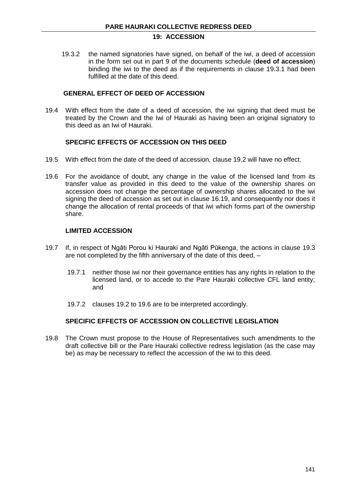## **19: ACCESSION**

19.3.2 the named signatories have signed, on behalf of the iwi, a deed of accession in the form set out in part 9 of the documents schedule (**deed of accession**) binding the iwi to the deed as if the requirements in clause 19.3.1 had been fulfilled at the date of this deed.

### **GENERAL EFFECT OF DEED OF ACCESSION**

19.4 With effect from the date of a deed of accession, the iwi signing that deed must be treated by the Crown and the Iwi of Hauraki as having been an original signatory to this deed as an Iwi of Hauraki.

## **SPECIFIC EFFECTS OF ACCESSION ON THIS DEED**

- 19.5 With effect from the date of the deed of accession, clause 19.2 will have no effect.
- 19.6 For the avoidance of doubt, any change in the value of the licensed land from its transfer value as provided in this deed to the value of the ownership shares on accession does not change the percentage of ownership shares allocated to the iwi signing the deed of accession as set out in clause 16.19, and consequently nor does it change the allocation of rental proceeds of that iwi which forms part of the ownership share.

### **LIMITED ACCESSION**

- 19.7 If, in respect of Ngāti Porou ki Hauraki and Ngāti Pūkenga, the actions in clause 19.3 are not completed by the fifth anniversary of the date of this deed, –
	- 19.7.1 neither those iwi nor their governance entities has any rights in relation to the licensed land, or to accede to the Pare Hauraki collective CFL land entity; and
	- 19.7.2 clauses 19.2 to 19.6 are to be interpreted accordingly.

### **SPECIFIC EFFECTS OF ACCESSION ON COLLECTIVE LEGISLATION**

19.8 The Crown must propose to the House of Representatives such amendments to the draft collective bill or the Pare Hauraki collective redress legislation (as the case may be) as may be necessary to reflect the accession of the iwi to this deed.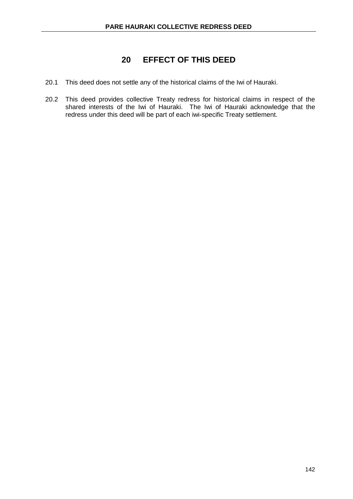# **20 EFFECT OF THIS DEED**

- 20.1 This deed does not settle any of the historical claims of the Iwi of Hauraki.
- 20.2 This deed provides collective Treaty redress for historical claims in respect of the shared interests of the Iwi of Hauraki. The Iwi of Hauraki acknowledge that the redress under this deed will be part of each iwi-specific Treaty settlement.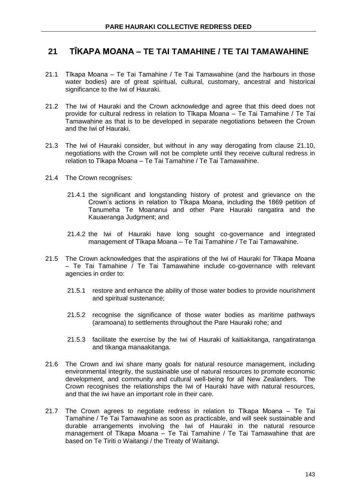# **21 TĪKAPA MOANA – TE TAI TAMAHINE / TE TAI TAMAWAHINE**

- 21.1 Tīkapa Moana Te Tai Tamahine / Te Tai Tamawahine (and the harbours in those water bodies) are of great spiritual, cultural, customary, ancestral and historical significance to the Iwi of Hauraki.
- 21.2 The Iwi of Hauraki and the Crown acknowledge and agree that this deed does not provide for cultural redress in relation to Tīkapa Moana – Te Tai Tamahine / Te Tai Tamawahine as that is to be developed in separate negotiations between the Crown and the Iwi of Hauraki.
- 21.3 The Iwi of Hauraki consider, but without in any way derogating from clause 21.10, negotiations with the Crown will not be complete until they receive cultural redress in relation to Tīkapa Moana – Te Tai Tamahine / Te Tai Tamawahine.
- 21.4 The Crown recognises:
	- 21.4.1 the significant and longstanding history of protest and grievance on the Crown's actions in relation to Tīkapa Moana, including the 1869 petition of Tanumeha Te Moananui and other Pare Hauraki rangatira and the Kauaeranga Judgment; and
	- 21.4.2 the Iwi of Hauraki have long sought co-governance and integrated management of Tīkapa Moana – Te Tai Tamahine / Te Tai Tamawahine.
- 21.5 The Crown acknowledges that the aspirations of the Iwi of Hauraki for Tīkapa Moana – Te Tai Tamahine  $\overline{I}$  Te Tai Tamawahine include co-governance with relevant agencies in order to:
	- 21.5.1 restore and enhance the ability of those water bodies to provide nourishment and spiritual sustenance;
	- 21.5.2 recognise the significance of those water bodies as maritime pathways (aramoana) to settlements throughout the Pare Hauraki rohe; and
	- 21.5.3 facilitate the exercise by the Iwi of Hauraki of kaitiakitanga, rangatiratanga and tikanga manaakitanga.
- 21.6 The Crown and iwi share many goals for natural resource management, including environmental integrity, the sustainable use of natural resources to promote economic development, and community and cultural well-being for all New Zealanders. The Crown recognises the relationships the Iwi of Hauraki have with natural resources, and that the iwi have an important role in their care.
- 21.7 The Crown agrees to negotiate redress in relation to Tīkapa Moana Te Tai Tamahine / Te Tai Tamawahine as soon as practicable, and will seek sustainable and durable arrangements involving the Iwi of Hauraki in the natural resource management of Tīkapa Moana – Te Tai Tamahine / Te Tai Tamawahine that are based on Te Tiriti o Waitangi / the Treaty of Waitangi.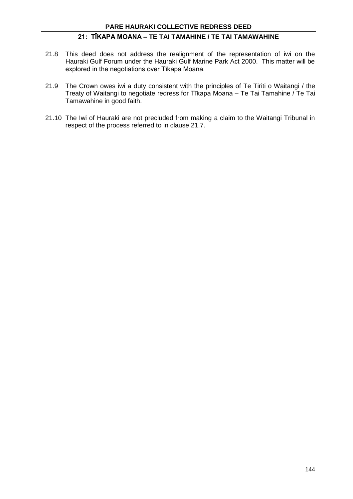## **21: TĪKAPA MOANA – TE TAI TAMAHINE / TE TAI TAMAWAHINE**

- 21.8 This deed does not address the realignment of the representation of iwi on the Hauraki Gulf Forum under the Hauraki Gulf Marine Park Act 2000. This matter will be explored in the negotiations over Tīkapa Moana.
- 21.9 The Crown owes iwi a duty consistent with the principles of Te Tiriti o Waitangi / the Treaty of Waitangi to negotiate redress for Tīkapa Moana – Te Tai Tamahine / Te Tai Tamawahine in good faith.
- 21.10 The Iwi of Hauraki are not precluded from making a claim to the Waitangi Tribunal in respect of the process referred to in clause 21.7.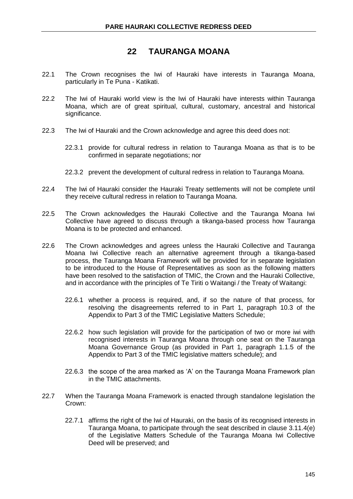# **22 TAURANGA MOANA**

- 22.1 The Crown recognises the Iwi of Hauraki have interests in Tauranga Moana, particularly in Te Puna - Katikati.
- 22.2 The Iwi of Hauraki world view is the Iwi of Hauraki have interests within Tauranga Moana, which are of great spiritual, cultural, customary, ancestral and historical significance.
- 22.3 The Iwi of Hauraki and the Crown acknowledge and agree this deed does not:
	- 22.3.1 provide for cultural redress in relation to Tauranga Moana as that is to be confirmed in separate negotiations; nor
	- 22.3.2 prevent the development of cultural redress in relation to Tauranga Moana.
- 22.4 The Iwi of Hauraki consider the Hauraki Treaty settlements will not be complete until they receive cultural redress in relation to Tauranga Moana.
- 22.5 The Crown acknowledges the Hauraki Collective and the Tauranga Moana Iwi Collective have agreed to discuss through a tikanga-based process how Tauranga Moana is to be protected and enhanced.
- 22.6 The Crown acknowledges and agrees unless the Hauraki Collective and Tauranga Moana Iwi Collective reach an alternative agreement through a tikanga-based process, the Tauranga Moana Framework will be provided for in separate legislation to be introduced to the House of Representatives as soon as the following matters have been resolved to the satisfaction of TMIC, the Crown and the Hauraki Collective, and in accordance with the principles of Te Tiriti o Waitangi / the Treaty of Waitangi:
	- 22.6.1 whether a process is required, and, if so the nature of that process, for resolving the disagreements referred to in Part 1, paragraph 10.3 of the Appendix to Part 3 of the TMIC Legislative Matters Schedule;
	- 22.6.2 how such legislation will provide for the participation of two or more iwi with recognised interests in Tauranga Moana through one seat on the Tauranga Moana Governance Group (as provided in Part 1, paragraph 1.1.5 of the Appendix to Part 3 of the TMIC legislative matters schedule); and
	- 22.6.3 the scope of the area marked as 'A' on the Tauranga Moana Framework plan in the TMIC attachments.
- 22.7 When the Tauranga Moana Framework is enacted through standalone legislation the Crown:
	- 22.7.1 affirms the right of the Iwi of Hauraki, on the basis of its recognised interests in Tauranga Moana, to participate through the seat described in clause 3.11.4(e) of the Legislative Matters Schedule of the Tauranga Moana Iwi Collective Deed will be preserved; and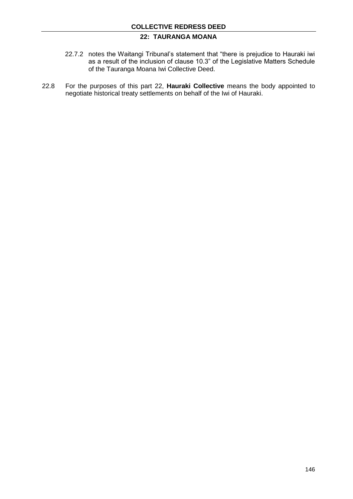# **22: TAURANGA MOANA**

- 22.7.2 notes the Waitangi Tribunal's statement that "there is prejudice to Hauraki iwi as a result of the inclusion of clause 10.3" of the Legislative Matters Schedule of the Tauranga Moana Iwi Collective Deed.
- 22.8 For the purposes of this part 22, **Hauraki Collective** means the body appointed to negotiate historical treaty settlements on behalf of the Iwi of Hauraki.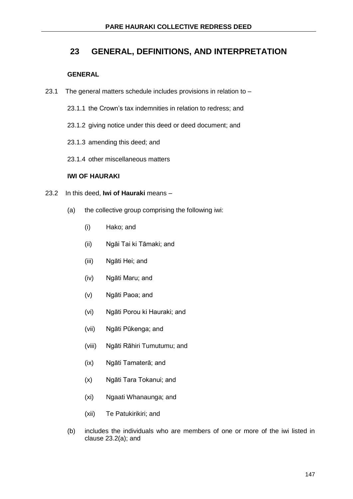# **23 GENERAL, DEFINITIONS, AND INTERPRETATION**

### **GENERAL**

- 23.1 The general matters schedule includes provisions in relation to
	- 23.1.1 the Crown's tax indemnities in relation to redress; and
	- 23.1.2 giving notice under this deed or deed document; and
	- 23.1.3 amending this deed; and
	- 23.1.4 other miscellaneous matters

### **IWI OF HAURAKI**

- 23.2 In this deed, **Iwi of Hauraki** means
	- (a) the collective group comprising the following iwi:
		- (i) Hako; and
		- (ii) Ngāi Tai ki Tāmaki; and
		- (iii) Ngāti Hei; and
		- (iv) Ngāti Maru; and
		- (v) Ngāti Paoa; and
		- (vi) Ngāti Porou ki Hauraki; and
		- (vii) Ngāti Pūkenga; and
		- (viii) Ngāti Rāhiri Tumutumu; and
		- (ix) Ngāti Tamaterā; and
		- (x) Ngāti Tara Tokanui; and
		- (xi) Ngaati Whanaunga; and
		- (xii) Te Patukirikiri; and
	- (b) includes the individuals who are members of one or more of the iwi listed in clause 23.2(a); and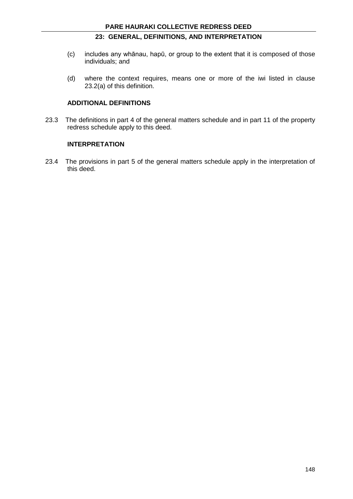## **23: GENERAL, DEFINITIONS, AND INTERPRETATION**

- (c) includes any whānau, hapū, or group to the extent that it is composed of those individuals; and
- (d) where the context requires, means one or more of the iwi listed in clause 23.2(a) of this definition.

### **ADDITIONAL DEFINITIONS**

23.3 The definitions in part 4 of the general matters schedule and in part 11 of the property redress schedule apply to this deed.

#### **INTERPRETATION**

23.4 The provisions in part 5 of the general matters schedule apply in the interpretation of this deed.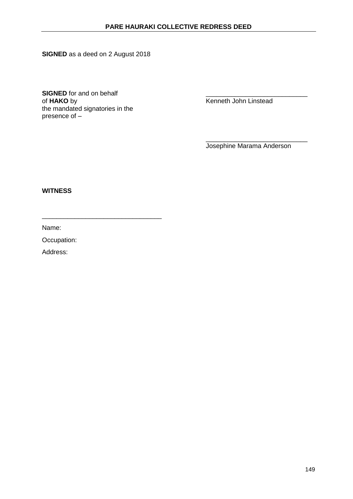**SIGNED** as a deed on 2 August 2018

**SIGNED** for and on behalf of HAKO by the mandated signatories in the presence of –

\_\_\_\_\_\_\_\_\_\_\_\_\_\_\_\_\_\_\_\_\_\_\_\_\_\_\_\_\_\_\_\_\_

**Kenneth John Linstead** 

\_\_\_\_\_\_\_\_\_\_\_\_\_\_\_\_\_\_\_\_\_\_\_\_\_\_\_\_ Josephine Marama Anderson

### **WITNESS**

Name:

Occupation: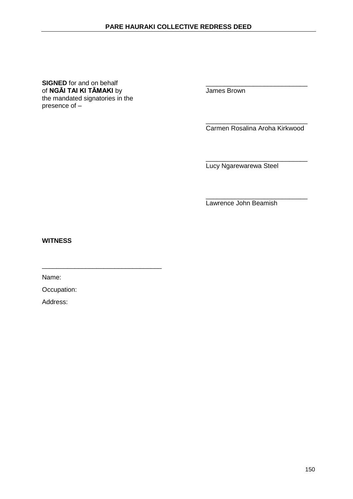#### **SIGNED** for and on behalf<br>
of **NGAI TAI KI TAMAKI** by **TAI ALL AND SET ON TAI ALL AND SET ON TAI ALL AND SET ON TAI ALL AND SET ON TAI ALL AND SET ON TAI ALL AND SET ON TAI ALL AND SET ON TAI ALL AND SET ON TAI ALL AND SE** of **NGĀI TAI KI TĀMAKI** by the mandated signatories in the presence of –

\_\_\_\_\_\_\_\_\_\_\_\_\_\_\_\_\_\_\_\_\_\_\_\_\_\_\_\_ Carmen Rosalina Aroha Kirkwood

\_\_\_\_\_\_\_\_\_\_\_\_\_\_\_\_\_\_\_\_\_\_\_\_\_\_\_\_ Lucy Ngarewarewa Steel

\_\_\_\_\_\_\_\_\_\_\_\_\_\_\_\_\_\_\_\_\_\_\_\_\_\_\_\_ Lawrence John Beamish

**WITNESS**

Name:

Occupation:

\_\_\_\_\_\_\_\_\_\_\_\_\_\_\_\_\_\_\_\_\_\_\_\_\_\_\_\_\_\_\_\_\_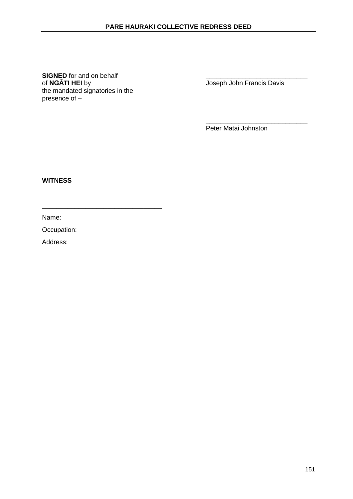**SIGNED** for and on behalf of **NGATI HEI** by the mandated signatories in the presence of –

\_\_\_\_\_\_\_\_\_\_\_\_\_\_\_\_\_\_\_\_\_\_\_\_\_\_\_\_\_\_\_\_\_

Joseph John Francis Davis

\_\_\_\_\_\_\_\_\_\_\_\_\_\_\_\_\_\_\_\_\_\_\_\_\_\_\_\_

Peter Matai Johnston

**WITNESS**

Name:

Occupation: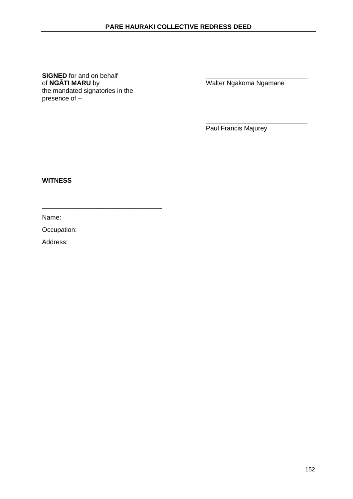**SIGNED** for and on behalf of **NGATI MARU** by the mandated signatories in the presence of –

\_\_\_\_\_\_\_\_\_\_\_\_\_\_\_\_\_\_\_\_\_\_\_\_\_\_\_\_\_\_\_\_\_

Walter Ngakoma Ngamane

\_\_\_\_\_\_\_\_\_\_\_\_\_\_\_\_\_\_\_\_\_\_\_\_\_\_\_\_ Paul Francis Majurey

**WITNESS**

Name:

Occupation: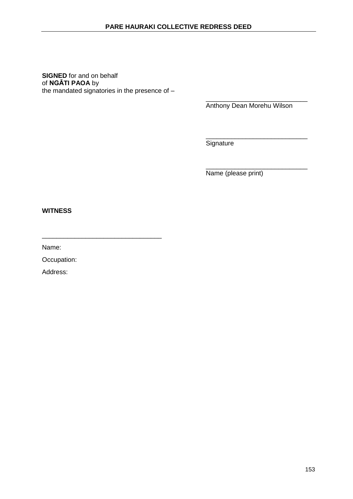#### **SIGNED** for and on behalf of **NGĀTI PAOA** by the mandated signatories in the presence of  $-$

\_\_\_\_\_\_\_\_\_\_\_\_\_\_\_\_\_\_\_\_\_\_\_\_\_\_\_\_\_\_\_\_\_

\_\_\_\_\_\_\_\_\_\_\_\_\_\_\_\_\_\_\_\_\_\_\_\_\_\_\_\_ Anthony Dean Morehu Wilson

\_\_\_\_\_\_\_\_\_\_\_\_\_\_\_\_\_\_\_\_\_\_\_\_\_\_\_\_ **Signature** 

\_\_\_\_\_\_\_\_\_\_\_\_\_\_\_\_\_\_\_\_\_\_\_\_\_\_\_\_ Name (please print)

**WITNESS**

Name:

Occupation: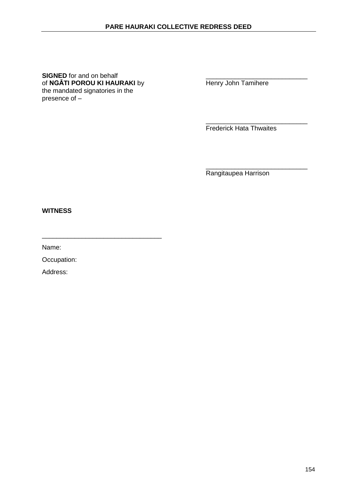**SIGNED** for and on behalf<br>
of **NGĀTI POROU KI HAURAKI** by **Example 1** Henry John Tamihere of **NGĀTI POROU KI HAURAKI** by the mandated signatories in the presence of –

\_\_\_\_\_\_\_\_\_\_\_\_\_\_\_\_\_\_\_\_\_\_\_\_\_\_\_\_\_\_\_\_\_

\_\_\_\_\_\_\_\_\_\_\_\_\_\_\_\_\_\_\_\_\_\_\_\_\_\_\_\_ Frederick Hata Thwaites

\_\_\_\_\_\_\_\_\_\_\_\_\_\_\_\_\_\_\_\_\_\_\_\_\_\_\_\_ Rangitaupea Harrison

**WITNESS**

Name:

Occupation: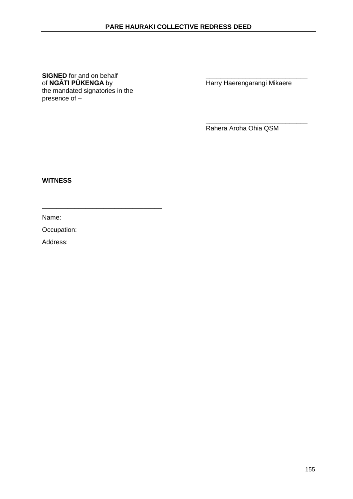**SIGNED** for and on behalf<br>
of NGĀTI PŪKENGA by<br>
Harry Haerengarangi Mikaere of **NGATI PUKENGA** by **Harry Haerengarangi Mikaere** the mandated signatories in the presence of –

\_\_\_\_\_\_\_\_\_\_\_\_\_\_\_\_\_\_\_\_\_\_\_\_\_\_\_\_\_\_\_\_\_

Rahera Aroha Ohia QSM

\_\_\_\_\_\_\_\_\_\_\_\_\_\_\_\_\_\_\_\_\_\_\_\_\_\_\_\_

**WITNESS**

Name:

Occupation: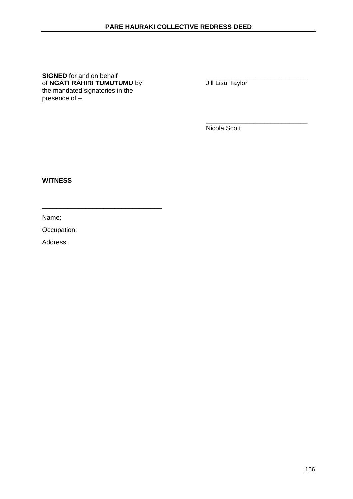**SIGNED** for and on behalf<br>
of **NGĀTI RĀHIRI TUMUTUMU** by **the angle of NGĀTI RĀHIRI TUMUTUMU** by of **NGĀTI RĀHIRI TUMUTUMU** by the mandated signatories in the presence of –

\_\_\_\_\_\_\_\_\_\_\_\_\_\_\_\_\_\_\_\_\_\_\_\_\_\_\_\_\_\_\_\_\_

\_\_\_\_\_\_\_\_\_\_\_\_\_\_\_\_\_\_\_\_\_\_\_\_\_\_\_\_ Nicola Scott

**WITNESS**

Name:

Occupation: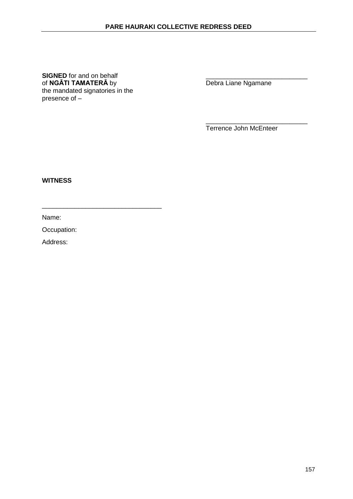**SIGNED** for and on behalf<br>
of **NGĀTI TAMATERĀ** by **Example 20** Debra Liane Ngamane of **NGĀTI TAMATERĀ** by the mandated signatories in the presence of –

\_\_\_\_\_\_\_\_\_\_\_\_\_\_\_\_\_\_\_\_\_\_\_\_\_\_\_\_\_\_\_\_\_

Terrence John McEnteer

\_\_\_\_\_\_\_\_\_\_\_\_\_\_\_\_\_\_\_\_\_\_\_\_\_\_\_\_

**WITNESS**

Name:

Occupation: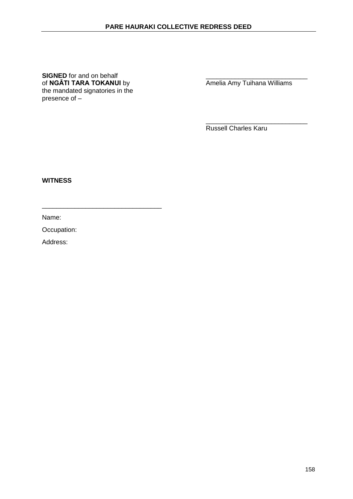**SIGNED** for and on behalf<br>
of **NGĀTI TARA TOKANUI** by **Amelia Amy Tuihana Williams** of **NGĀTI TARA TOKANUI** by the mandated signatories in the presence of –

\_\_\_\_\_\_\_\_\_\_\_\_\_\_\_\_\_\_\_\_\_\_\_\_\_\_\_\_\_\_\_\_\_

\_\_\_\_\_\_\_\_\_\_\_\_\_\_\_\_\_\_\_\_\_\_\_\_\_\_\_\_

Russell Charles Karu

**WITNESS**

Name:

Occupation: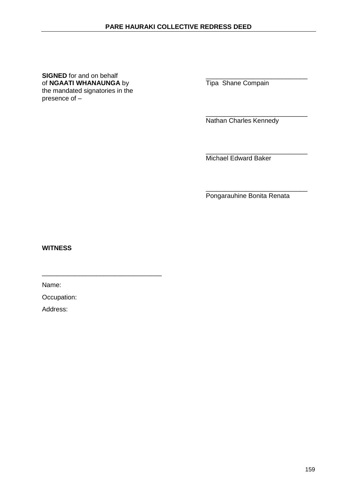**SIGNED** for and on behalf<br>
of **NGAATI WHANAUNGA** by **Tipa** Shane Compain of **NGAATI WHANAUNGA** by the mandated signatories in the presence of –

\_\_\_\_\_\_\_\_\_\_\_\_\_\_\_\_\_\_\_\_\_\_\_\_\_\_\_\_ Nathan Charles Kennedy

\_\_\_\_\_\_\_\_\_\_\_\_\_\_\_\_\_\_\_\_\_\_\_\_\_\_\_\_ Michael Edward Baker

\_\_\_\_\_\_\_\_\_\_\_\_\_\_\_\_\_\_\_\_\_\_\_\_\_\_\_\_ Pongarauhine Bonita Renata

**WITNESS**

Name:

Occupation:

\_\_\_\_\_\_\_\_\_\_\_\_\_\_\_\_\_\_\_\_\_\_\_\_\_\_\_\_\_\_\_\_\_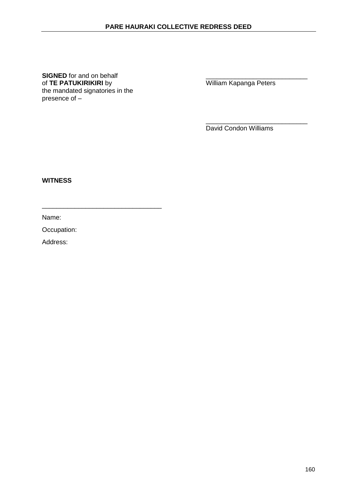**SIGNED** for and on behalf <br>
of **TE PATUKIRIKIRI** by **Example 20** William Kapanga Peters of **TE PATUKIRIKIRI** by the mandated signatories in the presence of –

\_\_\_\_\_\_\_\_\_\_\_\_\_\_\_\_\_\_\_\_\_\_\_\_\_\_\_\_\_\_\_\_\_

\_\_\_\_\_\_\_\_\_\_\_\_\_\_\_\_\_\_\_\_\_\_\_\_\_\_\_\_ David Condon Williams

**WITNESS**

Name:

Occupation: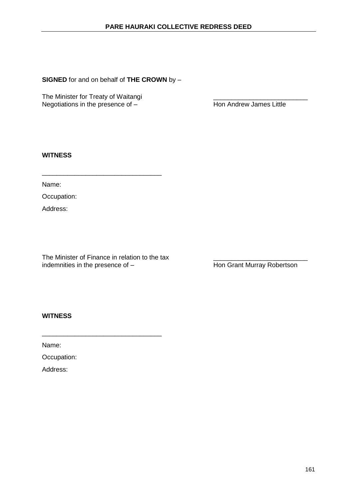**SIGNED** for and on behalf of **THE CROWN** by –

The Minister for Treaty of Waitangi<br>
Negotiations in the presence of – The Minister of Hon Andrew James Little Negotiations in the presence of  $-$ 

### **WITNESS**

Name:

Occupation:

Address:

The Minister of Finance in relation to the tax <br>indemnities in the presence of  $-$  <br>Hon Grant Murray Robertson indemnities in the presence of  $-$ 

\_\_\_\_\_\_\_\_\_\_\_\_\_\_\_\_\_\_\_\_\_\_\_\_\_\_\_\_\_\_\_\_\_

\_\_\_\_\_\_\_\_\_\_\_\_\_\_\_\_\_\_\_\_\_\_\_\_\_\_\_\_\_\_\_\_\_

## **WITNESS**

Name:

Occupation: